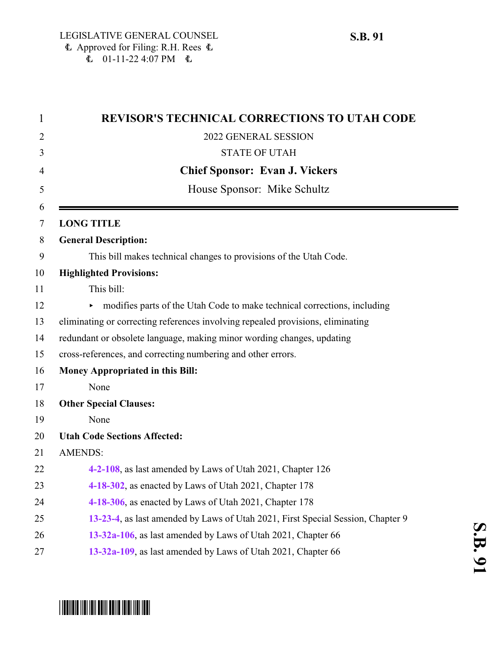| $\mathbf{1}$ | <b>REVISOR'S TECHNICAL CORRECTIONS TO UTAH CODE</b>                             |
|--------------|---------------------------------------------------------------------------------|
| 2            | 2022 GENERAL SESSION                                                            |
| 3            | <b>STATE OF UTAH</b>                                                            |
| 4            | <b>Chief Sponsor: Evan J. Vickers</b>                                           |
| 5            | House Sponsor: Mike Schultz                                                     |
| 6<br>7       | <b>LONG TITLE</b>                                                               |
| 8            | <b>General Description:</b>                                                     |
| 9            | This bill makes technical changes to provisions of the Utah Code.               |
| 10           | <b>Highlighted Provisions:</b>                                                  |
| 11           | This bill:                                                                      |
| 12           | modifies parts of the Utah Code to make technical corrections, including        |
| 13           | eliminating or correcting references involving repealed provisions, eliminating |
| 14           | redundant or obsolete language, making minor wording changes, updating          |
| 15           | cross-references, and correcting numbering and other errors.                    |
| 16           | Money Appropriated in this Bill:                                                |
| 17           | None                                                                            |
| 18           | <b>Other Special Clauses:</b>                                                   |
| 19           | None                                                                            |
| 20           | <b>Utah Code Sections Affected:</b>                                             |
| 21           | <b>AMENDS:</b>                                                                  |
| 22           | 4-2-108, as last amended by Laws of Utah 2021, Chapter 126                      |
| 23           | 4-18-302, as enacted by Laws of Utah 2021, Chapter 178                          |
| 24           | 4-18-306, as enacted by Laws of Utah 2021, Chapter 178                          |
| 25           | 13-23-4, as last amended by Laws of Utah 2021, First Special Session, Chapter 9 |
| 26           | 13-32a-106, as last amended by Laws of Utah 2021, Chapter 66                    |
| 27           | 13-32a-109, as last amended by Laws of Utah 2021, Chapter 66                    |
|              |                                                                                 |

# \*SB0091\*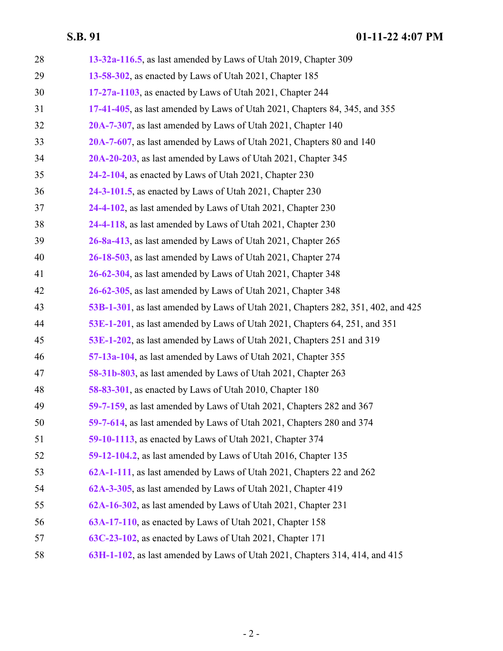| 28 | 13-32a-116.5, as last amended by Laws of Utah 2019, Chapter 309                  |
|----|----------------------------------------------------------------------------------|
| 29 | 13-58-302, as enacted by Laws of Utah 2021, Chapter 185                          |
| 30 | 17-27a-1103, as enacted by Laws of Utah 2021, Chapter 244                        |
| 31 | 17-41-405, as last amended by Laws of Utah 2021, Chapters 84, 345, and 355       |
| 32 | 20A-7-307, as last amended by Laws of Utah 2021, Chapter 140                     |
| 33 | 20A-7-607, as last amended by Laws of Utah 2021, Chapters 80 and 140             |
| 34 | 20A-20-203, as last amended by Laws of Utah 2021, Chapter 345                    |
| 35 | 24-2-104, as enacted by Laws of Utah 2021, Chapter 230                           |
| 36 | 24-3-101.5, as enacted by Laws of Utah 2021, Chapter 230                         |
| 37 | 24-4-102, as last amended by Laws of Utah 2021, Chapter 230                      |
| 38 | 24-4-118, as last amended by Laws of Utah 2021, Chapter 230                      |
| 39 | 26-8a-413, as last amended by Laws of Utah 2021, Chapter 265                     |
| 40 | 26-18-503, as last amended by Laws of Utah 2021, Chapter 274                     |
| 41 | 26-62-304, as last amended by Laws of Utah 2021, Chapter 348                     |
| 42 | 26-62-305, as last amended by Laws of Utah 2021, Chapter 348                     |
| 43 | 53B-1-301, as last amended by Laws of Utah 2021, Chapters 282, 351, 402, and 425 |
| 44 | 53E-1-201, as last amended by Laws of Utah 2021, Chapters 64, 251, and 351       |
| 45 | 53E-1-202, as last amended by Laws of Utah 2021, Chapters 251 and 319            |
| 46 | 57-13a-104, as last amended by Laws of Utah 2021, Chapter 355                    |
| 47 | 58-31b-803, as last amended by Laws of Utah 2021, Chapter 263                    |
| 48 | 58-83-301, as enacted by Laws of Utah 2010, Chapter 180                          |
| 49 | 59-7-159, as last amended by Laws of Utah 2021, Chapters 282 and 367             |
| 50 | 59-7-614, as last amended by Laws of Utah 2021, Chapters 280 and 374             |
| 51 | <b>59-10-1113</b> , as enacted by Laws of Utah 2021, Chapter 374                 |
| 52 | 59-12-104.2, as last amended by Laws of Utah 2016, Chapter 135                   |
| 53 | 62A-1-111, as last amended by Laws of Utah 2021, Chapters 22 and 262             |
| 54 | 62A-3-305, as last amended by Laws of Utah 2021, Chapter 419                     |
| 55 | 62A-16-302, as last amended by Laws of Utah 2021, Chapter 231                    |
| 56 | 63A-17-110, as enacted by Laws of Utah 2021, Chapter 158                         |
| 57 | 63C-23-102, as enacted by Laws of Utah 2021, Chapter 171                         |
| 58 | 63H-1-102, as last amended by Laws of Utah 2021, Chapters 314, 414, and 415      |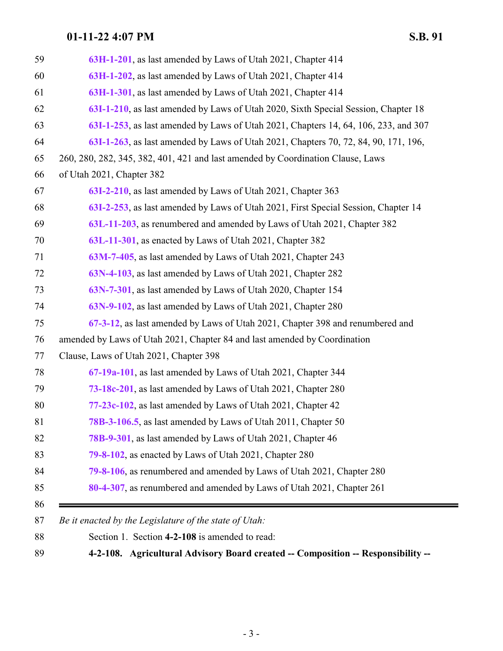<span id="page-2-0"></span>

| Agricultural Advisory Board created -- Composition -- Responsibility --<br>$4 - 2 - 108.$                |
|----------------------------------------------------------------------------------------------------------|
| Be it enacted by the Legislature of the state of Utah:<br>Section 1. Section 4-2-108 is amended to read: |
|                                                                                                          |
| 80-4-307, as renumbered and amended by Laws of Utah 2021, Chapter 261                                    |
| 79-8-106, as renumbered and amended by Laws of Utah 2021, Chapter 280                                    |
| 79-8-102, as enacted by Laws of Utah 2021, Chapter 280                                                   |
| <b>78B-9-301</b> , as last amended by Laws of Utah 2021, Chapter 46                                      |
| 78B-3-106.5, as last amended by Laws of Utah 2011, Chapter 50                                            |
| 77-23c-102, as last amended by Laws of Utah 2021, Chapter 42                                             |
| 73-18c-201, as last amended by Laws of Utah 2021, Chapter 280                                            |
| 67-19a-101, as last amended by Laws of Utah 2021, Chapter 344                                            |
| Clause, Laws of Utah 2021, Chapter 398                                                                   |
| amended by Laws of Utah 2021, Chapter 84 and last amended by Coordination                                |
| 67-3-12, as last amended by Laws of Utah 2021, Chapter 398 and renumbered and                            |
| 63N-9-102, as last amended by Laws of Utah 2021, Chapter 280                                             |
| 63N-7-301, as last amended by Laws of Utah 2020, Chapter 154                                             |
| 63N-4-103, as last amended by Laws of Utah 2021, Chapter 282                                             |
| 63M-7-405, as last amended by Laws of Utah 2021, Chapter 243                                             |
| 63L-11-301, as enacted by Laws of Utah 2021, Chapter 382                                                 |
| 63L-11-203, as renumbered and amended by Laws of Utah 2021, Chapter 382                                  |
| 63I-2-253, as last amended by Laws of Utah 2021, First Special Session, Chapter 14                       |
| 63I-2-210, as last amended by Laws of Utah 2021, Chapter 363                                             |
| of Utah 2021, Chapter 382                                                                                |
| 260, 280, 282, 345, 382, 401, 421 and last amended by Coordination Clause, Laws                          |
| 63I-1-263, as last amended by Laws of Utah 2021, Chapters 70, 72, 84, 90, 171, 196,                      |
| 63I-1-253, as last amended by Laws of Utah 2021, Chapters 14, 64, 106, 233, and 307                      |
| 63I-1-210, as last amended by Laws of Utah 2020, Sixth Special Session, Chapter 18                       |
| 63H-1-301, as last amended by Laws of Utah 2021, Chapter 414                                             |
| 63H-1-202, as last amended by Laws of Utah 2021, Chapter 414                                             |
| 63H-1-201, as last amended by Laws of Utah 2021, Chapter 414                                             |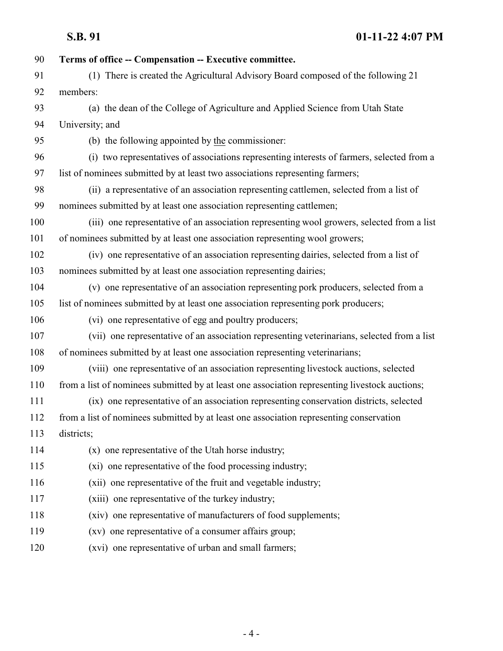| 90  | Terms of office -- Compensation -- Executive committee.                                        |
|-----|------------------------------------------------------------------------------------------------|
| 91  | (1) There is created the Agricultural Advisory Board composed of the following 21              |
| 92  | members:                                                                                       |
| 93  | (a) the dean of the College of Agriculture and Applied Science from Utah State                 |
| 94  | University; and                                                                                |
| 95  | (b) the following appointed by the commissioner:                                               |
| 96  | (i) two representatives of associations representing interests of farmers, selected from a     |
| 97  | list of nominees submitted by at least two associations representing farmers;                  |
| 98  | (ii) a representative of an association representing cattlemen, selected from a list of        |
| 99  | nominees submitted by at least one association representing cattlemen;                         |
| 100 | (iii) one representative of an association representing wool growers, selected from a list     |
| 101 | of nominees submitted by at least one association representing wool growers;                   |
| 102 | (iv) one representative of an association representing dairies, selected from a list of        |
| 103 | nominees submitted by at least one association representing dairies;                           |
| 104 | (v) one representative of an association representing pork producers, selected from a          |
| 105 | list of nominees submitted by at least one association representing pork producers;            |
| 106 | (vi) one representative of egg and poultry producers;                                          |
| 107 | (vii) one representative of an association representing veterinarians, selected from a list    |
| 108 | of nominees submitted by at least one association representing veterinarians;                  |
| 109 | (viii) one representative of an association representing livestock auctions, selected          |
| 110 | from a list of nominees submitted by at least one association representing livestock auctions; |
| 111 | (ix) one representative of an association representing conservation districts, selected        |
| 112 | from a list of nominees submitted by at least one association representing conservation        |
| 113 | districts;                                                                                     |
| 114 | (x) one representative of the Utah horse industry;                                             |
| 115 | (xi) one representative of the food processing industry;                                       |
| 116 | (xii) one representative of the fruit and vegetable industry;                                  |
| 117 | (xiii) one representative of the turkey industry;                                              |
| 118 | (xiv) one representative of manufacturers of food supplements;                                 |
| 119 | (xv) one representative of a consumer affairs group;                                           |
| 120 | (xvi) one representative of urban and small farmers;                                           |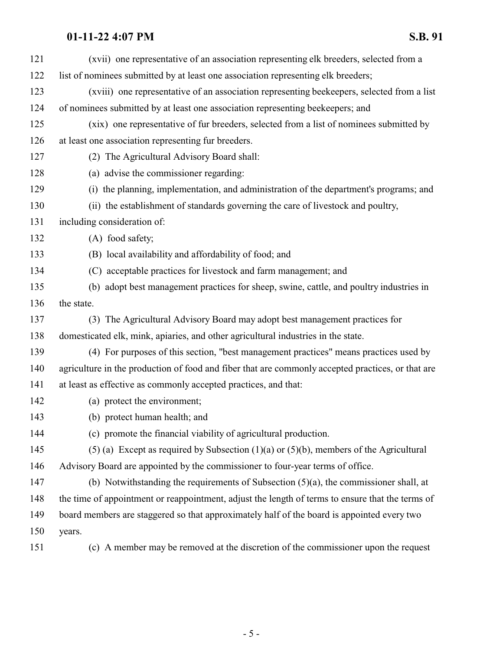| 121 | (xvii) one representative of an association representing elk breeders, selected from a            |
|-----|---------------------------------------------------------------------------------------------------|
| 122 | list of nominees submitted by at least one association representing elk breeders;                 |
| 123 | (xviii) one representative of an association representing beekeepers, selected from a list        |
| 124 | of nominees submitted by at least one association representing beekeepers; and                    |
| 125 | (xix) one representative of fur breeders, selected from a list of nominees submitted by           |
| 126 | at least one association representing fur breeders.                                               |
| 127 | (2) The Agricultural Advisory Board shall:                                                        |
| 128 | (a) advise the commissioner regarding:                                                            |
| 129 | (i) the planning, implementation, and administration of the department's programs; and            |
| 130 | (ii) the establishment of standards governing the care of livestock and poultry,                  |
| 131 | including consideration of:                                                                       |
| 132 | (A) food safety;                                                                                  |
| 133 | (B) local availability and affordability of food; and                                             |
| 134 | (C) acceptable practices for livestock and farm management; and                                   |
| 135 | (b) adopt best management practices for sheep, swine, cattle, and poultry industries in           |
| 136 | the state.                                                                                        |
| 137 | (3) The Agricultural Advisory Board may adopt best management practices for                       |
| 138 | domesticated elk, mink, apiaries, and other agricultural industries in the state.                 |
| 139 | (4) For purposes of this section, "best management practices" means practices used by             |
| 140 | agriculture in the production of food and fiber that are commonly accepted practices, or that are |
| 141 | at least as effective as commonly accepted practices, and that:                                   |
| 142 | (a) protect the environment;                                                                      |
| 143 | (b) protect human health; and                                                                     |
| 144 | (c) promote the financial viability of agricultural production.                                   |
| 145 | (5) (a) Except as required by Subsection (1)(a) or (5)(b), members of the Agricultural            |
| 146 | Advisory Board are appointed by the commissioner to four-year terms of office.                    |
| 147 | (b) Notwithstanding the requirements of Subsection $(5)(a)$ , the commissioner shall, at          |
| 148 | the time of appointment or reappointment, adjust the length of terms to ensure that the terms of  |
| 149 | board members are staggered so that approximately half of the board is appointed every two        |
| 150 | years.                                                                                            |
| 151 | (c) A member may be removed at the discretion of the commissioner upon the request                |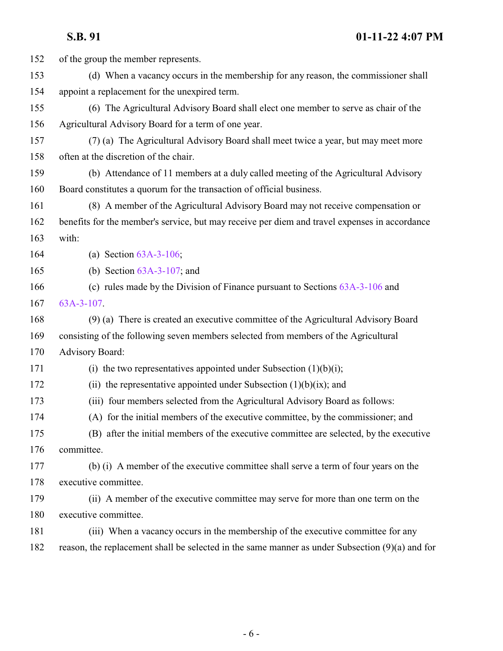| 152 | of the group the member represents.                                                             |
|-----|-------------------------------------------------------------------------------------------------|
| 153 | (d) When a vacancy occurs in the membership for any reason, the commissioner shall              |
| 154 | appoint a replacement for the unexpired term.                                                   |
| 155 | (6) The Agricultural Advisory Board shall elect one member to serve as chair of the             |
| 156 | Agricultural Advisory Board for a term of one year.                                             |
| 157 | (7) (a) The Agricultural Advisory Board shall meet twice a year, but may meet more              |
| 158 | often at the discretion of the chair.                                                           |
| 159 | (b) Attendance of 11 members at a duly called meeting of the Agricultural Advisory              |
| 160 | Board constitutes a quorum for the transaction of official business.                            |
| 161 | (8) A member of the Agricultural Advisory Board may not receive compensation or                 |
| 162 | benefits for the member's service, but may receive per diem and travel expenses in accordance   |
| 163 | with:                                                                                           |
| 164 | (a) Section $63A-3-106$ ;                                                                       |
| 165 | (b) Section $63A-3-107$ ; and                                                                   |
| 166 | (c) rules made by the Division of Finance pursuant to Sections $63A-3-106$ and                  |
| 167 | $63A-3-107$ .                                                                                   |
| 168 | (9) (a) There is created an executive committee of the Agricultural Advisory Board              |
| 169 | consisting of the following seven members selected from members of the Agricultural             |
| 170 | <b>Advisory Board:</b>                                                                          |
| 171 | (i) the two representatives appointed under Subsection $(1)(b)(i)$ ;                            |
| 172 | (ii) the representative appointed under Subsection $(1)(b)(ix)$ ; and                           |
| 173 | (iii) four members selected from the Agricultural Advisory Board as follows:                    |
| 174 | (A) for the initial members of the executive committee, by the commissioner; and                |
| 175 | (B) after the initial members of the executive committee are selected, by the executive         |
| 176 | committee.                                                                                      |
| 177 | (b) (i) A member of the executive committee shall serve a term of four years on the             |
| 178 | executive committee.                                                                            |
| 179 | (ii) A member of the executive committee may serve for more than one term on the                |
| 180 | executive committee.                                                                            |
| 181 | (iii) When a vacancy occurs in the membership of the executive committee for any                |
| 182 | reason, the replacement shall be selected in the same manner as under Subsection (9)(a) and for |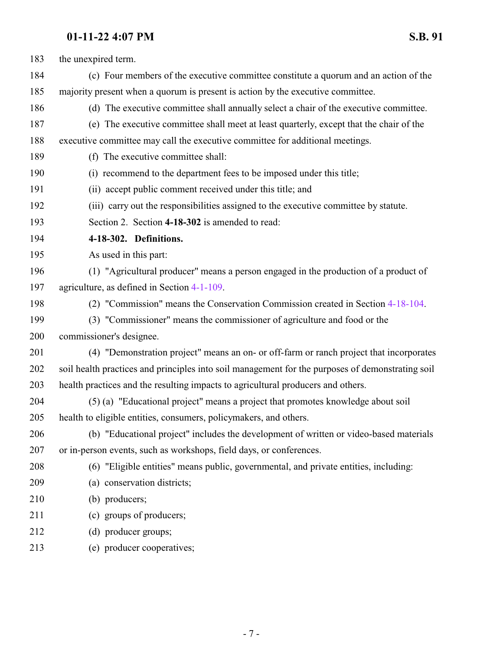<span id="page-6-0"></span>

| 183 | the unexpired term.                                                                              |
|-----|--------------------------------------------------------------------------------------------------|
| 184 | (c) Four members of the executive committee constitute a quorum and an action of the             |
| 185 | majority present when a quorum is present is action by the executive committee.                  |
| 186 | (d) The executive committee shall annually select a chair of the executive committee.            |
| 187 | (e) The executive committee shall meet at least quarterly, except that the chair of the          |
| 188 | executive committee may call the executive committee for additional meetings.                    |
| 189 | (f) The executive committee shall:                                                               |
| 190 | (i) recommend to the department fees to be imposed under this title;                             |
| 191 | (ii) accept public comment received under this title; and                                        |
| 192 | (iii) carry out the responsibilities assigned to the executive committee by statute.             |
| 193 | Section 2. Section 4-18-302 is amended to read:                                                  |
| 194 | 4-18-302. Definitions.                                                                           |
| 195 | As used in this part:                                                                            |
| 196 | (1) "Agricultural producer" means a person engaged in the production of a product of             |
| 197 | agriculture, as defined in Section 4-1-109.                                                      |
| 198 | (2) "Commission" means the Conservation Commission created in Section 4-18-104.                  |
| 199 | (3) "Commissioner" means the commissioner of agriculture and food or the                         |
| 200 | commissioner's designee.                                                                         |
| 201 | (4) "Demonstration project" means an on- or off-farm or ranch project that incorporates          |
| 202 | soil health practices and principles into soil management for the purposes of demonstrating soil |
| 203 | health practices and the resulting impacts to agricultural producers and others.                 |
| 204 | (5) (a) "Educational project" means a project that promotes knowledge about soil                 |
| 205 | health to eligible entities, consumers, policymakers, and others.                                |
| 206 | (b) "Educational project" includes the development of written or video-based materials           |
| 207 | or in-person events, such as workshops, field days, or conferences.                              |
| 208 | (6) "Eligible entities" means public, governmental, and private entities, including:             |
| 209 | (a) conservation districts;                                                                      |
| 210 | (b) producers;                                                                                   |
| 211 | (c) groups of producers;                                                                         |
| 212 | (d) producer groups;                                                                             |
| 213 | (e) producer cooperatives;                                                                       |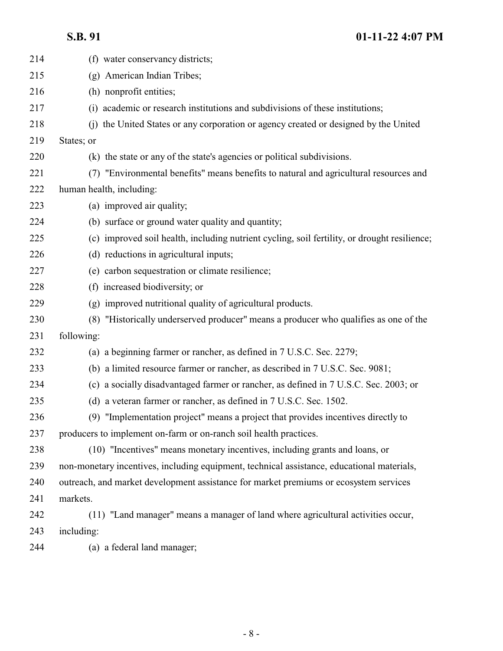| 214 | (f) water conservancy districts;                                                             |
|-----|----------------------------------------------------------------------------------------------|
| 215 | (g) American Indian Tribes;                                                                  |
| 216 | (h) nonprofit entities;                                                                      |
| 217 | (i) academic or research institutions and subdivisions of these institutions;                |
| 218 | (j) the United States or any corporation or agency created or designed by the United         |
| 219 | States; or                                                                                   |
| 220 | (k) the state or any of the state's agencies or political subdivisions.                      |
| 221 | (7) "Environmental benefits" means benefits to natural and agricultural resources and        |
| 222 | human health, including:                                                                     |
| 223 | (a) improved air quality;                                                                    |
| 224 | (b) surface or ground water quality and quantity;                                            |
| 225 | (c) improved soil health, including nutrient cycling, soil fertility, or drought resilience; |
| 226 | (d) reductions in agricultural inputs;                                                       |
| 227 | (e) carbon sequestration or climate resilience;                                              |
| 228 | (f) increased biodiversity; or                                                               |
| 229 | (g) improved nutritional quality of agricultural products.                                   |
| 230 | "Historically underserved producer" means a producer who qualifies as one of the<br>(8)      |
| 231 | following:                                                                                   |
| 232 | (a) a beginning farmer or rancher, as defined in 7 U.S.C. Sec. 2279;                         |
| 233 | (b) a limited resource farmer or rancher, as described in 7 U.S.C. Sec. 9081;                |
| 234 | (c) a socially disadvantaged farmer or rancher, as defined in 7 U.S.C. Sec. 2003; or         |
| 235 | (d) a veteran farmer or rancher, as defined in 7 U.S.C. Sec. 1502.                           |
| 236 | (9) "Implementation project" means a project that provides incentives directly to            |
| 237 | producers to implement on-farm or on-ranch soil health practices.                            |
| 238 | (10) "Incentives" means monetary incentives, including grants and loans, or                  |
| 239 | non-monetary incentives, including equipment, technical assistance, educational materials,   |
| 240 | outreach, and market development assistance for market premiums or ecosystem services        |
| 241 | markets.                                                                                     |
| 242 | (11) "Land manager" means a manager of land where agricultural activities occur,             |
| 243 | including:                                                                                   |
| 244 | (a) a federal land manager;                                                                  |
|     |                                                                                              |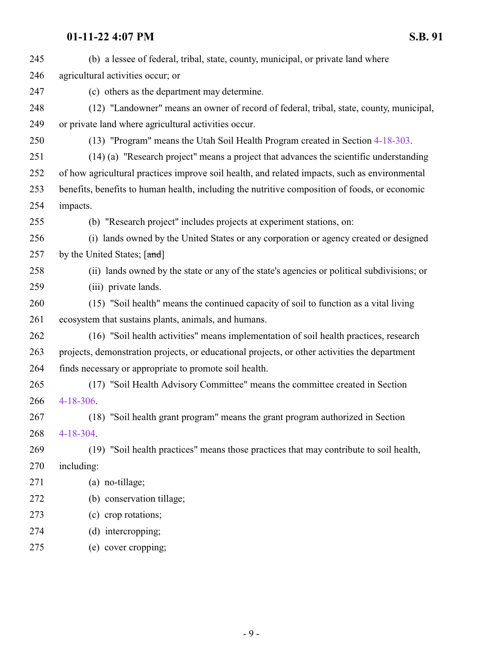| 245 | (b) a lessee of federal, tribal, state, county, municipal, or private land where              |
|-----|-----------------------------------------------------------------------------------------------|
| 246 | agricultural activities occur; or                                                             |
| 247 | (c) others as the department may determine.                                                   |
| 248 | (12) "Landowner" means an owner of record of federal, tribal, state, county, municipal,       |
| 249 | or private land where agricultural activities occur.                                          |
| 250 | (13) "Program" means the Utah Soil Health Program created in Section 4-18-303.                |
| 251 | (14) (a) "Research project" means a project that advances the scientific understanding        |
| 252 | of how agricultural practices improve soil health, and related impacts, such as environmental |
| 253 | benefits, benefits to human health, including the nutritive composition of foods, or economic |
| 254 | impacts.                                                                                      |
| 255 | (b) "Research project" includes projects at experiment stations, on:                          |
| 256 | (i) lands owned by the United States or any corporation or agency created or designed         |
| 257 | by the United States; [and]                                                                   |
| 258 | (ii) lands owned by the state or any of the state's agencies or political subdivisions; or    |
| 259 | (iii) private lands.                                                                          |
| 260 | (15) "Soil health" means the continued capacity of soil to function as a vital living         |
| 261 | ecosystem that sustains plants, animals, and humans.                                          |
| 262 | (16) "Soil health activities" means implementation of soil health practices, research         |
| 263 | projects, demonstration projects, or educational projects, or other activities the department |
| 264 | finds necessary or appropriate to promote soil health.                                        |
| 265 | (17) "Soil Health Advisory Committee" means the committee created in Section                  |
| 266 | $4 - 18 - 306$ .                                                                              |
| 267 | (18) "Soil health grant program" means the grant program authorized in Section                |
| 268 | $4 - 18 - 304$                                                                                |
| 269 | (19) "Soil health practices" means those practices that may contribute to soil health,        |
| 270 | including:                                                                                    |
| 271 | (a) no-tillage;                                                                               |
| 272 | (b) conservation tillage;                                                                     |
| 273 | (c) crop rotations;                                                                           |
| 274 | (d) intercropping;                                                                            |
| 275 | (e) cover cropping;                                                                           |
|     |                                                                                               |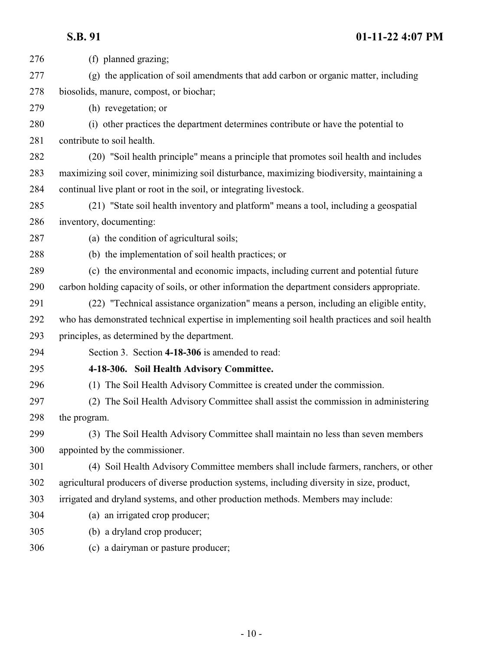<span id="page-9-0"></span>

| 276 | (f) planned grazing;                                                                           |
|-----|------------------------------------------------------------------------------------------------|
| 277 | (g) the application of soil amendments that add carbon or organic matter, including            |
| 278 | biosolids, manure, compost, or biochar;                                                        |
| 279 | (h) revegetation; or                                                                           |
| 280 | (i) other practices the department determines contribute or have the potential to              |
| 281 | contribute to soil health.                                                                     |
| 282 | (20) "Soil health principle" means a principle that promotes soil health and includes          |
| 283 | maximizing soil cover, minimizing soil disturbance, maximizing biodiversity, maintaining a     |
| 284 | continual live plant or root in the soil, or integrating livestock.                            |
| 285 | (21) "State soil health inventory and platform" means a tool, including a geospatial           |
| 286 | inventory, documenting:                                                                        |
| 287 | (a) the condition of agricultural soils;                                                       |
| 288 | (b) the implementation of soil health practices; or                                            |
| 289 | (c) the environmental and economic impacts, including current and potential future             |
| 290 | carbon holding capacity of soils, or other information the department considers appropriate.   |
| 291 | (22) "Technical assistance organization" means a person, including an eligible entity,         |
| 292 | who has demonstrated technical expertise in implementing soil health practices and soil health |
| 293 | principles, as determined by the department.                                                   |
| 294 | Section 3. Section 4-18-306 is amended to read:                                                |
| 295 | 4-18-306. Soil Health Advisory Committee.                                                      |
| 296 | (1) The Soil Health Advisory Committee is created under the commission.                        |
| 297 | (2) The Soil Health Advisory Committee shall assist the commission in administering            |
| 298 | the program.                                                                                   |
| 299 | (3) The Soil Health Advisory Committee shall maintain no less than seven members               |
| 300 | appointed by the commissioner.                                                                 |
| 301 | (4) Soil Health Advisory Committee members shall include farmers, ranchers, or other           |
| 302 | agricultural producers of diverse production systems, including diversity in size, product,    |
| 303 | irrigated and dryland systems, and other production methods. Members may include:              |
| 304 | (a) an irrigated crop producer;                                                                |
| 305 | (b) a dryland crop producer;                                                                   |
| 306 | (c) a dairyman or pasture producer;                                                            |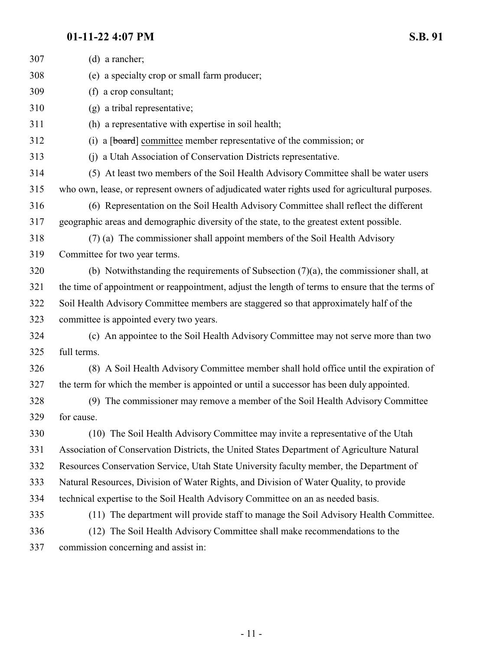| 307 | (d) a rancher;                                                                                   |
|-----|--------------------------------------------------------------------------------------------------|
| 308 | (e) a specialty crop or small farm producer;                                                     |
| 309 | (f) a crop consultant;                                                                           |
| 310 | (g) a tribal representative;                                                                     |
| 311 | (h) a representative with expertise in soil health;                                              |
| 312 | a [board] committee member representative of the commission; or<br>(i)                           |
| 313 | (j) a Utah Association of Conservation Districts representative.                                 |
| 314 | (5) At least two members of the Soil Health Advisory Committee shall be water users              |
| 315 | who own, lease, or represent owners of adjudicated water rights used for agricultural purposes.  |
| 316 | (6) Representation on the Soil Health Advisory Committee shall reflect the different             |
| 317 | geographic areas and demographic diversity of the state, to the greatest extent possible.        |
| 318 | (7) (a) The commissioner shall appoint members of the Soil Health Advisory                       |
| 319 | Committee for two year terms.                                                                    |
| 320 | (b) Notwithstanding the requirements of Subsection $(7)(a)$ , the commissioner shall, at         |
| 321 | the time of appointment or reappointment, adjust the length of terms to ensure that the terms of |
| 322 | Soil Health Advisory Committee members are staggered so that approximately half of the           |
| 323 | committee is appointed every two years.                                                          |
| 324 | (c) An appointee to the Soil Health Advisory Committee may not serve more than two               |
| 325 | full terms.                                                                                      |
| 326 | (8) A Soil Health Advisory Committee member shall hold office until the expiration of            |
| 327 | the term for which the member is appointed or until a successor has been duly appointed.         |
| 328 | (9) The commissioner may remove a member of the Soil Health Advisory Committee                   |
| 329 | for cause.                                                                                       |
| 330 | (10) The Soil Health Advisory Committee may invite a representative of the Utah                  |
| 331 | Association of Conservation Districts, the United States Department of Agriculture Natural       |
| 332 | Resources Conservation Service, Utah State University faculty member, the Department of          |
| 333 | Natural Resources, Division of Water Rights, and Division of Water Quality, to provide           |
| 334 | technical expertise to the Soil Health Advisory Committee on an as needed basis.                 |
| 335 | (11) The department will provide staff to manage the Soil Advisory Health Committee.             |
| 336 | (12) The Soil Health Advisory Committee shall make recommendations to the                        |
| 337 | commission concerning and assist in:                                                             |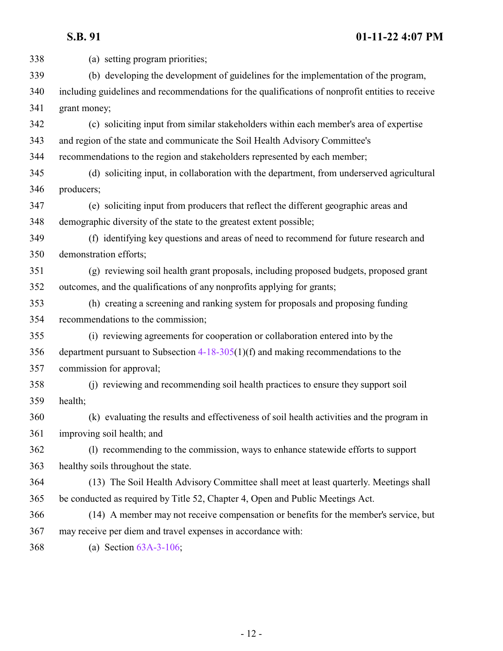(a) setting program priorities; (b) developing the development of guidelines for the implementation of the program, including guidelines and recommendations for the qualifications of nonprofit entities to receive grant money; (c) soliciting input from similar stakeholders within each member's area of expertise and region of the state and communicate the Soil Health Advisory Committee's recommendations to the region and stakeholders represented by each member; (d) soliciting input, in collaboration with the department, from underserved agricultural producers; (e) soliciting input from producers that reflect the different geographic areas and demographic diversity of the state to the greatest extent possible; (f) identifying key questions and areas of need to recommend for future research and demonstration efforts; (g) reviewing soil health grant proposals, including proposed budgets, proposed grant outcomes, and the qualifications of any nonprofits applying for grants; (h) creating a screening and ranking system for proposals and proposing funding recommendations to the commission; (i) reviewing agreements for cooperation or collaboration entered into by the department pursuant to Subsection [4-18-305](http://le.utah.gov/UtahCode/SectionLookup.jsp?section=4-18-305&session=2022GS)(1)(f) and making recommendations to the commission for approval; (j) reviewing and recommending soil health practices to ensure they support soil health; (k) evaluating the results and effectiveness of soil health activities and the program in improving soil health; and (l) recommending to the commission, ways to enhance statewide efforts to support healthy soils throughout the state. (13) The Soil Health Advisory Committee shall meet at least quarterly. Meetings shall be conducted as required by Title 52, Chapter 4, Open and Public Meetings Act. (14) A member may not receive compensation or benefits for the member's service, but may receive per diem and travel expenses in accordance with: (a) Section [63A-3-106](http://le.utah.gov/UtahCode/SectionLookup.jsp?section=63a-3-106&session=2022GS);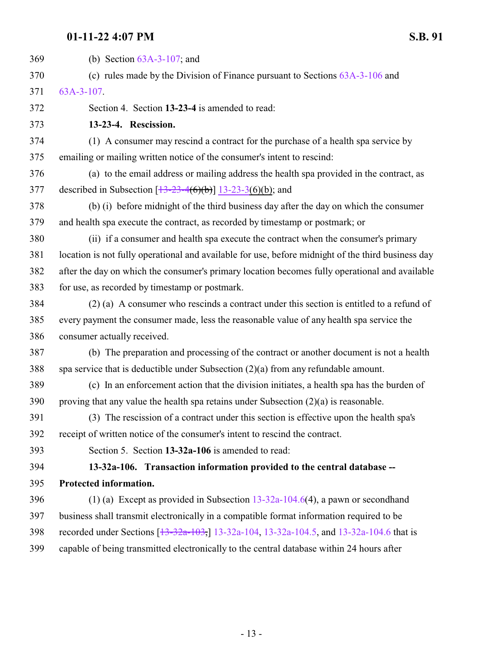<span id="page-12-1"></span><span id="page-12-0"></span>

| 369 | (b) Section $63A-3-107$ ; and                                                                      |
|-----|----------------------------------------------------------------------------------------------------|
| 370 | (c) rules made by the Division of Finance pursuant to Sections $63A-3-106$ and                     |
| 371 | $63A-3-107$ .                                                                                      |
| 372 | Section 4. Section 13-23-4 is amended to read:                                                     |
| 373 | 13-23-4. Rescission.                                                                               |
| 374 | (1) A consumer may rescind a contract for the purchase of a health spa service by                  |
| 375 | emailing or mailing written notice of the consumer's intent to rescind:                            |
| 376 | (a) to the email address or mailing address the health spa provided in the contract, as            |
| 377 | described in Subsection $[13-23-4(6)(b)]$ 13-23-3(6)(b); and                                       |
| 378 | (b) (i) before midnight of the third business day after the day on which the consumer              |
| 379 | and health spa execute the contract, as recorded by timestamp or postmark; or                      |
| 380 | (ii) if a consumer and health spa execute the contract when the consumer's primary                 |
| 381 | location is not fully operational and available for use, before midnight of the third business day |
| 382 | after the day on which the consumer's primary location becomes fully operational and available     |
| 383 | for use, as recorded by timestamp or postmark.                                                     |
| 384 | (2) (a) A consumer who rescinds a contract under this section is entitled to a refund of           |
| 385 | every payment the consumer made, less the reasonable value of any health spa service the           |
| 386 | consumer actually received.                                                                        |
| 387 | (b) The preparation and processing of the contract or another document is not a health             |
| 388 | spa service that is deductible under Subsection $(2)(a)$ from any refundable amount.               |
| 389 | (c) In an enforcement action that the division initiates, a health spa has the burden of           |
| 390 | proving that any value the health spa retains under Subsection $(2)(a)$ is reasonable.             |
| 391 | (3) The rescission of a contract under this section is effective upon the health spa's             |
| 392 | receipt of written notice of the consumer's intent to rescind the contract.                        |
| 393 | Section 5. Section 13-32a-106 is amended to read:                                                  |
| 394 | 13-32a-106. Transaction information provided to the central database --                            |
| 395 | Protected information.                                                                             |
| 396 | (1) (a) Except as provided in Subsection $13-32a-104.6(4)$ , a pawn or second hand                 |
| 397 | business shall transmit electronically in a compatible format information required to be           |
| 398 | recorded under Sections [13-32a-103,] 13-32a-104, 13-32a-104.5, and 13-32a-104.6 that is           |
| 399 | capable of being transmitted electronically to the central database within 24 hours after          |
|     |                                                                                                    |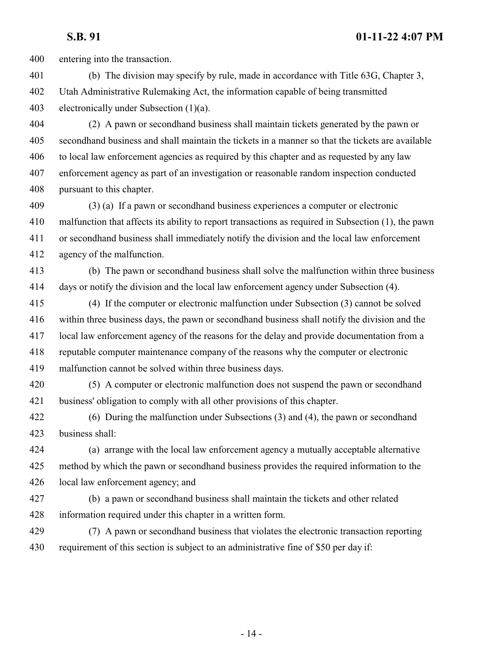entering into the transaction.

 (b) The division may specify by rule, made in accordance with Title 63G, Chapter 3, Utah Administrative Rulemaking Act, the information capable of being transmitted electronically under Subsection (1)(a).

 (2) A pawn or secondhand business shall maintain tickets generated by the pawn or secondhand business and shall maintain the tickets in a manner so that the tickets are available to local law enforcement agencies as required by this chapter and as requested by any law enforcement agency as part of an investigation or reasonable random inspection conducted pursuant to this chapter.

 (3) (a) If a pawn or secondhand business experiences a computer or electronic malfunction that affects its ability to report transactions as required in Subsection (1), the pawn or secondhand business shall immediately notify the division and the local law enforcement agency of the malfunction.

 (b) The pawn or secondhand business shall solve the malfunction within three business days or notify the division and the local law enforcement agency under Subsection (4).

- (4) If the computer or electronic malfunction under Subsection (3) cannot be solved within three business days, the pawn or secondhand business shall notify the division and the local law enforcement agency of the reasons for the delay and provide documentation from a reputable computer maintenance company of the reasons why the computer or electronic malfunction cannot be solved within three business days.
- (5) A computer or electronic malfunction does not suspend the pawn or secondhand business' obligation to comply with all other provisions of this chapter.
- (6) During the malfunction under Subsections (3) and (4), the pawn or secondhand business shall:

 (a) arrange with the local law enforcement agency a mutually acceptable alternative method by which the pawn or secondhand business provides the required information to the local law enforcement agency; and

- (b) a pawn or secondhand business shall maintain the tickets and other related information required under this chapter in a written form.
- (7) A pawn or secondhand business that violates the electronic transaction reporting requirement of this section is subject to an administrative fine of \$50 per day if: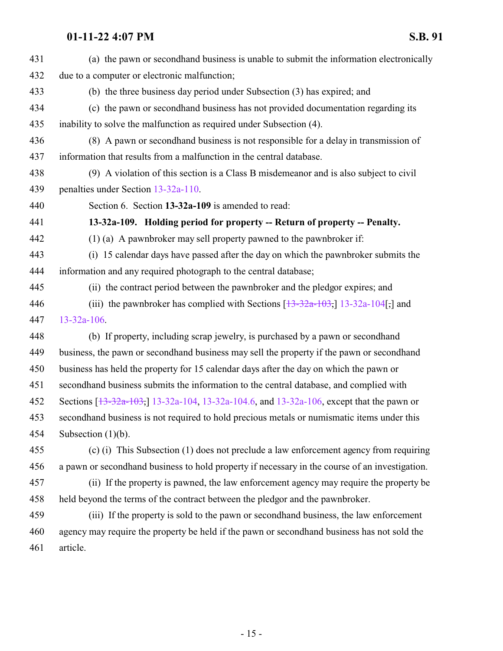<span id="page-14-0"></span>

| 431 | (a) the pawn or second hand business is unable to submit the information electronically               |
|-----|-------------------------------------------------------------------------------------------------------|
| 432 | due to a computer or electronic malfunction;                                                          |
| 433 | (b) the three business day period under Subsection (3) has expired; and                               |
| 434 | (c) the pawn or second hand business has not provided documentation regarding its                     |
| 435 | inability to solve the malfunction as required under Subsection (4).                                  |
| 436 | (8) A pawn or second hand business is not responsible for a delay in transmission of                  |
| 437 | information that results from a malfunction in the central database.                                  |
| 438 | (9) A violation of this section is a Class B misdemeanor and is also subject to civil                 |
| 439 | penalties under Section 13-32a-110.                                                                   |
| 440 | Section 6. Section 13-32a-109 is amended to read:                                                     |
| 441 | 13-32a-109. Holding period for property -- Return of property -- Penalty.                             |
| 442 | $(1)$ (a) A pawnbroker may sell property pawned to the pawnbroker if:                                 |
| 443 | (i) 15 calendar days have passed after the day on which the pawnbroker submits the                    |
| 444 | information and any required photograph to the central database;                                      |
| 445 | (ii) the contract period between the pawnbroker and the pledgor expires; and                          |
| 446 | (iii) the pawnbroker has complied with Sections $[\frac{13-32a-103}{13-32a-104}]$ and                 |
| 447 | $13 - 32a - 106$ .                                                                                    |
| 448 | (b) If property, including scrap jewelry, is purchased by a pawn or secondhand                        |
| 449 | business, the pawn or second hand business may sell the property if the pawn or second hand           |
| 450 | business has held the property for 15 calendar days after the day on which the pawn or                |
| 451 | secondhand business submits the information to the central database, and complied with                |
| 452 | Sections [ <del>13-32a-103]</del> , 13-32a-104, 13-32a-104.6, and 13-32a-106, except that the pawn or |
| 453 | secondhand business is not required to hold precious metals or numismatic items under this            |
| 454 | Subsection $(1)(b)$ .                                                                                 |
| 455 | (c) (i) This Subsection (1) does not preclude a law enforcement agency from requiring                 |
| 456 | a pawn or second hand business to hold property if necessary in the course of an investigation.       |
| 457 | (ii) If the property is pawned, the law enforcement agency may require the property be                |
| 458 | held beyond the terms of the contract between the pledgor and the pawnbroker.                         |
| 459 | (iii) If the property is sold to the pawn or second hand business, the law enforcement                |
| 460 | agency may require the property be held if the pawn or second hand business has not sold the          |
| 461 | article.                                                                                              |
|     |                                                                                                       |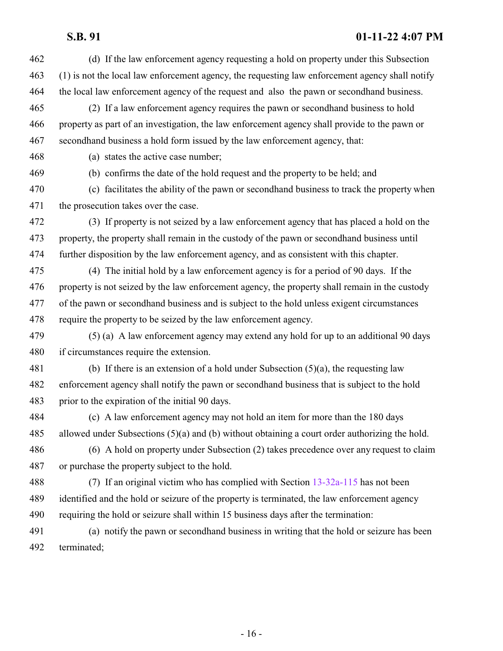- (d) If the law enforcement agency requesting a hold on property under this Subsection (1) is not the local law enforcement agency, the requesting law enforcement agency shall notify the local law enforcement agency of the request and also the pawn or secondhand business. (2) If a law enforcement agency requires the pawn or secondhand business to hold property as part of an investigation, the law enforcement agency shall provide to the pawn or secondhand business a hold form issued by the law enforcement agency, that: (a) states the active case number; (b) confirms the date of the hold request and the property to be held; and (c) facilitates the ability of the pawn or secondhand business to track the property when the prosecution takes over the case. (3) If property is not seized by a law enforcement agency that has placed a hold on the property, the property shall remain in the custody of the pawn or secondhand business until further disposition by the law enforcement agency, and as consistent with this chapter. (4) The initial hold by a law enforcement agency is for a period of 90 days. If the property is not seized by the law enforcement agency, the property shall remain in the custody of the pawn or secondhand business and is subject to the hold unless exigent circumstances require the property to be seized by the law enforcement agency. (5) (a) A law enforcement agency may extend any hold for up to an additional 90 days if circumstances require the extension. (b) If there is an extension of a hold under Subsection (5)(a), the requesting law enforcement agency shall notify the pawn or secondhand business that is subject to the hold prior to the expiration of the initial 90 days. (c) A law enforcement agency may not hold an item for more than the 180 days allowed under Subsections (5)(a) and (b) without obtaining a court order authorizing the hold. (6) A hold on property under Subsection (2) takes precedence over any request to claim or purchase the property subject to the hold. (7) If an original victim who has complied with Section [13-32a-115](http://le.utah.gov/UtahCode/SectionLookup.jsp?section=13-32a-115&session=2022GS) has not been identified and the hold or seizure of the property is terminated, the law enforcement agency requiring the hold or seizure shall within 15 business days after the termination: (a) notify the pawn or secondhand business in writing that the hold or seizure has been
- terminated;

- 16 -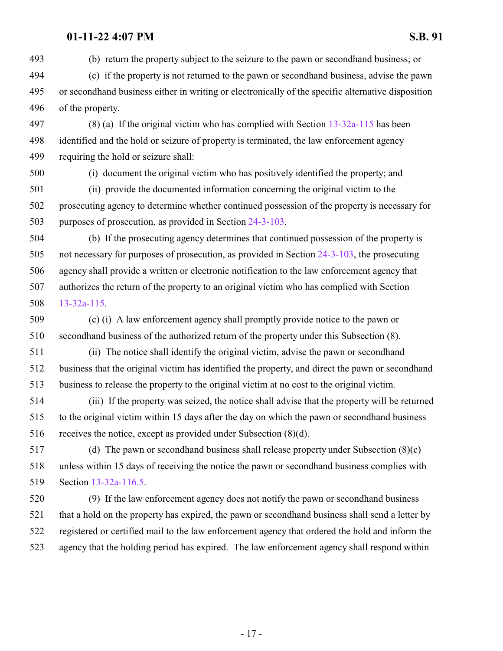(b) return the property subject to the seizure to the pawn or secondhand business; or

 (c) if the property is not returned to the pawn or secondhand business, advise the pawn or secondhand business either in writing or electronically of the specific alternative disposition of the property.

 (8) (a) If the original victim who has complied with Section [13-32a-115](http://le.utah.gov/UtahCode/SectionLookup.jsp?section=13-32a-115&session=2022GS) has been identified and the hold or seizure of property is terminated, the law enforcement agency requiring the hold or seizure shall:

(i) document the original victim who has positively identified the property; and

 (ii) provide the documented information concerning the original victim to the prosecuting agency to determine whether continued possession of the property is necessary for purposes of prosecution, as provided in Section [24-3-103](http://le.utah.gov/UtahCode/SectionLookup.jsp?section=24-3-103&session=2022GS).

 (b) If the prosecuting agency determines that continued possession of the property is not necessary for purposes of prosecution, as provided in Section [24-3-103](http://le.utah.gov/UtahCode/SectionLookup.jsp?section=24-3-103&session=2022GS), the prosecuting agency shall provide a written or electronic notification to the law enforcement agency that authorizes the return of the property to an original victim who has complied with Section [13-32a-115](http://le.utah.gov/UtahCode/SectionLookup.jsp?section=13-32a-115&session=2022GS).

 (c) (i) A law enforcement agency shall promptly provide notice to the pawn or secondhand business of the authorized return of the property under this Subsection (8).

 (ii) The notice shall identify the original victim, advise the pawn or secondhand business that the original victim has identified the property, and direct the pawn or secondhand business to release the property to the original victim at no cost to the original victim.

 (iii) If the property was seized, the notice shall advise that the property will be returned to the original victim within 15 days after the day on which the pawn or secondhand business receives the notice, except as provided under Subsection (8)(d).

 (d) The pawn or secondhand business shall release property under Subsection (8)(c) unless within 15 days of receiving the notice the pawn or secondhand business complies with Section [13-32a-116.5](#page-17-0).

 (9) If the law enforcement agency does not notify the pawn or secondhand business that a hold on the property has expired, the pawn or secondhand business shall send a letter by registered or certified mail to the law enforcement agency that ordered the hold and inform the agency that the holding period has expired. The law enforcement agency shall respond within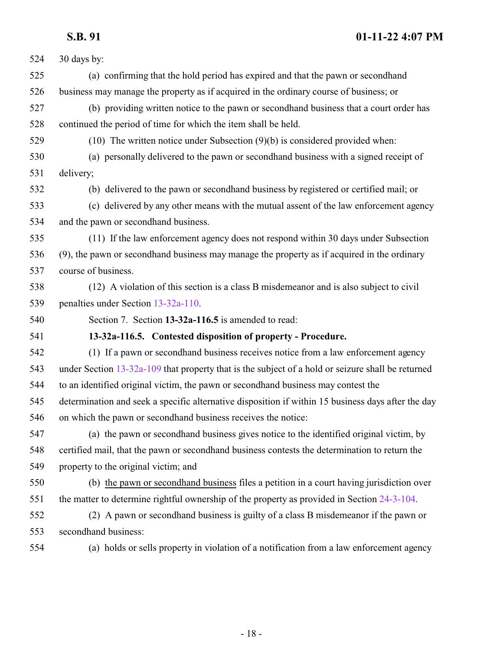<span id="page-17-0"></span>

| 524 | 30 days by:                                                                                        |
|-----|----------------------------------------------------------------------------------------------------|
| 525 | (a) confirming that the hold period has expired and that the pawn or second hand                   |
| 526 | business may manage the property as if acquired in the ordinary course of business; or             |
| 527 | (b) providing written notice to the pawn or second hand business that a court order has            |
| 528 | continued the period of time for which the item shall be held.                                     |
| 529 | $(10)$ The written notice under Subsection $(9)(b)$ is considered provided when:                   |
| 530 | (a) personally delivered to the pawn or second hand business with a signed receipt of              |
| 531 | delivery;                                                                                          |
| 532 | (b) delivered to the pawn or second hand business by registered or certified mail; or              |
| 533 | (c) delivered by any other means with the mutual assent of the law enforcement agency              |
| 534 | and the pawn or secondhand business.                                                               |
| 535 | (11) If the law enforcement agency does not respond within 30 days under Subsection                |
| 536 | (9), the pawn or second hand business may manage the property as if acquired in the ordinary       |
| 537 | course of business.                                                                                |
| 538 | (12) A violation of this section is a class B misdemeanor and is also subject to civil             |
| 539 | penalties under Section 13-32a-110.                                                                |
| 540 | Section 7. Section 13-32a-116.5 is amended to read:                                                |
| 541 | 13-32a-116.5. Contested disposition of property - Procedure.                                       |
| 542 | (1) If a pawn or secondhand business receives notice from a law enforcement agency                 |
| 543 | under Section 13-32a-109 that property that is the subject of a hold or seizure shall be returned  |
| 544 | to an identified original victim, the pawn or second hand business may contest the                 |
| 545 | determination and seek a specific alternative disposition if within 15 business days after the day |
| 546 | on which the pawn or second hand business receives the notice:                                     |
| 547 | (a) the pawn or secondhand business gives notice to the identified original victim, by             |
| 548 | certified mail, that the pawn or secondhand business contests the determination to return the      |
| 549 | property to the original victim; and                                                               |
| 550 | (b) the pawn or second hand business files a petition in a court having jurisdiction over          |
| 551 | the matter to determine rightful ownership of the property as provided in Section 24-3-104.        |
| 552 | (2) A pawn or second hand business is guilty of a class B misdemeanor if the pawn or               |
| 553 | secondhand business:                                                                               |
| 554 | (a) holds or sells property in violation of a notification from a law enforcement agency           |
|     |                                                                                                    |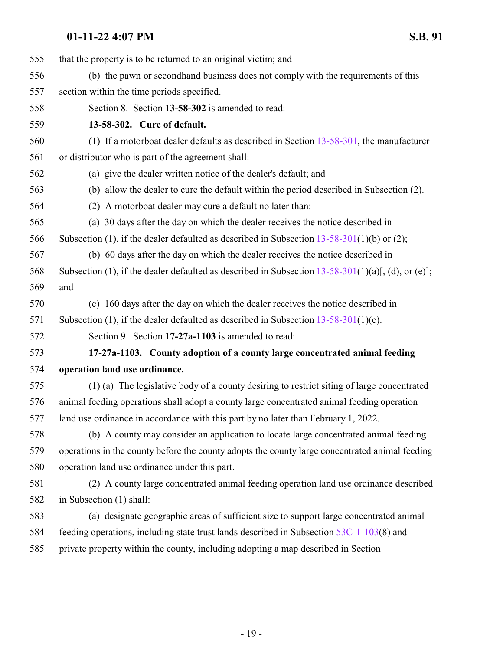<span id="page-18-1"></span><span id="page-18-0"></span>

| 555 | that the property is to be returned to an original victim; and                                            |
|-----|-----------------------------------------------------------------------------------------------------------|
| 556 | (b) the pawn or second hand business does not comply with the requirements of this                        |
| 557 | section within the time periods specified.                                                                |
| 558 | Section 8. Section 13-58-302 is amended to read:                                                          |
| 559 | 13-58-302. Cure of default.                                                                               |
| 560 | (1) If a motorboat dealer defaults as described in Section $13-58-301$ , the manufacturer                 |
| 561 | or distributor who is part of the agreement shall:                                                        |
| 562 | (a) give the dealer written notice of the dealer's default; and                                           |
| 563 | (b) allow the dealer to cure the default within the period described in Subsection (2).                   |
| 564 | (2) A motorboat dealer may cure a default no later than:                                                  |
| 565 | (a) 30 days after the day on which the dealer receives the notice described in                            |
| 566 | Subsection (1), if the dealer defaulted as described in Subsection $13-58-301(1)(b)$ or (2);              |
| 567 | (b) 60 days after the day on which the dealer receives the notice described in                            |
| 568 | Subsection (1), if the dealer defaulted as described in Subsection $13-58-301(1)(a)$ , $(d)$ , or $(e)$ , |
| 569 | and                                                                                                       |
| 570 | (c) 160 days after the day on which the dealer receives the notice described in                           |
| 571 | Subsection (1), if the dealer defaulted as described in Subsection $13-58-301(1)(c)$ .                    |
| 572 | Section 9. Section 17-27a-1103 is amended to read:                                                        |
| 573 | 17-27a-1103. County adoption of a county large concentrated animal feeding                                |
| 574 | operation land use ordinance.                                                                             |
| 575 | (1) (a) The legislative body of a county desiring to restrict siting of large concentrated                |
| 576 | animal feeding operations shall adopt a county large concentrated animal feeding operation                |
| 577 | land use ordinance in accordance with this part by no later than February 1, 2022.                        |
| 578 | (b) A county may consider an application to locate large concentrated animal feeding                      |
| 579 | operations in the county before the county adopts the county large concentrated animal feeding            |
| 580 | operation land use ordinance under this part.                                                             |
| 581 | (2) A county large concentrated animal feeding operation land use ordinance described                     |
| 582 | in Subsection (1) shall:                                                                                  |
| 583 | (a) designate geographic areas of sufficient size to support large concentrated animal                    |
| 584 | feeding operations, including state trust lands described in Subsection 53C-1-103(8) and                  |
| 585 | private property within the county, including adopting a map described in Section                         |
|     |                                                                                                           |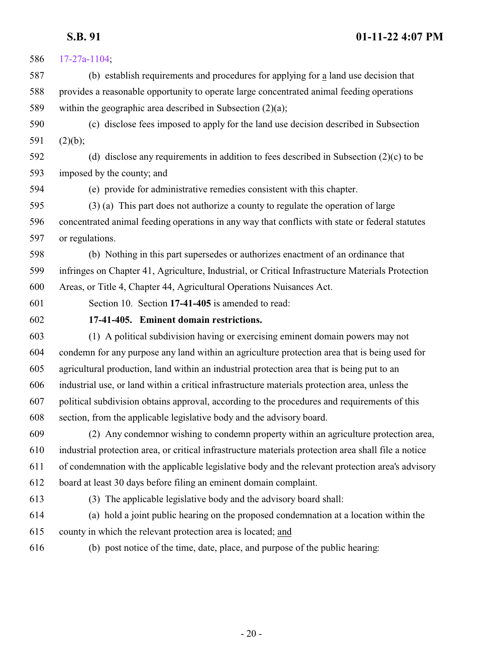<span id="page-19-0"></span>

| 586 | $17 - 27a - 1104$ ;                                                                                  |
|-----|------------------------------------------------------------------------------------------------------|
| 587 | (b) establish requirements and procedures for applying for a land use decision that                  |
| 588 | provides a reasonable opportunity to operate large concentrated animal feeding operations            |
| 589 | within the geographic area described in Subsection $(2)(a)$ ;                                        |
| 590 | (c) disclose fees imposed to apply for the land use decision described in Subsection                 |
| 591 | (2)(b);                                                                                              |
| 592 | (d) disclose any requirements in addition to fees described in Subsection $(2)(c)$ to be             |
| 593 | imposed by the county; and                                                                           |
| 594 | (e) provide for administrative remedies consistent with this chapter.                                |
| 595 | (3) (a) This part does not authorize a county to regulate the operation of large                     |
| 596 | concentrated animal feeding operations in any way that conflicts with state or federal statutes      |
| 597 | or regulations.                                                                                      |
| 598 | (b) Nothing in this part supersedes or authorizes enactment of an ordinance that                     |
| 599 | infringes on Chapter 41, Agriculture, Industrial, or Critical Infrastructure Materials Protection    |
| 600 | Areas, or Title 4, Chapter 44, Agricultural Operations Nuisances Act.                                |
| 601 | Section 10. Section 17-41-405 is amended to read:                                                    |
| 602 | 17-41-405. Eminent domain restrictions.                                                              |
| 603 | (1) A political subdivision having or exercising eminent domain powers may not                       |
| 604 | condemn for any purpose any land within an agriculture protection area that is being used for        |
| 605 | agricultural production, land within an industrial protection area that is being put to an           |
| 606 | industrial use, or land within a critical infrastructure materials protection area, unless the       |
| 607 | political subdivision obtains approval, according to the procedures and requirements of this         |
| 608 | section, from the applicable legislative body and the advisory board.                                |
| 609 | (2) Any condemnor wishing to condemn property within an agriculture protection area,                 |
| 610 | industrial protection area, or critical infrastructure materials protection area shall file a notice |
| 611 | of condemnation with the applicable legislative body and the relevant protection area's advisory     |
| 612 | board at least 30 days before filing an eminent domain complaint.                                    |
| 613 | (3) The applicable legislative body and the advisory board shall:                                    |
| 614 | (a) hold a joint public hearing on the proposed condemnation at a location within the                |
| 615 | county in which the relevant protection area is located; and                                         |
| 616 | (b) post notice of the time, date, place, and purpose of the public hearing:                         |
|     |                                                                                                      |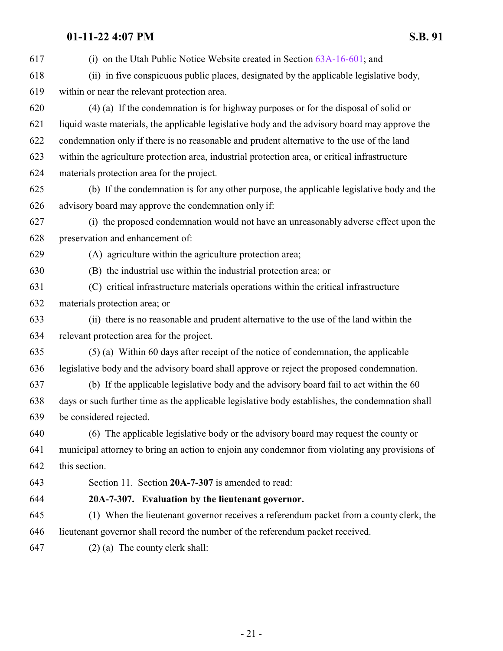<span id="page-20-0"></span>

| 617 | (i) on the Utah Public Notice Website created in Section $63A-16-601$ ; and                      |
|-----|--------------------------------------------------------------------------------------------------|
| 618 | (ii) in five conspicuous public places, designated by the applicable legislative body,           |
| 619 | within or near the relevant protection area.                                                     |
| 620 | $(4)$ (a) If the condemnation is for highway purposes or for the disposal of solid or            |
| 621 | liquid waste materials, the applicable legislative body and the advisory board may approve the   |
| 622 | condemnation only if there is no reasonable and prudent alternative to the use of the land       |
| 623 | within the agriculture protection area, industrial protection area, or critical infrastructure   |
| 624 | materials protection area for the project.                                                       |
| 625 | (b) If the condemnation is for any other purpose, the applicable legislative body and the        |
| 626 | advisory board may approve the condemnation only if:                                             |
| 627 | (i) the proposed condemnation would not have an unreasonably adverse effect upon the             |
| 628 | preservation and enhancement of:                                                                 |
| 629 | (A) agriculture within the agriculture protection area;                                          |
| 630 | (B) the industrial use within the industrial protection area; or                                 |
| 631 | (C) critical infrastructure materials operations within the critical infrastructure              |
| 632 | materials protection area; or                                                                    |
| 633 | (ii) there is no reasonable and prudent alternative to the use of the land within the            |
| 634 | relevant protection area for the project.                                                        |
| 635 | (5) (a) Within 60 days after receipt of the notice of condemnation, the applicable               |
| 636 | legislative body and the advisory board shall approve or reject the proposed condemnation.       |
| 637 | (b) If the applicable legislative body and the advisory board fail to act within the 60          |
| 638 | days or such further time as the applicable legislative body establishes, the condemnation shall |
| 639 | be considered rejected.                                                                          |
| 640 | (6) The applicable legislative body or the advisory board may request the county or              |
| 641 | municipal attorney to bring an action to enjoin any condemnor from violating any provisions of   |
| 642 | this section.                                                                                    |
| 643 | Section 11. Section 20A-7-307 is amended to read:                                                |
| 644 | 20A-7-307. Evaluation by the lieutenant governor.                                                |
| 645 | (1) When the lieutenant governor receives a referendum packet from a county clerk, the           |
| 646 | lieutenant governor shall record the number of the referendum packet received.                   |
| 647 | $(2)$ (a) The county clerk shall:                                                                |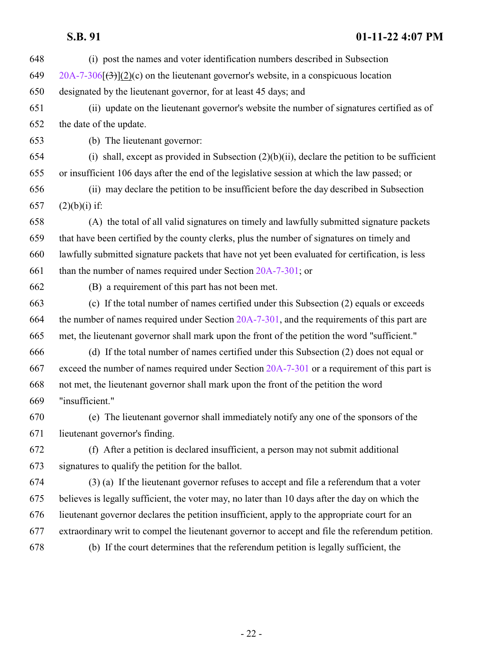| 648 | (i) post the names and voter identification numbers described in Subsection                      |
|-----|--------------------------------------------------------------------------------------------------|
| 649 | $20A-7-306$ (3)(2)(c) on the lieutenant governor's website, in a conspicuous location            |
| 650 | designated by the lieutenant governor, for at least 45 days; and                                 |
| 651 | (ii) update on the lieutenant governor's website the number of signatures certified as of        |
| 652 | the date of the update.                                                                          |
| 653 | (b) The lieutenant governor:                                                                     |
| 654 | (i) shall, except as provided in Subsection $(2)(b)(ii)$ , declare the petition to be sufficient |
| 655 | or insufficient 106 days after the end of the legislative session at which the law passed; or    |
| 656 | (ii) may declare the petition to be insufficient before the day described in Subsection          |
| 657 | $(2)(b)(i)$ if:                                                                                  |
| 658 | (A) the total of all valid signatures on timely and lawfully submitted signature packets         |
| 659 | that have been certified by the county clerks, plus the number of signatures on timely and       |
| 660 | lawfully submitted signature packets that have not yet been evaluated for certification, is less |
| 661 | than the number of names required under Section $20A-7-301$ ; or                                 |
| 662 | (B) a requirement of this part has not been met.                                                 |
| 663 | (c) If the total number of names certified under this Subsection (2) equals or exceeds           |
| 664 | the number of names required under Section $20A-7-301$ , and the requirements of this part are   |
| 665 | met, the lieutenant governor shall mark upon the front of the petition the word "sufficient."    |
| 666 | (d) If the total number of names certified under this Subsection (2) does not equal or           |
| 667 | exceed the number of names required under Section 20A-7-301 or a requirement of this part is     |
| 668 | not met, the lieutenant governor shall mark upon the front of the petition the word              |
| 669 | "insufficient."                                                                                  |
| 670 | (e) The lieutenant governor shall immediately notify any one of the sponsors of the              |
| 671 | lieutenant governor's finding.                                                                   |
| 672 | (f) After a petition is declared insufficient, a person may not submit additional                |
| 673 | signatures to qualify the petition for the ballot.                                               |
| 674 | (3) (a) If the lieutenant governor refuses to accept and file a referendum that a voter          |
| 675 | believes is legally sufficient, the voter may, no later than 10 days after the day on which the  |
| 676 | lieutenant governor declares the petition insufficient, apply to the appropriate court for an    |
| 677 | extraordinary writ to compel the lieutenant governor to accept and file the referendum petition. |
| 678 | (b) If the court determines that the referendum petition is legally sufficient, the              |
|     |                                                                                                  |
|     |                                                                                                  |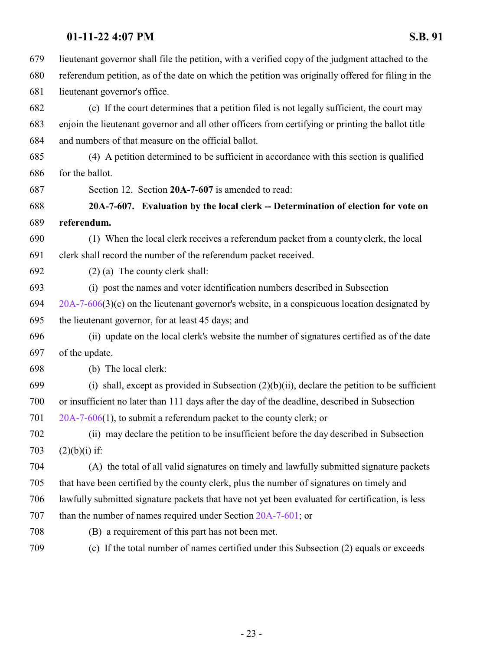lieutenant governor shall file the petition, with a verified copy of the judgment attached to the referendum petition, as of the date on which the petition was originally offered for filing in the lieutenant governor's office.

 (c) If the court determines that a petition filed is not legally sufficient, the court may enjoin the lieutenant governor and all other officers from certifying or printing the ballot title and numbers of that measure on the official ballot.

 (4) A petition determined to be sufficient in accordance with this section is qualified for the ballot.

<span id="page-22-0"></span>Section 12. Section **20A-7-607** is amended to read:

 **20A-7-607. Evaluation by the local clerk -- Determination of election for vote on referendum.**

 (1) When the local clerk receives a referendum packet from a county clerk, the local clerk shall record the number of the referendum packet received.

(2) (a) The county clerk shall:

(i) post the names and voter identification numbers described in Subsection

 [20A-7-606](http://le.utah.gov/UtahCode/SectionLookup.jsp?section=20a-7-606&session=2022GS)(3)(c) on the lieutenant governor's website, in a conspicuous location designated by the lieutenant governor, for at least 45 days; and

 (ii) update on the local clerk's website the number of signatures certified as of the date of the update.

(b) The local clerk:

699 (i) shall, except as provided in Subsection  $(2)(b)(ii)$ , declare the petition to be sufficient or insufficient no later than 111 days after the day of the deadline, described in Subsection [20A-7-606](http://le.utah.gov/UtahCode/SectionLookup.jsp?section=20a-7-606&session=2022GS)(1), to submit a referendum packet to the county clerk; or

 (ii) may declare the petition to be insufficient before the day described in Subsection 703  $(2)(b)(i)$  if:

 (A) the total of all valid signatures on timely and lawfully submitted signature packets that have been certified by the county clerk, plus the number of signatures on timely and lawfully submitted signature packets that have not yet been evaluated for certification, is less than the number of names required under Section [20A-7-601](http://le.utah.gov/UtahCode/SectionLookup.jsp?section=20a-7-601&session=2022GS); or

(B) a requirement of this part has not been met.

(c) If the total number of names certified under this Subsection (2) equals or exceeds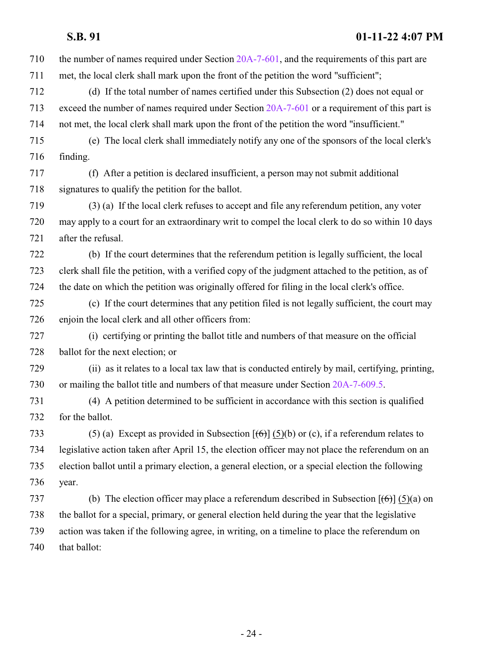the number of names required under Section [20A-7-601](http://le.utah.gov/UtahCode/SectionLookup.jsp?section=20a-7-601&session=2022GS), and the requirements of this part are met, the local clerk shall mark upon the front of the petition the word "sufficient"; (d) If the total number of names certified under this Subsection (2) does not equal or exceed the number of names required under Section [20A-7-601](http://le.utah.gov/UtahCode/SectionLookup.jsp?section=20a-7-601&session=2022GS) or a requirement of this part is not met, the local clerk shall mark upon the front of the petition the word "insufficient." (e) The local clerk shall immediately notify any one of the sponsors of the local clerk's finding. (f) After a petition is declared insufficient, a person may not submit additional signatures to qualify the petition for the ballot. (3) (a) If the local clerk refuses to accept and file any referendum petition, any voter may apply to a court for an extraordinary writ to compel the local clerk to do so within 10 days after the refusal. (b) If the court determines that the referendum petition is legally sufficient, the local clerk shall file the petition, with a verified copy of the judgment attached to the petition, as of the date on which the petition was originally offered for filing in the local clerk's office. (c) If the court determines that any petition filed is not legally sufficient, the court may enjoin the local clerk and all other officers from: (i) certifying or printing the ballot title and numbers of that measure on the official ballot for the next election; or (ii) as it relates to a local tax law that is conducted entirely by mail, certifying, printing, or mailing the ballot title and numbers of that measure under Section [20A-7-609.5](http://le.utah.gov/UtahCode/SectionLookup.jsp?section=20a-7-609.5&session=2022GS). (4) A petition determined to be sufficient in accordance with this section is qualified for the ballot. 733 (5) (a) Except as provided in Subsection  $[(6)]$  (5)(b) or (c), if a referendum relates to legislative action taken after April 15, the election officer may not place the referendum on an election ballot until a primary election, a general election, or a special election the following year. 737 (b) The election officer may place a referendum described in Subsection  $[(6)] (5)(a)$  on the ballot for a special, primary, or general election held during the year that the legislative action was taken if the following agree, in writing, on a timeline to place the referendum on 740 that ballot: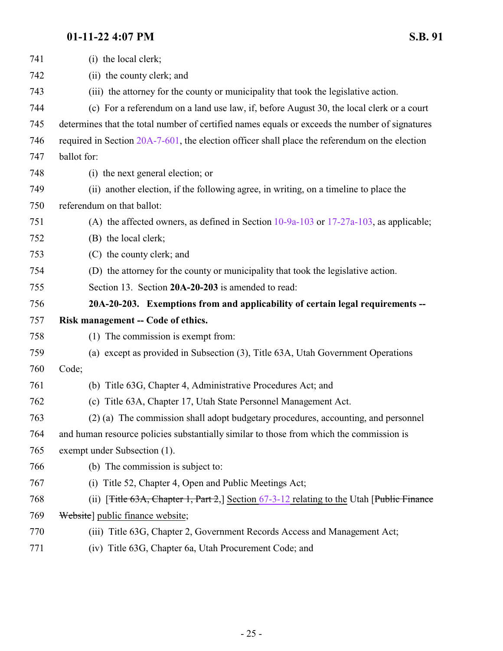<span id="page-24-0"></span>

| 741 | (i) the local clerk;                                                                                     |
|-----|----------------------------------------------------------------------------------------------------------|
| 742 | (ii) the county clerk; and                                                                               |
| 743 | (iii) the attorney for the county or municipality that took the legislative action.                      |
| 744 | (c) For a referendum on a land use law, if, before August 30, the local clerk or a court                 |
| 745 | determines that the total number of certified names equals or exceeds the number of signatures           |
| 746 | required in Section 20A-7-601, the election officer shall place the referendum on the election           |
| 747 | ballot for:                                                                                              |
| 748 | (i) the next general election; or                                                                        |
| 749 | (ii) another election, if the following agree, in writing, on a timeline to place the                    |
| 750 | referendum on that ballot:                                                                               |
| 751 | (A) the affected owners, as defined in Section $10-9a-103$ or $17-27a-103$ , as applicable;              |
| 752 | (B) the local clerk;                                                                                     |
| 753 | (C) the county clerk; and                                                                                |
| 754 | (D) the attorney for the county or municipality that took the legislative action.                        |
| 755 | Section 13. Section 20A-20-203 is amended to read:                                                       |
| 756 | 20A-20-203. Exemptions from and applicability of certain legal requirements --                           |
| 757 | Risk management -- Code of ethics.                                                                       |
| 758 | (1) The commission is exempt from:                                                                       |
| 759 |                                                                                                          |
|     | (a) except as provided in Subsection (3), Title 63A, Utah Government Operations                          |
| 760 | Code;                                                                                                    |
| 761 | (b) Title 63G, Chapter 4, Administrative Procedures Act; and                                             |
| 762 | (c) Title 63A, Chapter 17, Utah State Personnel Management Act.                                          |
| 763 | (2) (a) The commission shall adopt budgetary procedures, accounting, and personnel                       |
| 764 | and human resource policies substantially similar to those from which the commission is                  |
| 765 | exempt under Subsection (1).                                                                             |
| 766 | (b) The commission is subject to:                                                                        |
| 767 | Title 52, Chapter 4, Open and Public Meetings Act;<br>(i)                                                |
| 768 | (ii) [ <del>Title 63A, Chapter 1, Part 2</del> ,] Section $67-3-12$ relating to the Utah [Public Finance |
| 769 | Website] public finance website;                                                                         |
| 770 | (iii) Title 63G, Chapter 2, Government Records Access and Management Act;                                |

(iv) Title 63G, Chapter 6a, Utah Procurement Code; and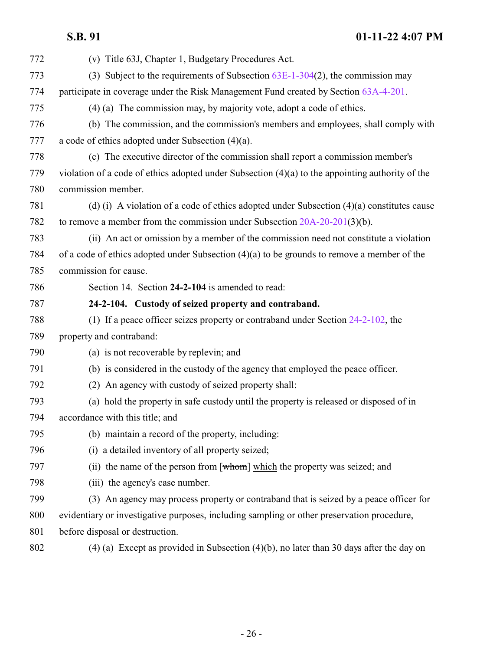## <span id="page-25-0"></span>**S.B. 91 01-11-22 4:07 PM** (v) Title 63J, Chapter 1, Budgetary Procedures Act. (3) Subject to the requirements of Subsection [63E-1-304](http://le.utah.gov/UtahCode/SectionLookup.jsp?section=63e-1-304&session=2022GS)(2), the commission may participate in coverage under the Risk Management Fund created by Section [63A-4-201](http://le.utah.gov/UtahCode/SectionLookup.jsp?section=63a-4-201&session=2022GS). (4) (a) The commission may, by majority vote, adopt a code of ethics. (b) The commission, and the commission's members and employees, shall comply with a code of ethics adopted under Subsection (4)(a). (c) The executive director of the commission shall report a commission member's violation of a code of ethics adopted under Subsection (4)(a) to the appointing authority of the commission member. (d) (i) A violation of a code of ethics adopted under Subsection (4)(a) constitutes cause to remove a member from the commission under Subsection [20A-20-201](http://le.utah.gov/UtahCode/SectionLookup.jsp?section=20a-20-201&session=2022GS)(3)(b). (ii) An act or omission by a member of the commission need not constitute a violation of a code of ethics adopted under Subsection (4)(a) to be grounds to remove a member of the commission for cause. Section 14. Section **24-2-104** is amended to read: **24-2-104. Custody of seized property and contraband.** (1) If a peace officer seizes property or contraband under Section [24-2-102](http://le.utah.gov/UtahCode/SectionLookup.jsp?section=24-2-102&session=2022GS), the property and contraband: (a) is not recoverable by replevin; and (b) is considered in the custody of the agency that employed the peace officer. (2) An agency with custody of seized property shall: (a) hold the property in safe custody until the property is released or disposed of in accordance with this title; and (b) maintain a record of the property, including: (i) a detailed inventory of all property seized; (ii) the name of the person from [whom] which the property was seized; and 798 (iii) the agency's case number. (3) An agency may process property or contraband that is seized by a peace officer for evidentiary or investigative purposes, including sampling or other preservation procedure, before disposal or destruction.

(4) (a) Except as provided in Subsection (4)(b), no later than 30 days after the day on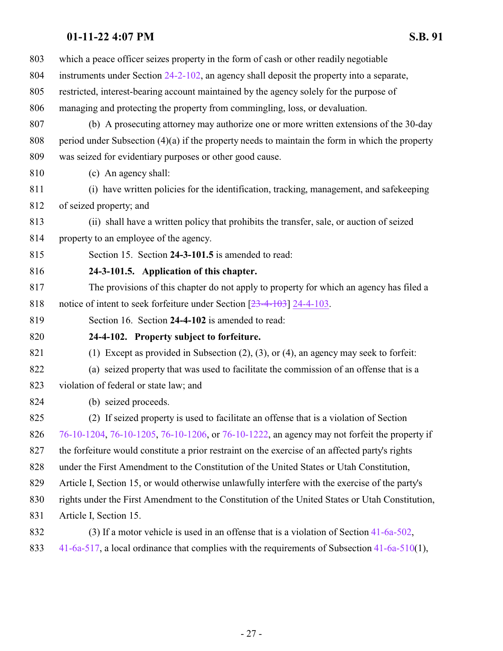<span id="page-26-1"></span><span id="page-26-0"></span>

| 803 | which a peace officer seizes property in the form of cash or other readily negotiable             |
|-----|---------------------------------------------------------------------------------------------------|
| 804 | instruments under Section 24-2-102, an agency shall deposit the property into a separate,         |
| 805 | restricted, interest-bearing account maintained by the agency solely for the purpose of           |
| 806 | managing and protecting the property from commingling, loss, or devaluation.                      |
| 807 | (b) A prosecuting attorney may authorize one or more written extensions of the 30-day             |
| 808 | period under Subsection $(4)(a)$ if the property needs to maintain the form in which the property |
| 809 | was seized for evidentiary purposes or other good cause.                                          |
| 810 | (c) An agency shall:                                                                              |
| 811 | (i) have written policies for the identification, tracking, management, and safekeeping           |
| 812 | of seized property; and                                                                           |
| 813 | (ii) shall have a written policy that prohibits the transfer, sale, or auction of seized          |
| 814 | property to an employee of the agency.                                                            |
| 815 | Section 15. Section 24-3-101.5 is amended to read:                                                |
| 816 | 24-3-101.5. Application of this chapter.                                                          |
| 817 | The provisions of this chapter do not apply to property for which an agency has filed a           |
| 818 | notice of intent to seek forfeiture under Section $[23-4-103]$ 24-4-103.                          |
| 819 | Section 16. Section 24-4-102 is amended to read:                                                  |
| 820 | 24-4-102. Property subject to forfeiture.                                                         |
| 821 | (1) Except as provided in Subsection $(2)$ , $(3)$ , or $(4)$ , an agency may seek to forfeit:    |
| 822 | (a) seized property that was used to facilitate the commission of an offense that is a            |
| 823 | violation of federal or state law; and                                                            |
| 824 | (b) seized proceeds.                                                                              |
| 825 | (2) If seized property is used to facilitate an offense that is a violation of Section            |
| 826 | 76-10-1204, 76-10-1205, 76-10-1206, or 76-10-1222, an agency may not forfeit the property if      |
| 827 | the forfeiture would constitute a prior restraint on the exercise of an affected party's rights   |
| 828 | under the First Amendment to the Constitution of the United States or Utah Constitution,          |
| 829 | Article I, Section 15, or would otherwise unlawfully interfere with the exercise of the party's   |
| 830 | rights under the First Amendment to the Constitution of the United States or Utah Constitution,   |
| 831 | Article I, Section 15.                                                                            |
| 832 | (3) If a motor vehicle is used in an offense that is a violation of Section $41-6a-502$ ,         |
| 833 | 41-6a-517, a local ordinance that complies with the requirements of Subsection $41-6a-510(1)$ ,   |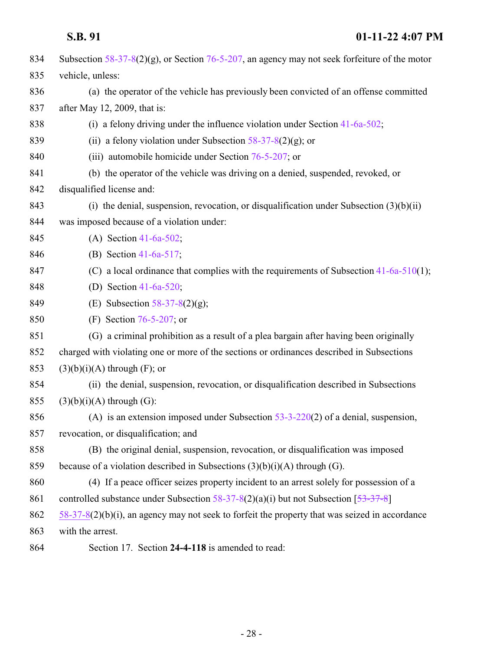<span id="page-27-0"></span>

| 834 | Subsection $58-37-8(2)(g)$ , or Section 76-5-207, an agency may not seek forfeiture of the motor  |
|-----|---------------------------------------------------------------------------------------------------|
| 835 | vehicle, unless:                                                                                  |
| 836 | (a) the operator of the vehicle has previously been convicted of an offense committed             |
| 837 | after May 12, 2009, that is:                                                                      |
| 838 | (i) a felony driving under the influence violation under Section $41-6a-502$ ;                    |
| 839 | (ii) a felony violation under Subsection $58-37-8(2)(g)$ ; or                                     |
| 840 | (iii) automobile homicide under Section $76-5-207$ ; or                                           |
| 841 | (b) the operator of the vehicle was driving on a denied, suspended, revoked, or                   |
| 842 | disqualified license and:                                                                         |
| 843 | (i) the denial, suspension, revocation, or disqualification under Subsection $(3)(b)(ii)$         |
| 844 | was imposed because of a violation under:                                                         |
| 845 | (A) Section $41-6a-502$ ;                                                                         |
| 846 | (B) Section 41-6a-517;                                                                            |
| 847 | (C) a local ordinance that complies with the requirements of Subsection $41-6a-510(1)$ ;          |
| 848 | (D) Section 41-6a-520;                                                                            |
| 849 | (E) Subsection $58-37-8(2)(g)$ ;                                                                  |
| 850 | (F) Section $76-5-207$ ; or                                                                       |
| 851 | (G) a criminal prohibition as a result of a plea bargain after having been originally             |
| 852 | charged with violating one or more of the sections or ordinances described in Subsections         |
| 853 | $(3)(b)(i)(A)$ through $(F)$ ; or                                                                 |
| 854 | (ii) the denial, suspension, revocation, or disqualification described in Subsections             |
| 855 | $(3)(b)(i)(A)$ through $(G)$ :                                                                    |
| 856 | (A) is an extension imposed under Subsection $53-3-220(2)$ of a denial, suspension,               |
| 857 | revocation, or disqualification; and                                                              |
| 858 | (B) the original denial, suspension, revocation, or disqualification was imposed                  |
| 859 | because of a violation described in Subsections $(3)(b)(i)(A)$ through $(G)$ .                    |
| 860 | (4) If a peace officer seizes property incident to an arrest solely for possession of a           |
| 861 | controlled substance under Subsection $58-37-8(2)(a)(i)$ but not Subsection $[53-37-8]$           |
| 862 | $58-37-8(2)(b)(i)$ , an agency may not seek to forfeit the property that was seized in accordance |
| 863 | with the arrest.                                                                                  |
| 864 | Section 17. Section 24-4-118 is amended to read:                                                  |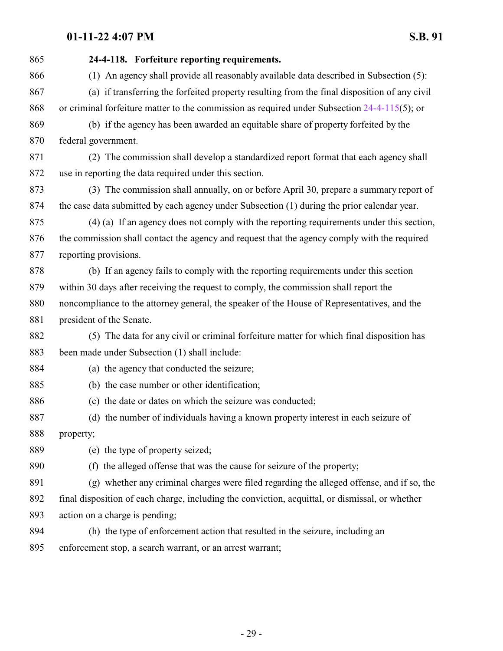| 865 | 24-4-118. Forfeiture reporting requirements.                                                    |
|-----|-------------------------------------------------------------------------------------------------|
| 866 | (1) An agency shall provide all reasonably available data described in Subsection (5):          |
| 867 | (a) if transferring the forfeited property resulting from the final disposition of any civil    |
| 868 | or criminal forfeiture matter to the commission as required under Subsection $24-4-115(5)$ ; or |
| 869 | (b) if the agency has been awarded an equitable share of property forfeited by the              |
| 870 | federal government.                                                                             |
| 871 | (2) The commission shall develop a standardized report format that each agency shall            |
| 872 | use in reporting the data required under this section.                                          |
| 873 | (3) The commission shall annually, on or before April 30, prepare a summary report of           |
| 874 | the case data submitted by each agency under Subsection (1) during the prior calendar year.     |
| 875 | (4) (a) If an agency does not comply with the reporting requirements under this section,        |
| 876 | the commission shall contact the agency and request that the agency comply with the required    |
| 877 | reporting provisions.                                                                           |
| 878 | (b) If an agency fails to comply with the reporting requirements under this section             |
| 879 | within 30 days after receiving the request to comply, the commission shall report the           |
| 880 | noncompliance to the attorney general, the speaker of the House of Representatives, and the     |
| 881 | president of the Senate.                                                                        |
| 882 | (5) The data for any civil or criminal forfeiture matter for which final disposition has        |
| 883 | been made under Subsection (1) shall include:                                                   |
| 884 | (a) the agency that conducted the seizure;                                                      |
| 885 | (b) the case number or other identification;                                                    |
| 886 | (c) the date or dates on which the seizure was conducted;                                       |
| 887 | (d) the number of individuals having a known property interest in each seizure of               |
| 888 | property;                                                                                       |
| 889 | (e) the type of property seized;                                                                |
| 890 | (f) the alleged offense that was the cause for seizure of the property;                         |
| 891 | (g) whether any criminal charges were filed regarding the alleged offense, and if so, the       |
| 892 | final disposition of each charge, including the conviction, acquittal, or dismissal, or whether |
| 893 | action on a charge is pending;                                                                  |
| 894 | (h) the type of enforcement action that resulted in the seizure, including an                   |
| 895 | enforcement stop, a search warrant, or an arrest warrant;                                       |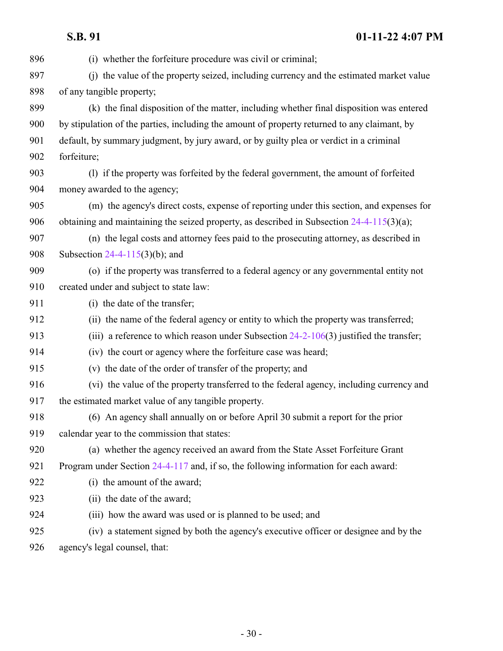(i) whether the forfeiture procedure was civil or criminal; (j) the value of the property seized, including currency and the estimated market value of any tangible property; (k) the final disposition of the matter, including whether final disposition was entered by stipulation of the parties, including the amount of property returned to any claimant, by default, by summary judgment, by jury award, or by guilty plea or verdict in a criminal forfeiture; (l) if the property was forfeited by the federal government, the amount of forfeited money awarded to the agency; (m) the agency's direct costs, expense of reporting under this section, and expenses for 906 obtaining and maintaining the seized property, as described in Subsection [24-4-115](http://le.utah.gov/UtahCode/SectionLookup.jsp?section=24-4-115&session=2022GS)(3)(a); (n) the legal costs and attorney fees paid to the prosecuting attorney, as described in Subsection [24-4-115](http://le.utah.gov/UtahCode/SectionLookup.jsp?section=24-4-115&session=2022GS)(3)(b); and (o) if the property was transferred to a federal agency or any governmental entity not created under and subject to state law: (i) the date of the transfer; (ii) the name of the federal agency or entity to which the property was transferred; 913 (iii) a reference to which reason under Subsection [24-2-106](http://le.utah.gov/UtahCode/SectionLookup.jsp?section=24-2-106&session=2022GS)(3) justified the transfer; (iv) the court or agency where the forfeiture case was heard; (v) the date of the order of transfer of the property; and (vi) the value of the property transferred to the federal agency, including currency and the estimated market value of any tangible property. (6) An agency shall annually on or before April 30 submit a report for the prior calendar year to the commission that states: (a) whether the agency received an award from the State Asset Forfeiture Grant Program under Section [24-4-117](http://le.utah.gov/UtahCode/SectionLookup.jsp?section=24-4-117&session=2022GS) and, if so, the following information for each award: (i) the amount of the award; (ii) the date of the award; (iii) how the award was used or is planned to be used; and (iv) a statement signed by both the agency's executive officer or designee and by the

agency's legal counsel, that: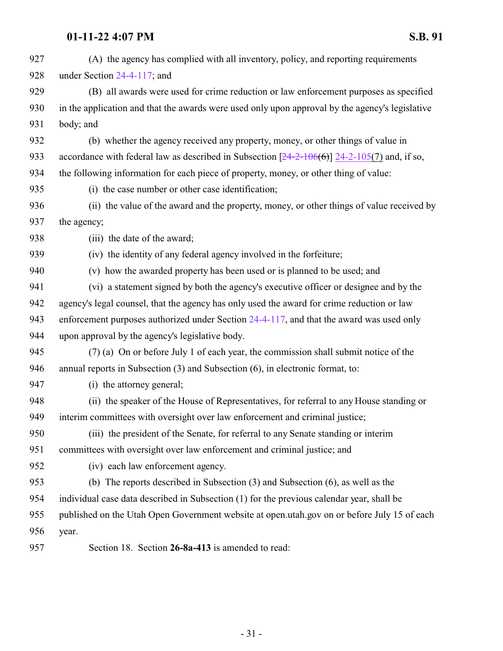<span id="page-30-0"></span>

| 927 | (A) the agency has complied with all inventory, policy, and reporting requirements              |
|-----|-------------------------------------------------------------------------------------------------|
| 928 | under Section $24-4-117$ ; and                                                                  |
| 929 | (B) all awards were used for crime reduction or law enforcement purposes as specified           |
| 930 | in the application and that the awards were used only upon approval by the agency's legislative |
| 931 | body; and                                                                                       |
| 932 | (b) whether the agency received any property, money, or other things of value in                |
| 933 | accordance with federal law as described in Subsection $[24-2-106(6)]$ 24-2-105(7) and, if so,  |
| 934 | the following information for each piece of property, money, or other thing of value:           |
| 935 | (i) the case number or other case identification;                                               |
| 936 | (ii) the value of the award and the property, money, or other things of value received by       |
| 937 | the agency;                                                                                     |
| 938 | (iii) the date of the award;                                                                    |
| 939 | (iv) the identity of any federal agency involved in the forfeiture;                             |
| 940 | (v) how the awarded property has been used or is planned to be used; and                        |
| 941 | (vi) a statement signed by both the agency's executive officer or designee and by the           |
| 942 | agency's legal counsel, that the agency has only used the award for crime reduction or law      |
| 943 | enforcement purposes authorized under Section 24-4-117, and that the award was used only        |
| 944 | upon approval by the agency's legislative body.                                                 |
| 945 | (7) (a) On or before July 1 of each year, the commission shall submit notice of the             |
| 946 | annual reports in Subsection (3) and Subsection (6), in electronic format, to:                  |
| 947 | (i) the attorney general;                                                                       |
| 948 | (ii) the speaker of the House of Representatives, for referral to any House standing or         |
| 949 | interim committees with oversight over law enforcement and criminal justice;                    |
| 950 | (iii) the president of the Senate, for referral to any Senate standing or interim               |
| 951 | committees with oversight over law enforcement and criminal justice; and                        |
| 952 | (iv) each law enforcement agency.                                                               |
| 953 | (b) The reports described in Subsection $(3)$ and Subsection $(6)$ , as well as the             |
| 954 | individual case data described in Subsection (1) for the previous calendar year, shall be       |
| 955 | published on the Utah Open Government website at open utah gov on or before July 15 of each     |
| 956 | year.                                                                                           |
| 957 | Section 18. Section 26-8a-413 is amended to read:                                               |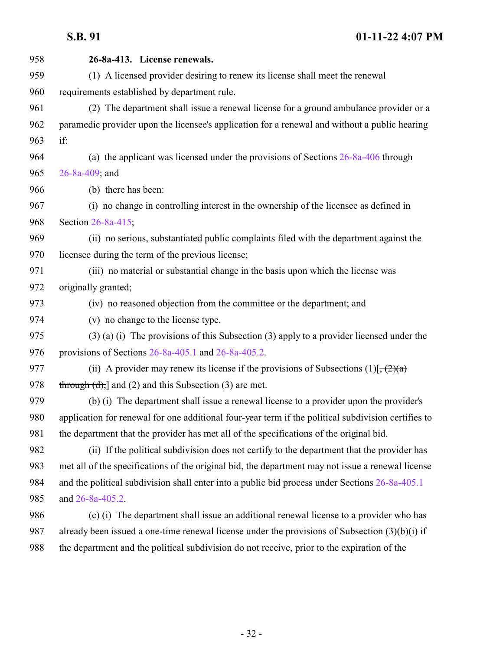| 958 | 26-8a-413. License renewals.                                                                        |
|-----|-----------------------------------------------------------------------------------------------------|
| 959 | (1) A licensed provider desiring to renew its license shall meet the renewal                        |
| 960 | requirements established by department rule.                                                        |
| 961 | (2) The department shall issue a renewal license for a ground ambulance provider or a               |
| 962 | paramedic provider upon the licensee's application for a renewal and without a public hearing       |
| 963 | if:                                                                                                 |
| 964 | (a) the applicant was licensed under the provisions of Sections $26-8a-406$ through                 |
| 965 | 26-8a-409; and                                                                                      |
| 966 | (b) there has been:                                                                                 |
| 967 | (i) no change in controlling interest in the ownership of the licensee as defined in                |
| 968 | Section 26-8a-415;                                                                                  |
| 969 | (ii) no serious, substantiated public complaints filed with the department against the              |
| 970 | licensee during the term of the previous license;                                                   |
| 971 | (iii) no material or substantial change in the basis upon which the license was                     |
| 972 | originally granted;                                                                                 |
| 973 | (iv) no reasoned objection from the committee or the department; and                                |
| 974 | (v) no change to the license type.                                                                  |
| 975 | $(3)$ (a) (i) The provisions of this Subsection (3) apply to a provider licensed under the          |
| 976 | provisions of Sections $26-8a-405.1$ and $26-8a-405.2$ .                                            |
| 977 | (ii) A provider may renew its license if the provisions of Subsections $(1)[\frac{1}{2}(2)(a)]$     |
| 978 | $t$ hrough $(d)$ , and $(2)$ and this Subsection $(3)$ are met.                                     |
| 979 | (b) (i) The department shall issue a renewal license to a provider upon the provider's              |
| 980 | application for renewal for one additional four-year term if the political subdivision certifies to |
| 981 | the department that the provider has met all of the specifications of the original bid.             |
| 982 | (ii) If the political subdivision does not certify to the department that the provider has          |
| 983 | met all of the specifications of the original bid, the department may not issue a renewal license   |
| 984 | and the political subdivision shall enter into a public bid process under Sections 26-8a-405.1      |
| 985 | and 26-8a-405.2.                                                                                    |
| 986 | (c) (i) The department shall issue an additional renewal license to a provider who has              |
| 987 | already been issued a one-time renewal license under the provisions of Subsection (3)(b)(i) if      |
| 988 | the department and the political subdivision do not receive, prior to the expiration of the         |
|     |                                                                                                     |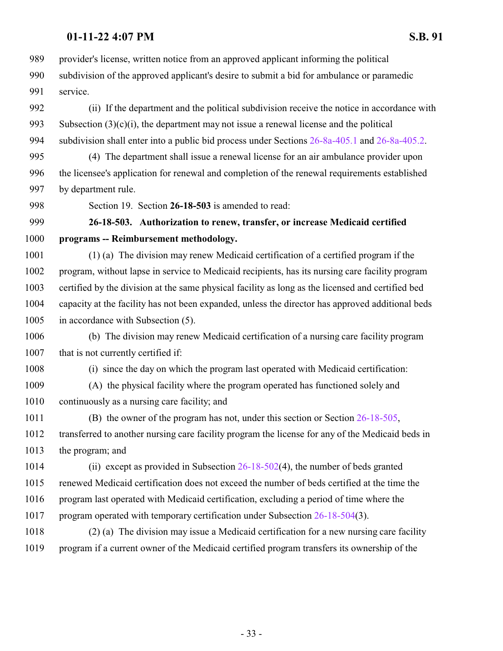provider's license, written notice from an approved applicant informing the political

 subdivision of the approved applicant's desire to submit a bid for ambulance or paramedic service.

 (ii) If the department and the political subdivision receive the notice in accordance with 993 Subsection  $(3)(c)(i)$ , the department may not issue a renewal license and the political subdivision shall enter into a public bid process under Sections [26-8a-405.1](http://le.utah.gov/UtahCode/SectionLookup.jsp?section=26-8a-405.1&session=2022GS) and [26-8a-405.2](http://le.utah.gov/UtahCode/SectionLookup.jsp?section=26-8a-405.2&session=2022GS).

 (4) The department shall issue a renewal license for an air ambulance provider upon the licensee's application for renewal and completion of the renewal requirements established by department rule.

<span id="page-32-0"></span>Section 19. Section **26-18-503** is amended to read:

## **26-18-503. Authorization to renew, transfer, or increase Medicaid certified programs -- Reimbursement methodology.**

 (1) (a) The division may renew Medicaid certification of a certified program if the program, without lapse in service to Medicaid recipients, has its nursing care facility program certified by the division at the same physical facility as long as the licensed and certified bed capacity at the facility has not been expanded, unless the director has approved additional beds in accordance with Subsection (5).

 (b) The division may renew Medicaid certification of a nursing care facility program 1007 that is not currently certified if:

(i) since the day on which the program last operated with Medicaid certification:

 (A) the physical facility where the program operated has functioned solely and continuously as a nursing care facility; and

 (B) the owner of the program has not, under this section or Section [26-18-505](http://le.utah.gov/UtahCode/SectionLookup.jsp?section=26-18-505&session=2022GS), transferred to another nursing care facility program the license for any of the Medicaid beds in the program; and

 (ii) except as provided in Subsection [26-18-502](http://le.utah.gov/UtahCode/SectionLookup.jsp?section=26-18-502&session=2022GS)(4), the number of beds granted renewed Medicaid certification does not exceed the number of beds certified at the time the program last operated with Medicaid certification, excluding a period of time where the 1017 program operated with temporary certification under Subsection [26-18-504](http://le.utah.gov/UtahCode/SectionLookup.jsp?section=26-18-504&session=2022GS)(3).

 (2) (a) The division may issue a Medicaid certification for a new nursing care facility program if a current owner of the Medicaid certified program transfers its ownership of the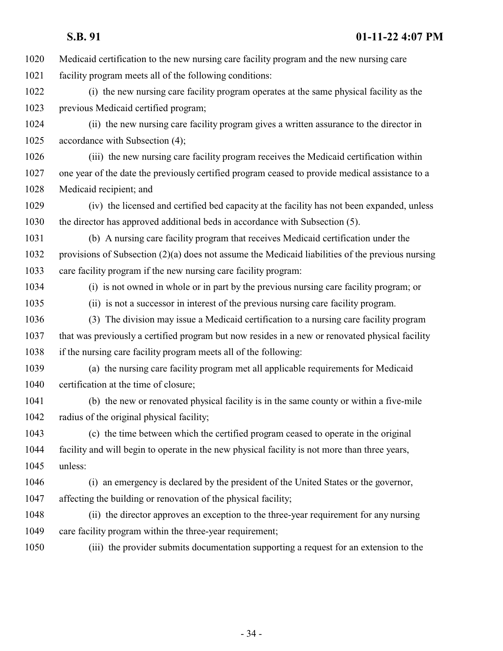Medicaid certification to the new nursing care facility program and the new nursing care facility program meets all of the following conditions: (i) the new nursing care facility program operates at the same physical facility as the previous Medicaid certified program; (ii) the new nursing care facility program gives a written assurance to the director in accordance with Subsection (4); (iii) the new nursing care facility program receives the Medicaid certification within one year of the date the previously certified program ceased to provide medical assistance to a Medicaid recipient; and (iv) the licensed and certified bed capacity at the facility has not been expanded, unless the director has approved additional beds in accordance with Subsection (5). (b) A nursing care facility program that receives Medicaid certification under the provisions of Subsection (2)(a) does not assume the Medicaid liabilities of the previous nursing care facility program if the new nursing care facility program: (i) is not owned in whole or in part by the previous nursing care facility program; or (ii) is not a successor in interest of the previous nursing care facility program. (3) The division may issue a Medicaid certification to a nursing care facility program that was previously a certified program but now resides in a new or renovated physical facility if the nursing care facility program meets all of the following: (a) the nursing care facility program met all applicable requirements for Medicaid 1040 certification at the time of closure; (b) the new or renovated physical facility is in the same county or within a five-mile radius of the original physical facility; (c) the time between which the certified program ceased to operate in the original facility and will begin to operate in the new physical facility is not more than three years, unless: (i) an emergency is declared by the president of the United States or the governor, affecting the building or renovation of the physical facility; (ii) the director approves an exception to the three-year requirement for any nursing 1049 care facility program within the three-year requirement; (iii) the provider submits documentation supporting a request for an extension to the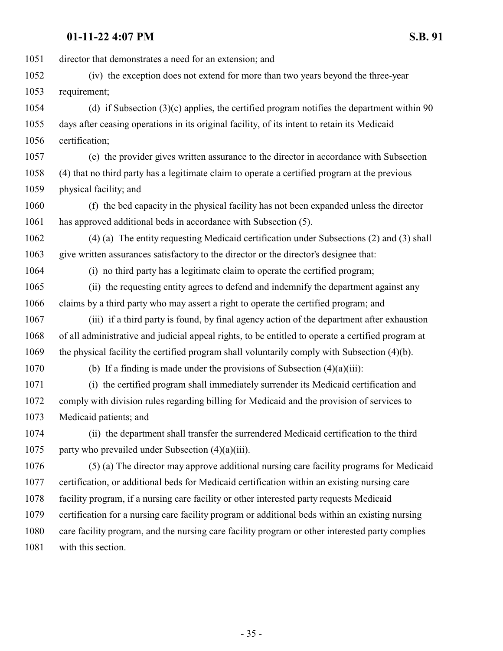director that demonstrates a need for an extension; and (iv) the exception does not extend for more than two years beyond the three-year requirement; (d) if Subsection (3)(c) applies, the certified program notifies the department within 90 days after ceasing operations in its original facility, of its intent to retain its Medicaid certification; (e) the provider gives written assurance to the director in accordance with Subsection (4) that no third party has a legitimate claim to operate a certified program at the previous physical facility; and (f) the bed capacity in the physical facility has not been expanded unless the director has approved additional beds in accordance with Subsection (5). (4) (a) The entity requesting Medicaid certification under Subsections (2) and (3) shall give written assurances satisfactory to the director or the director's designee that: (i) no third party has a legitimate claim to operate the certified program; (ii) the requesting entity agrees to defend and indemnify the department against any claims by a third party who may assert a right to operate the certified program; and (iii) if a third party is found, by final agency action of the department after exhaustion of all administrative and judicial appeal rights, to be entitled to operate a certified program at the physical facility the certified program shall voluntarily comply with Subsection (4)(b). 1070 (b) If a finding is made under the provisions of Subsection  $(4)(a)(iii)$ : (i) the certified program shall immediately surrender its Medicaid certification and comply with division rules regarding billing for Medicaid and the provision of services to Medicaid patients; and (ii) the department shall transfer the surrendered Medicaid certification to the third party who prevailed under Subsection (4)(a)(iii). (5) (a) The director may approve additional nursing care facility programs for Medicaid certification, or additional beds for Medicaid certification within an existing nursing care facility program, if a nursing care facility or other interested party requests Medicaid certification for a nursing care facility program or additional beds within an existing nursing care facility program, and the nursing care facility program or other interested party complies with this section.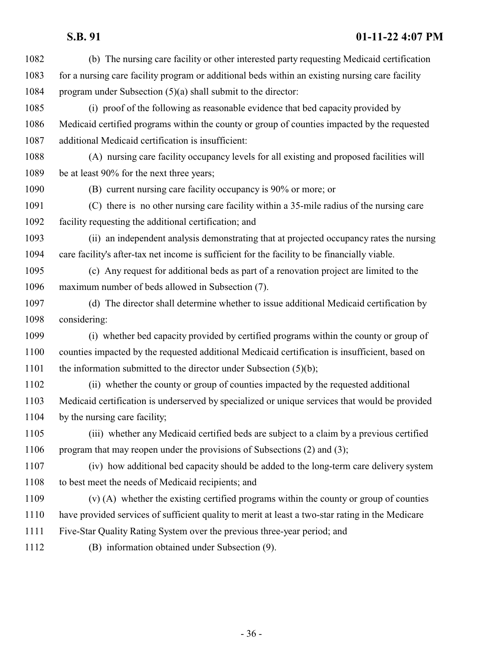(b) The nursing care facility or other interested party requesting Medicaid certification for a nursing care facility program or additional beds within an existing nursing care facility program under Subsection (5)(a) shall submit to the director: (i) proof of the following as reasonable evidence that bed capacity provided by Medicaid certified programs within the county or group of counties impacted by the requested additional Medicaid certification is insufficient: (A) nursing care facility occupancy levels for all existing and proposed facilities will be at least 90% for the next three years; (B) current nursing care facility occupancy is 90% or more; or (C) there is no other nursing care facility within a 35-mile radius of the nursing care facility requesting the additional certification; and (ii) an independent analysis demonstrating that at projected occupancy rates the nursing care facility's after-tax net income is sufficient for the facility to be financially viable. (c) Any request for additional beds as part of a renovation project are limited to the maximum number of beds allowed in Subsection (7). (d) The director shall determine whether to issue additional Medicaid certification by considering: (i) whether bed capacity provided by certified programs within the county or group of counties impacted by the requested additional Medicaid certification is insufficient, based on 1101 the information submitted to the director under Subsection (5)(b); (ii) whether the county or group of counties impacted by the requested additional Medicaid certification is underserved by specialized or unique services that would be provided by the nursing care facility; (iii) whether any Medicaid certified beds are subject to a claim by a previous certified program that may reopen under the provisions of Subsections (2) and (3); (iv) how additional bed capacity should be added to the long-term care delivery system to best meet the needs of Medicaid recipients; and (v) (A) whether the existing certified programs within the county or group of counties have provided services of sufficient quality to merit at least a two-star rating in the Medicare Five-Star Quality Rating System over the previous three-year period; and (B) information obtained under Subsection (9).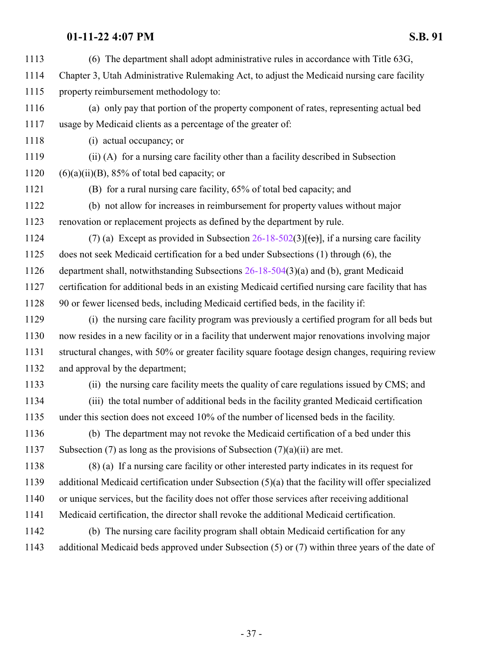(6) The department shall adopt administrative rules in accordance with Title 63G, Chapter 3, Utah Administrative Rulemaking Act, to adjust the Medicaid nursing care facility property reimbursement methodology to: (a) only pay that portion of the property component of rates, representing actual bed usage by Medicaid clients as a percentage of the greater of: (i) actual occupancy; or (ii) (A) for a nursing care facility other than a facility described in Subsection  $(6)(a)(ii)(B)$ , 85% of total bed capacity; or (B) for a rural nursing care facility, 65% of total bed capacity; and (b) not allow for increases in reimbursement for property values without major renovation or replacement projects as defined by the department by rule. 1124 (7) (a) Except as provided in Subsection  $26-18-502(3)[(e)]$ , if a nursing care facility does not seek Medicaid certification for a bed under Subsections (1) through (6), the department shall, notwithstanding Subsections [26-18-504](http://le.utah.gov/UtahCode/SectionLookup.jsp?section=26-18-504&session=2022GS)(3)(a) and (b), grant Medicaid certification for additional beds in an existing Medicaid certified nursing care facility that has 90 or fewer licensed beds, including Medicaid certified beds, in the facility if: (i) the nursing care facility program was previously a certified program for all beds but now resides in a new facility or in a facility that underwent major renovations involving major structural changes, with 50% or greater facility square footage design changes, requiring review and approval by the department; (ii) the nursing care facility meets the quality of care regulations issued by CMS; and (iii) the total number of additional beds in the facility granted Medicaid certification under this section does not exceed 10% of the number of licensed beds in the facility. (b) The department may not revoke the Medicaid certification of a bed under this 1137 Subsection (7) as long as the provisions of Subsection  $(7)(a)(ii)$  are met. (8) (a) If a nursing care facility or other interested party indicates in its request for additional Medicaid certification under Subsection (5)(a) that the facility will offer specialized or unique services, but the facility does not offer those services after receiving additional Medicaid certification, the director shall revoke the additional Medicaid certification. (b) The nursing care facility program shall obtain Medicaid certification for any additional Medicaid beds approved under Subsection (5) or (7) within three years of the date of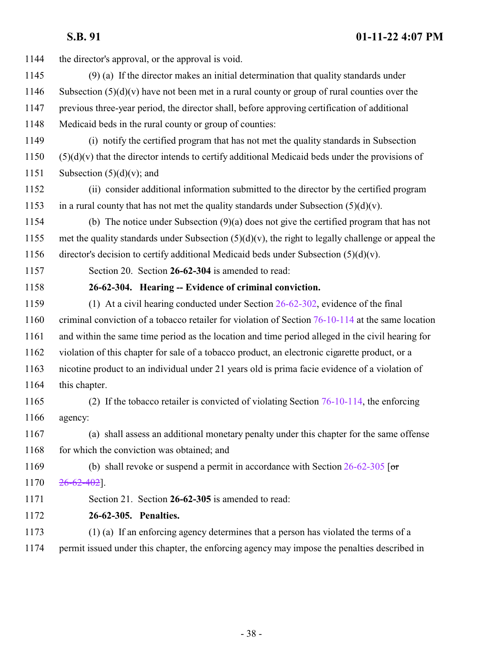<span id="page-37-0"></span>

| 1144 | the director's approval, or the approval is void.                                                     |
|------|-------------------------------------------------------------------------------------------------------|
| 1145 | $(9)$ (a) If the director makes an initial determination that quality standards under                 |
| 1146 | Subsection $(5)(d)(v)$ have not been met in a rural county or group of rural counties over the        |
| 1147 | previous three-year period, the director shall, before approving certification of additional          |
| 1148 | Medicaid beds in the rural county or group of counties:                                               |
| 1149 | (i) notify the certified program that has not met the quality standards in Subsection                 |
| 1150 | $(5)(d)(v)$ that the director intends to certify additional Medicaid beds under the provisions of     |
| 1151 | Subsection $(5)(d)(v)$ ; and                                                                          |
| 1152 | (ii) consider additional information submitted to the director by the certified program               |
| 1153 | in a rural county that has not met the quality standards under Subsection $(5)(d)(v)$ .               |
| 1154 | (b) The notice under Subsection $(9)(a)$ does not give the certified program that has not             |
| 1155 | met the quality standards under Subsection $(5)(d)(v)$ , the right to legally challenge or appeal the |
| 1156 | director's decision to certify additional Medicaid beds under Subsection $(5)(d)(v)$ .                |
| 1157 | Section 20. Section 26-62-304 is amended to read:                                                     |
| 1158 | 26-62-304. Hearing -- Evidence of criminal conviction.                                                |
| 1159 | (1) At a civil hearing conducted under Section $26-62-302$ , evidence of the final                    |
| 1160 | criminal conviction of a tobacco retailer for violation of Section 76-10-114 at the same location     |
| 1161 | and within the same time period as the location and time period alleged in the civil hearing for      |
| 1162 | violation of this chapter for sale of a tobacco product, an electronic cigarette product, or a        |
| 1163 | nicotine product to an individual under 21 years old is prima facie evidence of a violation of        |
| 1164 | this chapter.                                                                                         |
| 1165 | (2) If the tobacco retailer is convicted of violating Section $76-10-114$ , the enforcing             |
| 1166 | agency:                                                                                               |
| 1167 | (a) shall assess an additional monetary penalty under this chapter for the same offense               |
| 1168 | for which the conviction was obtained; and                                                            |
| 1169 | (b) shall revoke or suspend a permit in accordance with Section $26-62-305$ [or                       |
| 1170 | $26 - 62 - 402$ .                                                                                     |
| 1171 | Section 21. Section 26-62-305 is amended to read:                                                     |
| 1172 | 26-62-305. Penalties.                                                                                 |
| 1173 | (1) (a) If an enforcing agency determines that a person has violated the terms of a                   |
| 1174 | permit issued under this chapter, the enforcing agency may impose the penalties described in          |
|      |                                                                                                       |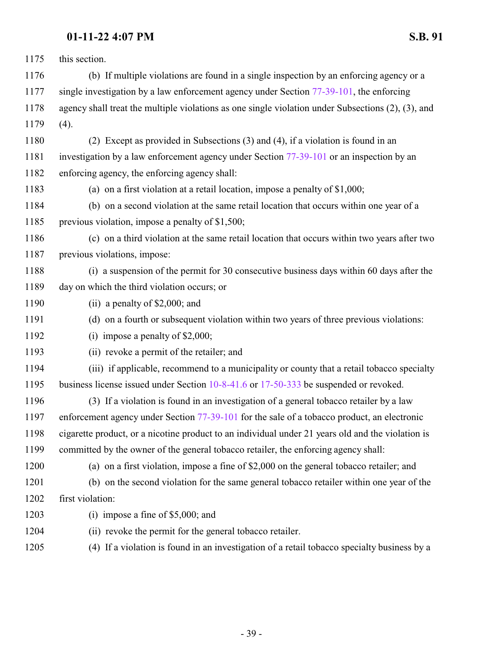| 1175 | this section.                                                                                            |
|------|----------------------------------------------------------------------------------------------------------|
| 1176 | (b) If multiple violations are found in a single inspection by an enforcing agency or a                  |
| 1177 | single investigation by a law enforcement agency under Section $77-39-101$ , the enforcing               |
| 1178 | agency shall treat the multiple violations as one single violation under Subsections $(2)$ , $(3)$ , and |
| 1179 | (4).                                                                                                     |
| 1180 | (2) Except as provided in Subsections (3) and (4), if a violation is found in an                         |
| 1181 | investigation by a law enforcement agency under Section 77-39-101 or an inspection by an                 |
| 1182 | enforcing agency, the enforcing agency shall:                                                            |
| 1183 | (a) on a first violation at a retail location, impose a penalty of $$1,000$ ;                            |
| 1184 | (b) on a second violation at the same retail location that occurs within one year of a                   |
| 1185 | previous violation, impose a penalty of \$1,500;                                                         |
| 1186 | (c) on a third violation at the same retail location that occurs within two years after two              |
| 1187 | previous violations, impose:                                                                             |
| 1188 | (i) a suspension of the permit for 30 consecutive business days within 60 days after the                 |
| 1189 | day on which the third violation occurs; or                                                              |
| 1190 | (ii) a penalty of $$2,000$ ; and                                                                         |
| 1191 | (d) on a fourth or subsequent violation within two years of three previous violations:                   |
| 1192 | (i) impose a penalty of $$2,000$ ;                                                                       |
| 1193 | (ii) revoke a permit of the retailer; and                                                                |
| 1194 | (iii) if applicable, recommend to a municipality or county that a retail tobacco specialty               |
| 1195 | business license issued under Section 10-8-41.6 or 17-50-333 be suspended or revoked.                    |
| 1196 | (3) If a violation is found in an investigation of a general tobacco retailer by a law                   |
| 1197 | enforcement agency under Section 77-39-101 for the sale of a tobacco product, an electronic              |
| 1198 | cigarette product, or a nicotine product to an individual under 21 years old and the violation is        |
| 1199 | committed by the owner of the general tobacco retailer, the enforcing agency shall:                      |
| 1200 | (a) on a first violation, impose a fine of \$2,000 on the general tobacco retailer; and                  |
| 1201 | (b) on the second violation for the same general tobacco retailer within one year of the                 |
| 1202 | first violation:                                                                                         |
| 1203 | (i) impose a fine of $$5,000$ ; and                                                                      |
| 1204 | (ii) revoke the permit for the general tobacco retailer.                                                 |
| 1205 | (4) If a violation is found in an investigation of a retail tobacco specialty business by a              |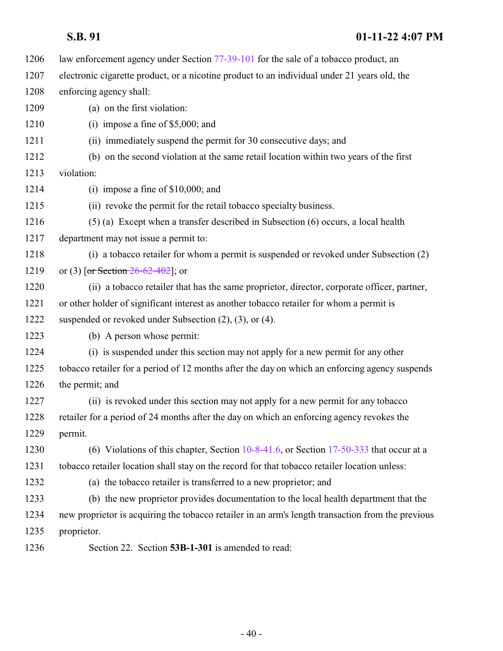| 1206 | law enforcement agency under Section 77-39-101 for the sale of a tobacco product, an              |
|------|---------------------------------------------------------------------------------------------------|
| 1207 | electronic cigarette product, or a nicotine product to an individual under 21 years old, the      |
| 1208 | enforcing agency shall:                                                                           |
| 1209 | (a) on the first violation:                                                                       |
| 1210 | (i) impose a fine of $$5,000$ ; and                                                               |
| 1211 | (ii) immediately suspend the permit for 30 consecutive days; and                                  |
| 1212 | (b) on the second violation at the same retail location within two years of the first             |
| 1213 | violation:                                                                                        |
| 1214 | (i) impose a fine of $$10,000$ ; and                                                              |
| 1215 | (ii) revoke the permit for the retail tobacco specialty business.                                 |
| 1216 | (5) (a) Except when a transfer described in Subsection (6) occurs, a local health                 |
| 1217 | department may not issue a permit to:                                                             |
| 1218 | (i) a tobacco retailer for whom a permit is suspended or revoked under Subsection (2)             |
| 1219 | or (3) [or Section $26-62-402$ ]; or                                                              |
| 1220 | (ii) a tobacco retailer that has the same proprietor, director, corporate officer, partner,       |
| 1221 | or other holder of significant interest as another tobacco retailer for whom a permit is          |
| 1222 | suspended or revoked under Subsection $(2)$ , $(3)$ , or $(4)$ .                                  |
| 1223 | (b) A person whose permit:                                                                        |
| 1224 | (i) is suspended under this section may not apply for a new permit for any other                  |
| 1225 | tobacco retailer for a period of 12 months after the day on which an enforcing agency suspends    |
| 1226 | the permit; and                                                                                   |
| 1227 | (ii) is revoked under this section may not apply for a new permit for any tobacco                 |
| 1228 | retailer for a period of 24 months after the day on which an enforcing agency revokes the         |
| 1229 | permit.                                                                                           |
| 1230 | (6) Violations of this chapter, Section $10-8-41.6$ , or Section 17-50-333 that occur at a        |
| 1231 | tobacco retailer location shall stay on the record for that tobacco retailer location unless:     |
| 1232 | (a) the tobacco retailer is transferred to a new proprietor; and                                  |
| 1233 | (b) the new proprietor provides documentation to the local health department that the             |
| 1234 | new proprietor is acquiring the tobacco retailer in an arm's length transaction from the previous |
| 1235 | proprietor.                                                                                       |
| 1236 | Section 22. Section 53B-1-301 is amended to read:                                                 |
|      |                                                                                                   |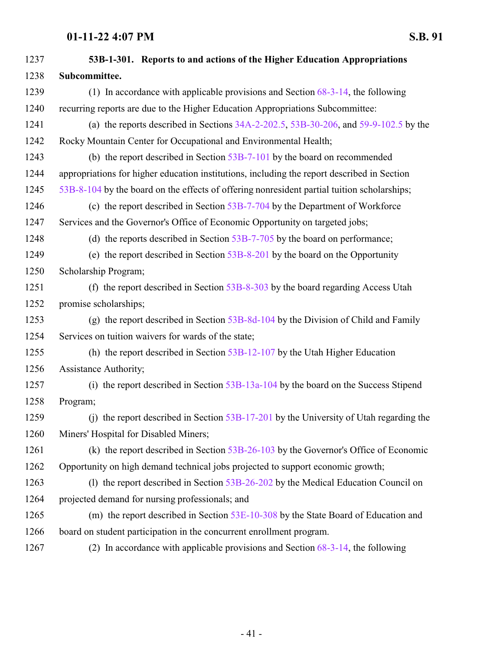| 1237 | 53B-1-301. Reports to and actions of the Higher Education Appropriations                     |
|------|----------------------------------------------------------------------------------------------|
| 1238 | Subcommittee.                                                                                |
| 1239 | (1) In accordance with applicable provisions and Section $68-3-14$ , the following           |
| 1240 | recurring reports are due to the Higher Education Appropriations Subcommittee:               |
| 1241 | (a) the reports described in Sections $34A-2-202.5$ , $53B-30-206$ , and $59-9-102.5$ by the |
| 1242 | Rocky Mountain Center for Occupational and Environmental Health;                             |
| 1243 | (b) the report described in Section $53B-7-101$ by the board on recommended                  |
| 1244 | appropriations for higher education institutions, including the report described in Section  |
| 1245 | 53B-8-104 by the board on the effects of offering nonresident partial tuition scholarships;  |
| 1246 | (c) the report described in Section $53B-7-704$ by the Department of Workforce               |
| 1247 | Services and the Governor's Office of Economic Opportunity on targeted jobs;                 |
| 1248 | (d) the reports described in Section $53B-7-705$ by the board on performance;                |
| 1249 | (e) the report described in Section $53B-8-201$ by the board on the Opportunity              |
| 1250 | Scholarship Program;                                                                         |
| 1251 | (f) the report described in Section $53B-8-303$ by the board regarding Access Utah           |
| 1252 | promise scholarships;                                                                        |
| 1253 | (g) the report described in Section $53B-8d-104$ by the Division of Child and Family         |
| 1254 | Services on tuition waivers for wards of the state;                                          |
| 1255 | (h) the report described in Section $53B-12-107$ by the Utah Higher Education                |
| 1256 | Assistance Authority;                                                                        |
| 1257 | (i) the report described in Section 53B-13a-104 by the board on the Success Stipend          |
| 1258 | Program;                                                                                     |
| 1259 | (j) the report described in Section $53B-17-201$ by the University of Utah regarding the     |
| 1260 | Miners' Hospital for Disabled Miners;                                                        |
| 1261 | (k) the report described in Section $53B-26-103$ by the Governor's Office of Economic        |
| 1262 | Opportunity on high demand technical jobs projected to support economic growth;              |
| 1263 | (1) the report described in Section $53B-26-202$ by the Medical Education Council on         |
| 1264 | projected demand for nursing professionals; and                                              |
| 1265 | (m) the report described in Section 53E-10-308 by the State Board of Education and           |
| 1266 | board on student participation in the concurrent enrollment program.                         |
| 1267 | (2) In accordance with applicable provisions and Section $68-3-14$ , the following           |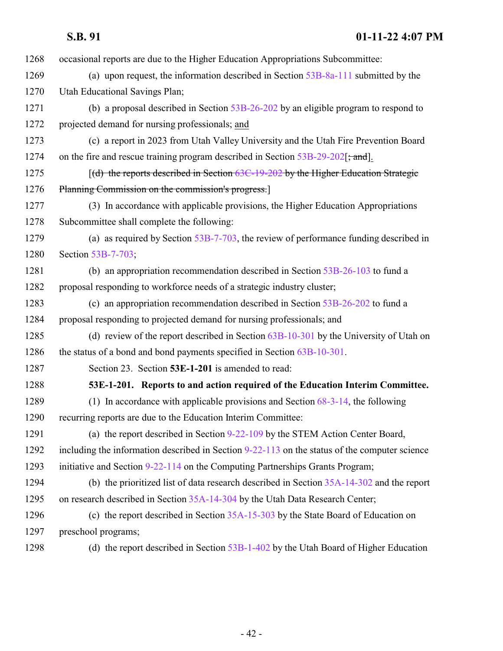| 1268 | occasional reports are due to the Higher Education Appropriations Subcommittee:                 |
|------|-------------------------------------------------------------------------------------------------|
| 1269 | (a) upon request, the information described in Section $53B-8a-111$ submitted by the            |
| 1270 | Utah Educational Savings Plan;                                                                  |
| 1271 | (b) a proposal described in Section $53B-26-202$ by an eligible program to respond to           |
| 1272 | projected demand for nursing professionals; and                                                 |
| 1273 | (c) a report in 2023 from Utah Valley University and the Utah Fire Prevention Board             |
| 1274 | on the fire and rescue training program described in Section 53B-29-202[; and].                 |
| 1275 | [(d) the reports described in Section 63C-19-202 by the Higher Education Strategic              |
| 1276 | Planning Commission on the commission's progress.                                               |
| 1277 | (3) In accordance with applicable provisions, the Higher Education Appropriations               |
| 1278 | Subcommittee shall complete the following:                                                      |
| 1279 | (a) as required by Section $53B-7-703$ , the review of performance funding described in         |
| 1280 | Section 53B-7-703;                                                                              |
| 1281 | (b) an appropriation recommendation described in Section $53B-26-103$ to fund a                 |
| 1282 | proposal responding to workforce needs of a strategic industry cluster;                         |
| 1283 | (c) an appropriation recommendation described in Section 53B-26-202 to fund a                   |
| 1284 | proposal responding to projected demand for nursing professionals; and                          |
| 1285 | (d) review of the report described in Section $63B-10-301$ by the University of Utah on         |
| 1286 | the status of a bond and bond payments specified in Section 63B-10-301.                         |
| 1287 | Section 23. Section 53E-1-201 is amended to read:                                               |
| 1288 | 53E-1-201. Reports to and action required of the Education Interim Committee.                   |
| 1289 | (1) In accordance with applicable provisions and Section $68-3-14$ , the following              |
| 1290 | recurring reports are due to the Education Interim Committee:                                   |
| 1291 | (a) the report described in Section 9-22-109 by the STEM Action Center Board,                   |
| 1292 | including the information described in Section $9-22-113$ on the status of the computer science |
| 1293 | initiative and Section 9-22-114 on the Computing Partnerships Grants Program;                   |
| 1294 | (b) the prioritized list of data research described in Section $35A-14-302$ and the report      |
| 1295 | on research described in Section 35A-14-304 by the Utah Data Research Center;                   |
| 1296 | (c) the report described in Section 35A-15-303 by the State Board of Education on               |
| 1297 | preschool programs;                                                                             |
| 1298 | (d) the report described in Section $53B-1-402$ by the Utah Board of Higher Education           |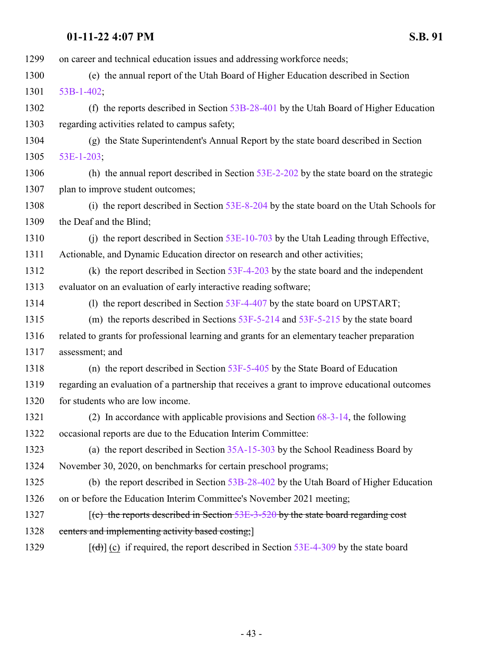| 1299 | on career and technical education issues and addressing workforce needs;                            |
|------|-----------------------------------------------------------------------------------------------------|
| 1300 | (e) the annual report of the Utah Board of Higher Education described in Section                    |
| 1301 | $53B-1-402$ ;                                                                                       |
| 1302 | (f) the reports described in Section $53B-28-401$ by the Utah Board of Higher Education             |
| 1303 | regarding activities related to campus safety;                                                      |
| 1304 | (g) the State Superintendent's Annual Report by the state board described in Section                |
| 1305 | 53E-1-203;                                                                                          |
| 1306 | (h) the annual report described in Section $53E-2-202$ by the state board on the strategic          |
| 1307 | plan to improve student outcomes;                                                                   |
| 1308 | (i) the report described in Section 53E-8-204 by the state board on the Utah Schools for            |
| 1309 | the Deaf and the Blind;                                                                             |
| 1310 | (i) the report described in Section $53E-10-703$ by the Utah Leading through Effective,             |
| 1311 | Actionable, and Dynamic Education director on research and other activities;                        |
| 1312 | (k) the report described in Section $53F-4-203$ by the state board and the independent              |
| 1313 | evaluator on an evaluation of early interactive reading software;                                   |
| 1314 | (1) the report described in Section 53F-4-407 by the state board on UPSTART;                        |
| 1315 | (m) the reports described in Sections $53F-5-214$ and $53F-5-215$ by the state board                |
| 1316 | related to grants for professional learning and grants for an elementary teacher preparation        |
| 1317 | assessment; and                                                                                     |
| 1318 | (n) the report described in Section $53F-5-405$ by the State Board of Education                     |
| 1319 | regarding an evaluation of a partnership that receives a grant to improve educational outcomes      |
| 1320 | for students who are low income.                                                                    |
| 1321 | (2) In accordance with applicable provisions and Section $68-3-14$ , the following                  |
| 1322 | occasional reports are due to the Education Interim Committee:                                      |
| 1323 | (a) the report described in Section $35A-15-303$ by the School Readiness Board by                   |
| 1324 | November 30, 2020, on benchmarks for certain preschool programs;                                    |
| 1325 | (b) the report described in Section 53B-28-402 by the Utah Board of Higher Education                |
| 1326 | on or before the Education Interim Committee's November 2021 meeting;                               |
| 1327 | $\left[ (c)$ the reports described in Section 53E-3-520 by the state board regarding cost           |
| 1328 | centers and implementing activity based costing;                                                    |
| 1329 | $[\text{(\text{d})}]$ (c) if required, the report described in Section 53E-4-309 by the state board |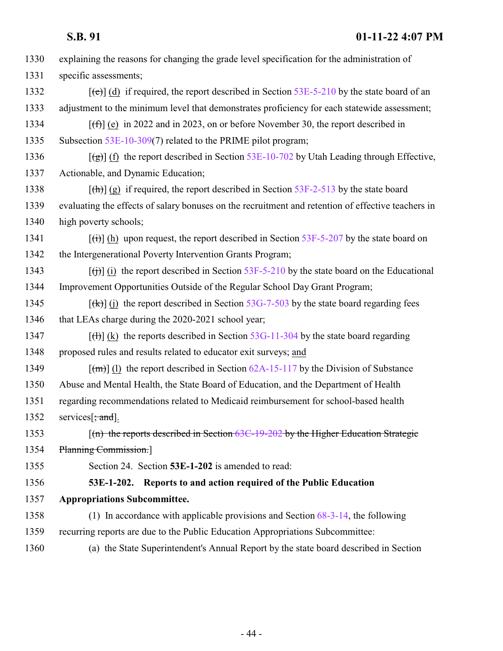| S.B. 91 | $01-11-22$ 4:07 PM |
|---------|--------------------|
|         |                    |

| 1330 | explaining the reasons for changing the grade level specification for the administration of                          |
|------|----------------------------------------------------------------------------------------------------------------------|
| 1331 | specific assessments;                                                                                                |
| 1332 | $[\text{ee}]$ (d) if required, the report described in Section 53E-5-210 by the state board of an                    |
| 1333 | adjustment to the minimum level that demonstrates proficiency for each statewide assessment;                         |
| 1334 | $[f(f)]$ (e) in 2022 and in 2023, on or before November 30, the report described in                                  |
| 1335 | Subsection $53E-10-309(7)$ related to the PRIME pilot program;                                                       |
| 1336 | $[\frac{1}{2}]$ (f) the report described in Section 53E-10-702 by Utah Leading through Effective,                    |
| 1337 | Actionable, and Dynamic Education;                                                                                   |
| 1338 | $[\text{th}]$ (g) if required, the report described in Section 53F-2-513 by the state board                          |
| 1339 | evaluating the effects of salary bonuses on the recruitment and retention of effective teachers in                   |
| 1340 | high poverty schools;                                                                                                |
| 1341 | $[\text{H}\text{H}]$ (h) upon request, the report described in Section 53F-5-207 by the state board on               |
| 1342 | the Intergenerational Poverty Intervention Grants Program;                                                           |
| 1343 | $\left[\frac{f(t)}{g(t)}\right]$ (i) the report described in Section 53F-5-210 by the state board on the Educational |
| 1344 | Improvement Opportunities Outside of the Regular School Day Grant Program;                                           |
| 1345 | $[\frac{f(k)}{g(k)}]$ (j) the report described in Section 53G-7-503 by the state board regarding fees                |
| 1346 | that LEAs charge during the 2020-2021 school year;                                                                   |
| 1347 | $[\text{H}](k)$ the reports described in Section 53G-11-304 by the state board regarding                             |
| 1348 | proposed rules and results related to educator exit surveys; and                                                     |
| 1349 | $\lceil (m) \rceil$ (1) the report described in Section 62A-15-117 by the Division of Substance                      |
| 1350 | Abuse and Mental Health, the State Board of Education, and the Department of Health                                  |
| 1351 | regarding recommendations related to Medicaid reimbursement for school-based health                                  |
| 1352 | services [; and].                                                                                                    |
| 1353 | $\lceil$ (n) the reports described in Section 63C-19-202 by the Higher Education Strategic                           |
| 1354 | Planning Commission.                                                                                                 |
| 1355 | Section 24. Section 53E-1-202 is amended to read:                                                                    |
| 1356 | 53E-1-202. Reports to and action required of the Public Education                                                    |
| 1357 | <b>Appropriations Subcommittee.</b>                                                                                  |
| 1358 | (1) In accordance with applicable provisions and Section $68-3-14$ , the following                                   |
| 1359 | recurring reports are due to the Public Education Appropriations Subcommittee:                                       |
| 1360 | (a) the State Superintendent's Annual Report by the state board described in Section                                 |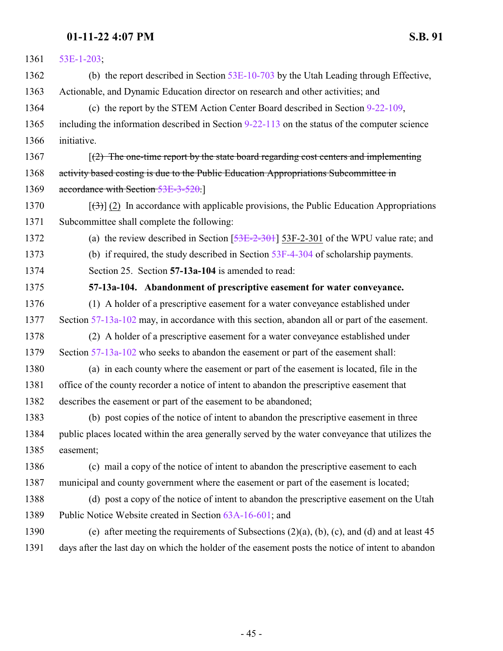| 1361 | 53E-1-203;                                                                                             |
|------|--------------------------------------------------------------------------------------------------------|
| 1362 | (b) the report described in Section 53E-10-703 by the Utah Leading through Effective,                  |
| 1363 | Actionable, and Dynamic Education director on research and other activities; and                       |
| 1364 | (c) the report by the STEM Action Center Board described in Section 9-22-109,                          |
| 1365 | including the information described in Section $9-22-113$ on the status of the computer science        |
| 1366 | initiative.                                                                                            |
| 1367 | $(2)$ The one-time report by the state board regarding cost centers and implementing                   |
| 1368 | activity based costing is due to the Public Education Appropriations Subcommittee in                   |
| 1369 | accordance with Section 53E-3-520.]                                                                    |
| 1370 | $[\langle 3\rangle]$ (2) In accordance with applicable provisions, the Public Education Appropriations |
| 1371 | Subcommittee shall complete the following:                                                             |
| 1372 | (a) the review described in Section $[53E-2-301]$ 53F-2-301 of the WPU value rate; and                 |
| 1373 | (b) if required, the study described in Section $53F-4-304$ of scholarship payments.                   |
| 1374 | Section 25. Section 57-13a-104 is amended to read:                                                     |
| 1375 | 57-13a-104. Abandonment of prescriptive easement for water conveyance.                                 |
| 1376 | (1) A holder of a prescriptive easement for a water conveyance established under                       |
| 1377 | Section 57-13a-102 may, in accordance with this section, abandon all or part of the easement.          |
| 1378 | (2) A holder of a prescriptive easement for a water conveyance established under                       |
| 1379 | Section 57-13a-102 who seeks to abandon the easement or part of the easement shall:                    |
| 1380 | (a) in each county where the easement or part of the easement is located, file in the                  |
| 1381 | office of the county recorder a notice of intent to abandon the prescriptive easement that             |
| 1382 | describes the easement or part of the easement to be abandoned;                                        |
| 1383 | (b) post copies of the notice of intent to abandon the prescriptive easement in three                  |
| 1384 | public places located within the area generally served by the water conveyance that utilizes the       |
| 1385 | easement;                                                                                              |
| 1386 | (c) mail a copy of the notice of intent to abandon the prescriptive easement to each                   |
| 1387 | municipal and county government where the easement or part of the easement is located;                 |
| 1388 | (d) post a copy of the notice of intent to abandon the prescriptive easement on the Utah               |
| 1389 | Public Notice Website created in Section 63A-16-601; and                                               |
| 1390 | (e) after meeting the requirements of Subsections $(2)(a)$ , $(b)$ , $(c)$ , and $(d)$ and at least 45 |
| 1391 | days after the last day on which the holder of the easement posts the notice of intent to abandon      |
|      |                                                                                                        |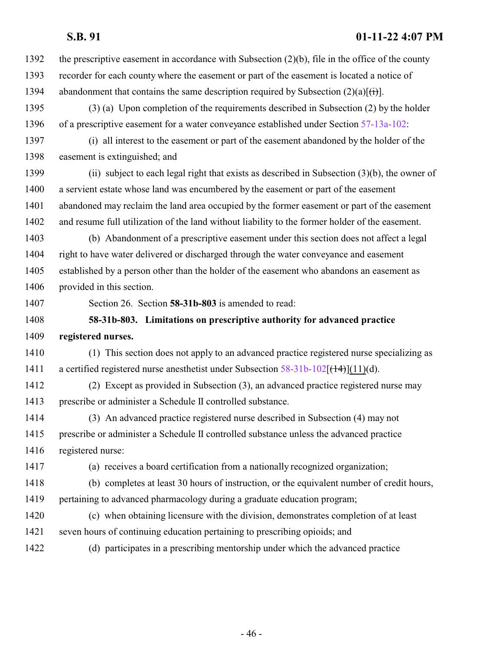- the prescriptive easement in accordance with Subsection (2)(b), file in the office of the county recorder for each county where the easement or part of the easement is located a notice of 1394 abandonment that contains the same description required by Subsection  $(2)(a)[(i)]$ .
- (3) (a) Upon completion of the requirements described in Subsection (2) by the holder of a prescriptive easement for a water conveyance established under Section [57-13a-102](http://le.utah.gov/UtahCode/SectionLookup.jsp?section=57-13a-102&session=2022GS):
- (i) all interest to the easement or part of the easement abandoned by the holder of the easement is extinguished; and
- (ii) subject to each legal right that exists as described in Subsection (3)(b), the owner of a servient estate whose land was encumbered by the easement or part of the easement abandoned may reclaim the land area occupied by the former easement or part of the easement and resume full utilization of the land without liability to the former holder of the easement.
- (b) Abandonment of a prescriptive easement under this section does not affect a legal right to have water delivered or discharged through the water conveyance and easement established by a person other than the holder of the easement who abandons an easement as provided in this section.
- 

Section 26. Section **58-31b-803** is amended to read:

# **58-31b-803. Limitations on prescriptive authority for advanced practice**

## **registered nurses.**

- (1) This section does not apply to an advanced practice registered nurse specializing as 1411 a certified registered nurse anesthetist under Subsection  $58-31b-102[(1+4)(d)]$ .
- (2) Except as provided in Subsection (3), an advanced practice registered nurse may prescribe or administer a Schedule II controlled substance.
- (3) An advanced practice registered nurse described in Subsection (4) may not prescribe or administer a Schedule II controlled substance unless the advanced practice registered nurse:
- 
- (a) receives a board certification from a nationally recognized organization;
- (b) completes at least 30 hours of instruction, or the equivalent number of credit hours, pertaining to advanced pharmacology during a graduate education program;
- (c) when obtaining licensure with the division, demonstrates completion of at least
- seven hours of continuing education pertaining to prescribing opioids; and
- (d) participates in a prescribing mentorship under which the advanced practice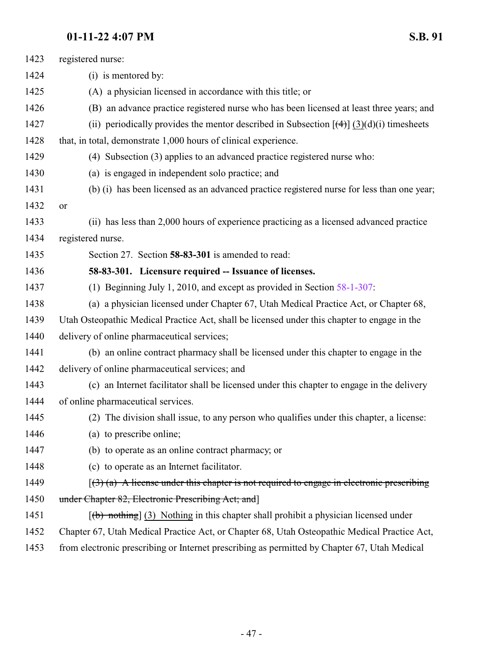registered nurse:

| 1424 | (i) is mentored by:                                                                                       |
|------|-----------------------------------------------------------------------------------------------------------|
| 1425 | (A) a physician licensed in accordance with this title; or                                                |
| 1426 | (B) an advance practice registered nurse who has been licensed at least three years; and                  |
| 1427 | (ii) periodically provides the mentor described in Subsection $[\left(4\right)](3)(d)(i)$ timesheets      |
| 1428 | that, in total, demonstrate 1,000 hours of clinical experience.                                           |
| 1429 | (4) Subsection (3) applies to an advanced practice registered nurse who:                                  |
| 1430 | (a) is engaged in independent solo practice; and                                                          |
| 1431 | (b) (i) has been licensed as an advanced practice registered nurse for less than one year;                |
| 1432 | or                                                                                                        |
| 1433 | (ii) has less than 2,000 hours of experience practicing as a licensed advanced practice                   |
| 1434 | registered nurse.                                                                                         |
| 1435 | Section 27. Section 58-83-301 is amended to read:                                                         |
| 1436 | 58-83-301. Licensure required -- Issuance of licenses.                                                    |
| 1437 | (1) Beginning July 1, 2010, and except as provided in Section $58-1-307$ :                                |
| 1438 | (a) a physician licensed under Chapter 67, Utah Medical Practice Act, or Chapter 68,                      |
| 1439 | Utah Osteopathic Medical Practice Act, shall be licensed under this chapter to engage in the              |
| 1440 | delivery of online pharmaceutical services;                                                               |
| 1441 | (b) an online contract pharmacy shall be licensed under this chapter to engage in the                     |
| 1442 | delivery of online pharmaceutical services; and                                                           |
| 1443 | (c) an Internet facilitator shall be licensed under this chapter to engage in the delivery                |
| 1444 | of online pharmaceutical services.                                                                        |
| 1445 | (2) The division shall issue, to any person who qualifies under this chapter, a license:                  |
| 1446 | (a) to prescribe online;                                                                                  |
| 1447 | (b) to operate as an online contract pharmacy; or                                                         |
| 1448 | (c) to operate as an Internet facilitator.                                                                |
| 1449 | $(3)$ (a) A license under this chapter is not required to engage in electronic prescribing                |
| 1450 | under Chapter 82, Electronic Prescribing Act; and]                                                        |
| 1451 | $\left[\frac{1}{10}\right]$ nothing (3) Nothing in this chapter shall prohibit a physician licensed under |
| 1452 | Chapter 67, Utah Medical Practice Act, or Chapter 68, Utah Osteopathic Medical Practice Act,              |
| 1453 | from electronic prescribing or Internet prescribing as permitted by Chapter 67, Utah Medical              |
|      |                                                                                                           |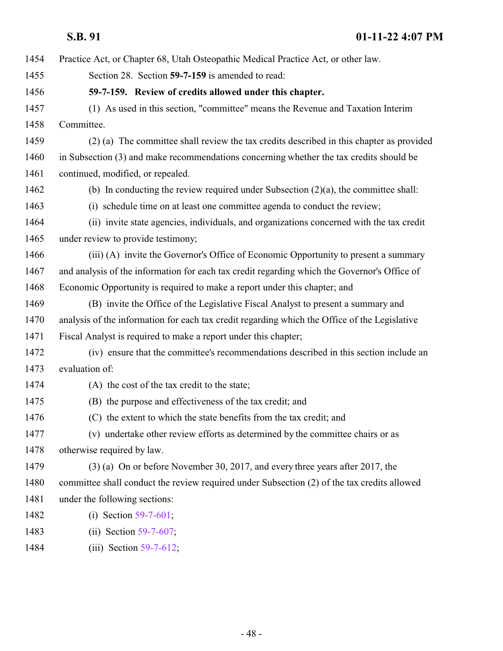| 1454 | Practice Act, or Chapter 68, Utah Osteopathic Medical Practice Act, or other law.             |
|------|-----------------------------------------------------------------------------------------------|
| 1455 | Section 28. Section 59-7-159 is amended to read:                                              |
| 1456 | 59-7-159. Review of credits allowed under this chapter.                                       |
| 1457 | (1) As used in this section, "committee" means the Revenue and Taxation Interim               |
| 1458 | Committee.                                                                                    |
| 1459 | (2) (a) The committee shall review the tax credits described in this chapter as provided      |
| 1460 | in Subsection (3) and make recommendations concerning whether the tax credits should be       |
| 1461 | continued, modified, or repealed.                                                             |
| 1462 | (b) In conducting the review required under Subsection $(2)(a)$ , the committee shall:        |
| 1463 | (i) schedule time on at least one committee agenda to conduct the review;                     |
| 1464 | (ii) invite state agencies, individuals, and organizations concerned with the tax credit      |
| 1465 | under review to provide testimony;                                                            |
| 1466 | (iii) (A) invite the Governor's Office of Economic Opportunity to present a summary           |
| 1467 | and analysis of the information for each tax credit regarding which the Governor's Office of  |
| 1468 | Economic Opportunity is required to make a report under this chapter; and                     |
| 1469 | (B) invite the Office of the Legislative Fiscal Analyst to present a summary and              |
| 1470 | analysis of the information for each tax credit regarding which the Office of the Legislative |
| 1471 | Fiscal Analyst is required to make a report under this chapter;                               |
| 1472 | (iv) ensure that the committee's recommendations described in this section include an         |
| 1473 | evaluation of:                                                                                |
| 1474 | (A) the cost of the tax credit to the state;                                                  |
| 1475 | (B) the purpose and effectiveness of the tax credit; and                                      |
| 1476 | (C) the extent to which the state benefits from the tax credit; and                           |
| 1477 | (v) undertake other review efforts as determined by the committee chairs or as                |
| 1478 | otherwise required by law.                                                                    |
| 1479 | (3) (a) On or before November 30, 2017, and every three years after 2017, the                 |
| 1480 | committee shall conduct the review required under Subsection (2) of the tax credits allowed   |
| 1481 | under the following sections:                                                                 |
| 1482 | (i) Section $59-7-601$ ;                                                                      |
| 1483 | Section 59-7-607;<br>(i)                                                                      |
| 1484 | (iii) Section $59-7-612$ ;                                                                    |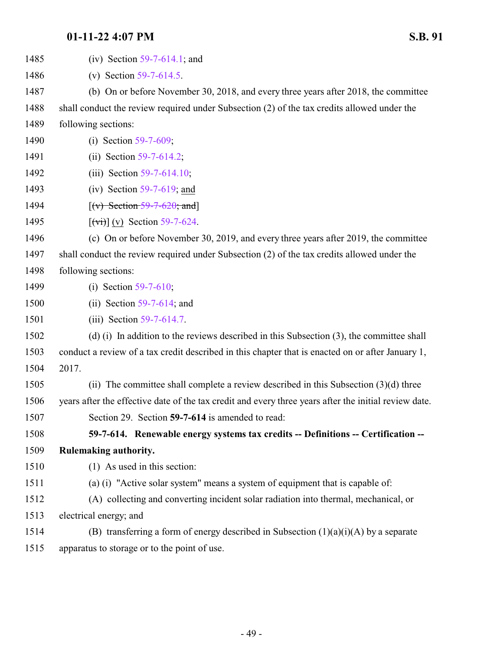<span id="page-48-0"></span>

| 1485 | (iv) Section $59-7-614.1$ ; and                                                                       |
|------|-------------------------------------------------------------------------------------------------------|
| 1486 | (v) Section $59-7-614.5$ .                                                                            |
| 1487 | (b) On or before November 30, 2018, and every three years after 2018, the committee                   |
| 1488 | shall conduct the review required under Subsection (2) of the tax credits allowed under the           |
| 1489 | following sections:                                                                                   |
| 1490 | (i) Section $59-7-609$ ;                                                                              |
| 1491 | (ii) Section $59-7-614.2$ ;                                                                           |
| 1492 | (iii) Section $59-7-614.10$ ;                                                                         |
| 1493 | (iv) Section $59-7-619$ ; and                                                                         |
| 1494 | $[(v) \text{Section } 59 - 7 - 620; \text{ and}]$                                                     |
| 1495 | $\left[$ (vi) $\right]$ (v) Section 59-7-624.                                                         |
| 1496 | (c) On or before November 30, 2019, and every three years after 2019, the committee                   |
| 1497 | shall conduct the review required under Subsection (2) of the tax credits allowed under the           |
| 1498 | following sections:                                                                                   |
| 1499 | (i) Section $59-7-610$ ;                                                                              |
| 1500 | (ii) Section $59-7-614$ ; and                                                                         |
| 1501 | (iii) Section $59-7-614.7$ .                                                                          |
| 1502 | $(d)$ (i) In addition to the reviews described in this Subsection (3), the committee shall            |
| 1503 | conduct a review of a tax credit described in this chapter that is enacted on or after January 1,     |
| 1504 | 2017.                                                                                                 |
| 1505 | (ii) The committee shall complete a review described in this Subsection $(3)(d)$ three                |
| 1506 | years after the effective date of the tax credit and every three years after the initial review date. |
| 1507 | Section 29. Section 59-7-614 is amended to read:                                                      |
| 1508 | 59-7-614. Renewable energy systems tax credits -- Definitions -- Certification --                     |
| 1509 | Rulemaking authority.                                                                                 |
| 1510 | $(1)$ As used in this section:                                                                        |
| 1511 | (a) (i) "Active solar system" means a system of equipment that is capable of:                         |
| 1512 | (A) collecting and converting incident solar radiation into thermal, mechanical, or                   |
| 1513 | electrical energy; and                                                                                |
| 1514 | (B) transferring a form of energy described in Subsection $(1)(a)(i)(A)$ by a separate                |
| 1515 | apparatus to storage or to the point of use.                                                          |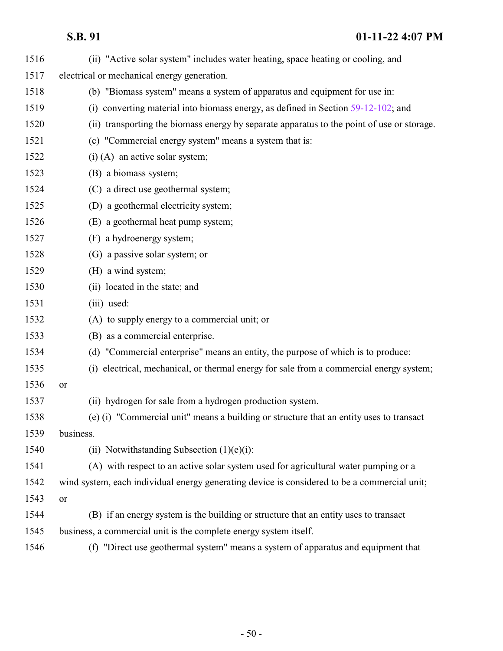| 1516 | (ii) "Active solar system" includes water heating, space heating or cooling, and             |
|------|----------------------------------------------------------------------------------------------|
| 1517 | electrical or mechanical energy generation.                                                  |
| 1518 | (b) "Biomass system" means a system of apparatus and equipment for use in:                   |
| 1519 | (i) converting material into biomass energy, as defined in Section $59-12-102$ ; and         |
| 1520 | (ii) transporting the biomass energy by separate apparatus to the point of use or storage.   |
| 1521 | (c) "Commercial energy system" means a system that is:                                       |
| 1522 | $(i)$ (A) an active solar system;                                                            |
| 1523 | (B) a biomass system;                                                                        |
| 1524 | (C) a direct use geothermal system;                                                          |
| 1525 | (D) a geothermal electricity system;                                                         |
| 1526 | (E) a geothermal heat pump system;                                                           |
| 1527 | (F) a hydroenergy system;                                                                    |
| 1528 | (G) a passive solar system; or                                                               |
| 1529 | (H) a wind system;                                                                           |
| 1530 | (ii) located in the state; and                                                               |
| 1531 | (iii) used:                                                                                  |
| 1532 | (A) to supply energy to a commercial unit; or                                                |
| 1533 | (B) as a commercial enterprise.                                                              |
| 1534 | (d) "Commercial enterprise" means an entity, the purpose of which is to produce:             |
| 1535 | (i) electrical, mechanical, or thermal energy for sale from a commercial energy system;      |
| 1536 | or                                                                                           |
| 1537 | (ii) hydrogen for sale from a hydrogen production system.                                    |
| 1538 | (e) (i) "Commercial unit" means a building or structure that an entity uses to transact      |
| 1539 | business.                                                                                    |
| 1540 | (ii) Notwithstanding Subsection $(1)(e)(i)$ :                                                |
| 1541 | (A) with respect to an active solar system used for agricultural water pumping or a          |
| 1542 | wind system, each individual energy generating device is considered to be a commercial unit; |
| 1543 | or                                                                                           |
| 1544 | (B) if an energy system is the building or structure that an entity uses to transact         |
| 1545 | business, a commercial unit is the complete energy system itself.                            |
| 1546 | (f) "Direct use geothermal system" means a system of apparatus and equipment that            |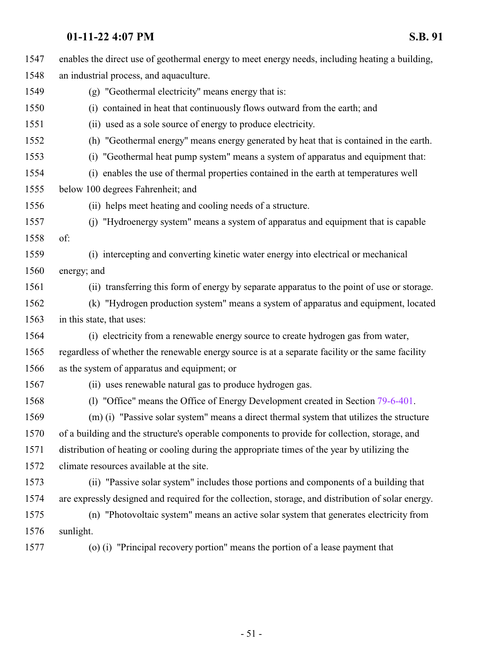| 1547 | enables the direct use of geothermal energy to meet energy needs, including heating a building,    |
|------|----------------------------------------------------------------------------------------------------|
| 1548 | an industrial process, and aquaculture.                                                            |
| 1549 | (g) "Geothermal electricity" means energy that is:                                                 |
| 1550 | contained in heat that continuously flows outward from the earth; and<br>(i)                       |
| 1551 | (ii) used as a sole source of energy to produce electricity.                                       |
| 1552 | (h) "Geothermal energy" means energy generated by heat that is contained in the earth.             |
| 1553 | "Geothermal heat pump system" means a system of apparatus and equipment that:<br>(i)               |
| 1554 | (i) enables the use of thermal properties contained in the earth at temperatures well              |
| 1555 | below 100 degrees Fahrenheit; and                                                                  |
| 1556 | (ii) helps meet heating and cooling needs of a structure.                                          |
| 1557 | "Hydroenergy system" means a system of apparatus and equipment that is capable<br>(i)              |
| 1558 | of:                                                                                                |
| 1559 | (i) intercepting and converting kinetic water energy into electrical or mechanical                 |
| 1560 | energy; and                                                                                        |
| 1561 | (ii) transferring this form of energy by separate apparatus to the point of use or storage.        |
| 1562 | (k) "Hydrogen production system" means a system of apparatus and equipment, located                |
| 1563 | in this state, that uses:                                                                          |
| 1564 | (i) electricity from a renewable energy source to create hydrogen gas from water,                  |
| 1565 | regardless of whether the renewable energy source is at a separate facility or the same facility   |
| 1566 | as the system of apparatus and equipment; or                                                       |
| 1567 | (ii) uses renewable natural gas to produce hydrogen gas.                                           |
| 1568 | (1) "Office" means the Office of Energy Development created in Section 79-6-401.                   |
| 1569 | (m) (i) "Passive solar system" means a direct thermal system that utilizes the structure           |
| 1570 | of a building and the structure's operable components to provide for collection, storage, and      |
| 1571 | distribution of heating or cooling during the appropriate times of the year by utilizing the       |
| 1572 | climate resources available at the site.                                                           |
| 1573 | (ii) "Passive solar system" includes those portions and components of a building that              |
| 1574 | are expressly designed and required for the collection, storage, and distribution of solar energy. |
| 1575 | (n) "Photovoltaic system" means an active solar system that generates electricity from             |
| 1576 | sunlight.                                                                                          |
| 1577 | (o) (i) "Principal recovery portion" means the portion of a lease payment that                     |
|      |                                                                                                    |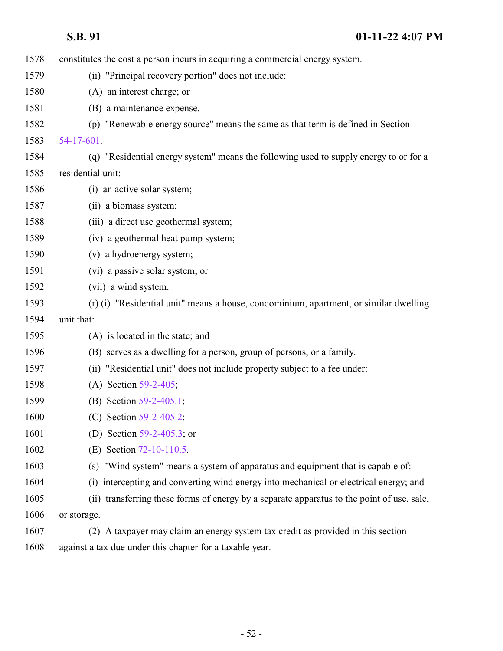| 1578 | constitutes the cost a person incurs in acquiring a commercial energy system.                 |
|------|-----------------------------------------------------------------------------------------------|
| 1579 | (ii) "Principal recovery portion" does not include:                                           |
| 1580 | (A) an interest charge; or                                                                    |
| 1581 | (B) a maintenance expense.                                                                    |
| 1582 | (p) "Renewable energy source" means the same as that term is defined in Section               |
| 1583 | 54-17-601.                                                                                    |
| 1584 | (q) "Residential energy system" means the following used to supply energy to or for a         |
| 1585 | residential unit:                                                                             |
| 1586 | (i) an active solar system;                                                                   |
| 1587 | (ii) a biomass system;                                                                        |
| 1588 | (iii) a direct use geothermal system;                                                         |
| 1589 | (iv) a geothermal heat pump system;                                                           |
| 1590 | (v) a hydroenergy system;                                                                     |
| 1591 | (vi) a passive solar system; or                                                               |
| 1592 | (vii) a wind system.                                                                          |
| 1593 | (r) (i) "Residential unit" means a house, condominium, apartment, or similar dwelling         |
| 1594 | unit that:                                                                                    |
| 1595 | (A) is located in the state; and                                                              |
| 1596 | (B) serves as a dwelling for a person, group of persons, or a family.                         |
| 1597 | (ii) "Residential unit" does not include property subject to a fee under:                     |
| 1598 | (A) Section 59-2-405;                                                                         |
| 1599 | (B) Section 59-2-405.1;                                                                       |
| 1600 | (C) Section 59-2-405.2;                                                                       |
| 1601 | (D) Section $59-2-405.3$ ; or                                                                 |
| 1602 | (E) Section 72-10-110.5.                                                                      |
| 1603 | (s) "Wind system" means a system of apparatus and equipment that is capable of:               |
| 1604 | intercepting and converting wind energy into mechanical or electrical energy; and<br>(i)      |
| 1605 | transferring these forms of energy by a separate apparatus to the point of use, sale,<br>(ii) |
| 1606 | or storage.                                                                                   |
| 1607 | (2) A taxpayer may claim an energy system tax credit as provided in this section              |
| 1608 | against a tax due under this chapter for a taxable year.                                      |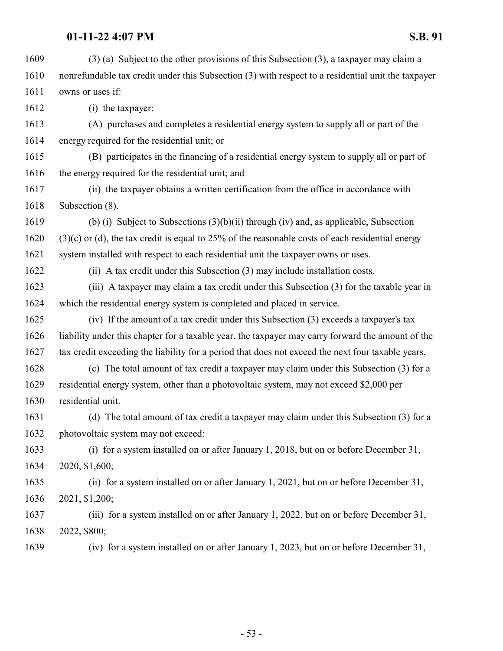| 1609 | $(3)$ (a) Subject to the other provisions of this Subsection $(3)$ , a taxpayer may claim a        |
|------|----------------------------------------------------------------------------------------------------|
| 1610 | nonrefundable tax credit under this Subsection (3) with respect to a residential unit the taxpayer |
| 1611 | owns or uses if:                                                                                   |
| 1612 | (i) the taxpayer:                                                                                  |
| 1613 | (A) purchases and completes a residential energy system to supply all or part of the               |
| 1614 | energy required for the residential unit; or                                                       |
| 1615 | (B) participates in the financing of a residential energy system to supply all or part of          |
| 1616 | the energy required for the residential unit; and                                                  |
| 1617 | (ii) the taxpayer obtains a written certification from the office in accordance with               |
| 1618 | Subsection (8).                                                                                    |
| 1619 | (b) (i) Subject to Subsections $(3)(b)(ii)$ through (iv) and, as applicable, Subsection            |
| 1620 | $(3)(c)$ or (d), the tax credit is equal to 25% of the reasonable costs of each residential energy |
| 1621 | system installed with respect to each residential unit the taxpayer owns or uses.                  |
| 1622 | (ii) A tax credit under this Subsection (3) may include installation costs.                        |
| 1623 | (iii) A taxpayer may claim a tax credit under this Subsection (3) for the taxable year in          |
| 1624 | which the residential energy system is completed and placed in service.                            |
| 1625 | (iv) If the amount of a tax credit under this Subsection (3) exceeds a taxpayer's tax              |
| 1626 | liability under this chapter for a taxable year, the taxpayer may carry forward the amount of the  |
| 1627 | tax credit exceeding the liability for a period that does not exceed the next four taxable years.  |
| 1628 | (c) The total amount of tax credit a taxpayer may claim under this Subsection (3) for a            |
| 1629 | residential energy system, other than a photovoltaic system, may not exceed \$2,000 per            |
| 1630 | residential unit.                                                                                  |
| 1631 | (d) The total amount of tax credit a taxpayer may claim under this Subsection (3) for a            |
| 1632 | photovoltaic system may not exceed:                                                                |
| 1633 | (i) for a system installed on or after January 1, 2018, but on or before December 31,              |
| 1634 | 2020, \$1,600;                                                                                     |
| 1635 | (ii) for a system installed on or after January 1, 2021, but on or before December 31,             |
| 1636 | 2021, \$1,200;                                                                                     |
| 1637 | (iii) for a system installed on or after January 1, 2022, but on or before December 31,            |
| 1638 | 2022, \$800;                                                                                       |
| 1639 | (iv) for a system installed on or after January 1, 2023, but on or before December 31,             |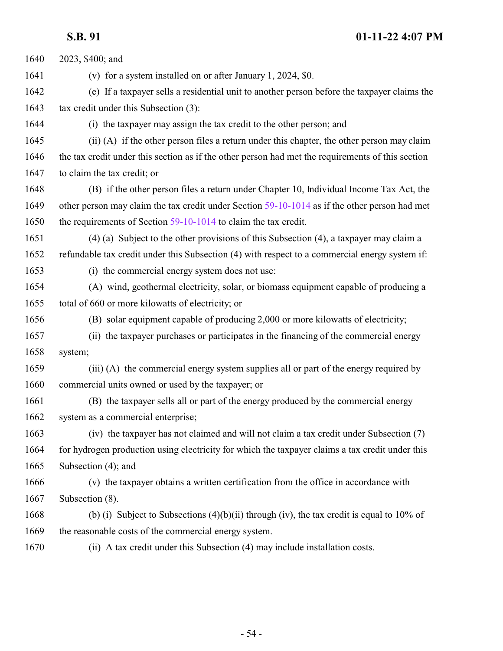2023, \$400; and (v) for a system installed on or after January 1, 2024, \$0. (e) If a taxpayer sells a residential unit to another person before the taxpayer claims the 1643 tax credit under this Subsection (3): (i) the taxpayer may assign the tax credit to the other person; and (ii) (A) if the other person files a return under this chapter, the other person may claim the tax credit under this section as if the other person had met the requirements of this section to claim the tax credit; or (B) if the other person files a return under Chapter 10, Individual Income Tax Act, the other person may claim the tax credit under Section [59-10-1014](http://le.utah.gov/UtahCode/SectionLookup.jsp?section=59-10-1014&session=2022GS) as if the other person had met 1650 the requirements of Section [59-10-1014](http://le.utah.gov/UtahCode/SectionLookup.jsp?section=59-10-1014&session=2022GS) to claim the tax credit. (4) (a) Subject to the other provisions of this Subsection (4), a taxpayer may claim a refundable tax credit under this Subsection (4) with respect to a commercial energy system if: (i) the commercial energy system does not use: (A) wind, geothermal electricity, solar, or biomass equipment capable of producing a total of 660 or more kilowatts of electricity; or (B) solar equipment capable of producing 2,000 or more kilowatts of electricity; (ii) the taxpayer purchases or participates in the financing of the commercial energy system; (iii) (A) the commercial energy system supplies all or part of the energy required by commercial units owned or used by the taxpayer; or (B) the taxpayer sells all or part of the energy produced by the commercial energy system as a commercial enterprise; (iv) the taxpayer has not claimed and will not claim a tax credit under Subsection (7) for hydrogen production using electricity for which the taxpayer claims a tax credit under this Subsection (4); and (v) the taxpayer obtains a written certification from the office in accordance with Subsection (8). 1668 (b) (i) Subject to Subsections (4)(b)(ii) through (iv), the tax credit is equal to 10% of 1669 the reasonable costs of the commercial energy system. (ii) A tax credit under this Subsection (4) may include installation costs.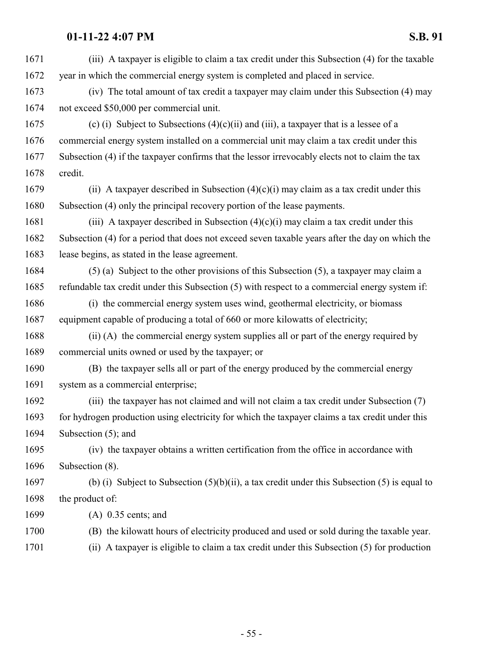| 1671 | (iii) A taxpayer is eligible to claim a tax credit under this Subsection (4) for the taxable    |
|------|-------------------------------------------------------------------------------------------------|
| 1672 | year in which the commercial energy system is completed and placed in service.                  |
| 1673 | (iv) The total amount of tax credit a taxpayer may claim under this Subsection (4) may          |
| 1674 | not exceed \$50,000 per commercial unit.                                                        |
| 1675 | (c) (i) Subject to Subsections $(4)(c)(ii)$ and (iii), a taxpayer that is a lessee of a         |
| 1676 | commercial energy system installed on a commercial unit may claim a tax credit under this       |
| 1677 | Subsection (4) if the taxpayer confirms that the lessor irrevocably elects not to claim the tax |
| 1678 | credit.                                                                                         |
| 1679 | (ii) A taxpayer described in Subsection $(4)(c)(i)$ may claim as a tax credit under this        |
| 1680 | Subsection (4) only the principal recovery portion of the lease payments.                       |
| 1681 | (iii) A taxpayer described in Subsection $(4)(c)(i)$ may claim a tax credit under this          |
| 1682 | Subsection (4) for a period that does not exceed seven taxable years after the day on which the |
| 1683 | lease begins, as stated in the lease agreement.                                                 |
| 1684 | $(5)$ (a) Subject to the other provisions of this Subsection $(5)$ , a taxpayer may claim a     |
| 1685 | refundable tax credit under this Subsection (5) with respect to a commercial energy system if:  |
| 1686 | (i) the commercial energy system uses wind, geothermal electricity, or biomass                  |
| 1687 | equipment capable of producing a total of 660 or more kilowatts of electricity;                 |
| 1688 | (ii) (A) the commercial energy system supplies all or part of the energy required by            |
| 1689 | commercial units owned or used by the taxpayer; or                                              |
| 1690 | (B) the taxpayer sells all or part of the energy produced by the commercial energy              |
| 1691 | system as a commercial enterprise;                                                              |
| 1692 | (iii) the taxpayer has not claimed and will not claim a tax credit under Subsection (7)         |
| 1693 | for hydrogen production using electricity for which the taxpayer claims a tax credit under this |
| 1694 | Subsection $(5)$ ; and                                                                          |
| 1695 | (iv) the taxpayer obtains a written certification from the office in accordance with            |
| 1696 | Subsection (8).                                                                                 |
| 1697 | (b) (i) Subject to Subsection $(5)(b)(ii)$ , a tax credit under this Subsection (5) is equal to |
| 1698 | the product of:                                                                                 |
| 1699 | $(A)$ 0.35 cents; and                                                                           |
| 1700 | (B) the kilowatt hours of electricity produced and used or sold during the taxable year.        |
| 1701 | (ii) A taxpayer is eligible to claim a tax credit under this Subsection (5) for production      |
|      |                                                                                                 |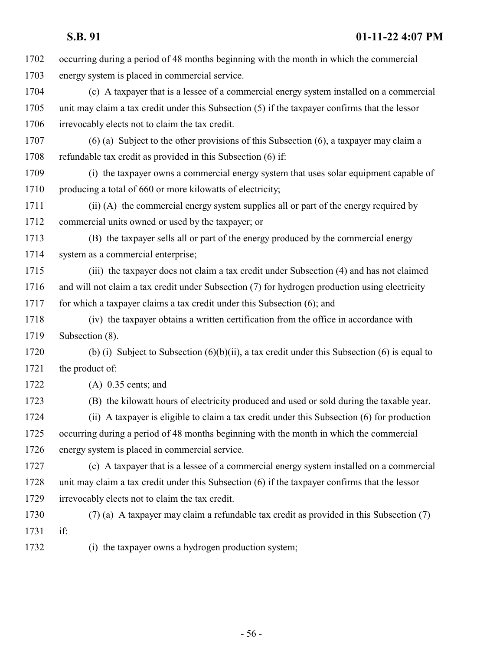occurring during a period of 48 months beginning with the month in which the commercial energy system is placed in commercial service. (c) A taxpayer that is a lessee of a commercial energy system installed on a commercial unit may claim a tax credit under this Subsection (5) if the taxpayer confirms that the lessor irrevocably elects not to claim the tax credit. (6) (a) Subject to the other provisions of this Subsection (6), a taxpayer may claim a refundable tax credit as provided in this Subsection (6) if: (i) the taxpayer owns a commercial energy system that uses solar equipment capable of 1710 producing a total of 660 or more kilowatts of electricity; (ii) (A) the commercial energy system supplies all or part of the energy required by commercial units owned or used by the taxpayer; or (B) the taxpayer sells all or part of the energy produced by the commercial energy system as a commercial enterprise; (iii) the taxpayer does not claim a tax credit under Subsection (4) and has not claimed and will not claim a tax credit under Subsection (7) for hydrogen production using electricity for which a taxpayer claims a tax credit under this Subsection (6); and (iv) the taxpayer obtains a written certification from the office in accordance with Subsection (8). (b) (i) Subject to Subsection (6)(b)(ii), a tax credit under this Subsection (6) is equal to the product of: (A) 0.35 cents; and (B) the kilowatt hours of electricity produced and used or sold during the taxable year. (ii) A taxpayer is eligible to claim a tax credit under this Subsection (6) for production occurring during a period of 48 months beginning with the month in which the commercial energy system is placed in commercial service. (c) A taxpayer that is a lessee of a commercial energy system installed on a commercial unit may claim a tax credit under this Subsection (6) if the taxpayer confirms that the lessor irrevocably elects not to claim the tax credit. (7) (a) A taxpayer may claim a refundable tax credit as provided in this Subsection (7) if: (i) the taxpayer owns a hydrogen production system;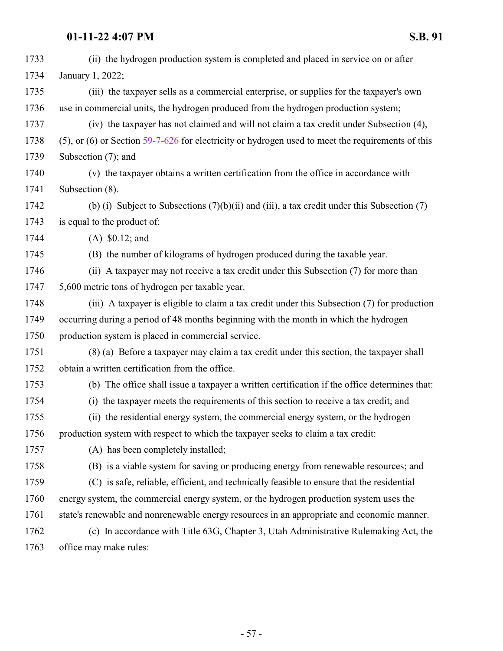| 1733 | (ii) the hydrogen production system is completed and placed in service on or after                     |
|------|--------------------------------------------------------------------------------------------------------|
| 1734 | January 1, 2022;                                                                                       |
| 1735 | (iii) the taxpayer sells as a commercial enterprise, or supplies for the taxpayer's own                |
| 1736 | use in commercial units, the hydrogen produced from the hydrogen production system;                    |
| 1737 | (iv) the taxpayer has not claimed and will not claim a tax credit under Subsection (4),                |
| 1738 | $(5)$ , or $(6)$ or Section 59-7-626 for electricity or hydrogen used to meet the requirements of this |
| 1739 | Subsection (7); and                                                                                    |
| 1740 | (v) the taxpayer obtains a written certification from the office in accordance with                    |
| 1741 | Subsection (8).                                                                                        |
| 1742 | (b) (i) Subject to Subsections $(7)(b)(ii)$ and (iii), a tax credit under this Subsection (7)          |
| 1743 | is equal to the product of:                                                                            |
| 1744 | $(A)$ \$0.12; and                                                                                      |
| 1745 | (B) the number of kilograms of hydrogen produced during the taxable year.                              |
| 1746 | (ii) A taxpayer may not receive a tax credit under this Subsection (7) for more than                   |
| 1747 | 5,600 metric tons of hydrogen per taxable year.                                                        |
| 1748 | (iii) A taxpayer is eligible to claim a tax credit under this Subsection (7) for production            |
| 1749 | occurring during a period of 48 months beginning with the month in which the hydrogen                  |
| 1750 | production system is placed in commercial service.                                                     |
| 1751 | (8) (a) Before a taxpayer may claim a tax credit under this section, the taxpayer shall                |
| 1752 | obtain a written certification from the office.                                                        |
| 1753 | (b) The office shall issue a taxpayer a written certification if the office determines that:           |
| 1754 | (i) the taxpayer meets the requirements of this section to receive a tax credit; and                   |
| 1755 | (ii) the residential energy system, the commercial energy system, or the hydrogen                      |
| 1756 | production system with respect to which the taxpayer seeks to claim a tax credit:                      |
| 1757 | (A) has been completely installed;                                                                     |
| 1758 | (B) is a viable system for saving or producing energy from renewable resources; and                    |
| 1759 | (C) is safe, reliable, efficient, and technically feasible to ensure that the residential              |
| 1760 | energy system, the commercial energy system, or the hydrogen production system uses the                |
| 1761 | state's renewable and nonrenewable energy resources in an appropriate and economic manner.             |
| 1762 | (c) In accordance with Title 63G, Chapter 3, Utah Administrative Rulemaking Act, the                   |
| 1763 | office may make rules:                                                                                 |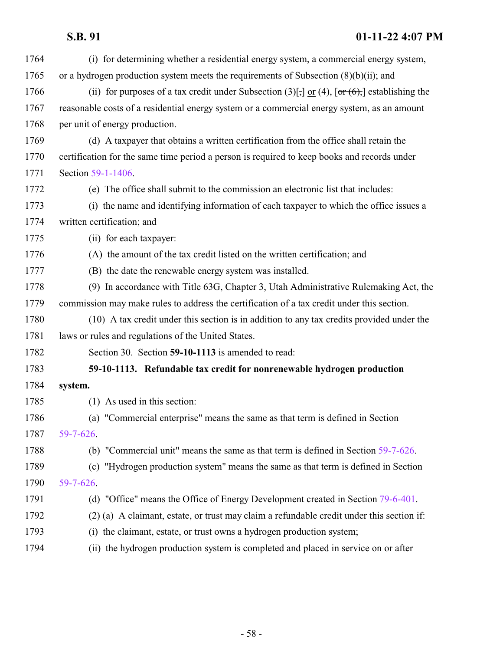| 1764 | (i) for determining whether a residential energy system, a commercial energy system,                 |
|------|------------------------------------------------------------------------------------------------------|
| 1765 | or a hydrogen production system meets the requirements of Subsection $(8)(b)(ii)$ ; and              |
| 1766 | (ii) for purposes of a tax credit under Subsection (3)[;] or (4), $[\sigma r(6)$ ;] establishing the |
| 1767 | reasonable costs of a residential energy system or a commercial energy system, as an amount          |
| 1768 | per unit of energy production.                                                                       |
| 1769 | (d) A taxpayer that obtains a written certification from the office shall retain the                 |
| 1770 | certification for the same time period a person is required to keep books and records under          |
| 1771 | Section 59-1-1406.                                                                                   |
| 1772 | (e) The office shall submit to the commission an electronic list that includes:                      |
| 1773 | (i) the name and identifying information of each taxpayer to which the office issues a               |
| 1774 | written certification; and                                                                           |
| 1775 | (ii) for each taxpayer:                                                                              |
| 1776 | (A) the amount of the tax credit listed on the written certification; and                            |
| 1777 | (B) the date the renewable energy system was installed.                                              |
| 1778 | (9) In accordance with Title 63G, Chapter 3, Utah Administrative Rulemaking Act, the                 |
| 1779 | commission may make rules to address the certification of a tax credit under this section.           |
| 1780 | (10) A tax credit under this section is in addition to any tax credits provided under the            |
| 1781 | laws or rules and regulations of the United States.                                                  |
| 1782 | Section 30. Section 59-10-1113 is amended to read:                                                   |
| 1783 | 59-10-1113. Refundable tax credit for nonrenewable hydrogen production                               |
| 1784 | system.                                                                                              |
| 1785 | $(1)$ As used in this section:                                                                       |
| 1786 | (a) "Commercial enterprise" means the same as that term is defined in Section                        |
| 1787 | $59 - 7 - 626$ .                                                                                     |
| 1788 | (b) "Commercial unit" means the same as that term is defined in Section 59-7-626.                    |
| 1789 | (c) "Hydrogen production system" means the same as that term is defined in Section                   |
| 1790 | 59-7-626.                                                                                            |
| 1791 | (d) "Office" means the Office of Energy Development created in Section 79-6-401.                     |
| 1792 | (2) (a) A claimant, estate, or trust may claim a refundable credit under this section if:            |
| 1793 | the claimant, estate, or trust owns a hydrogen production system;<br>(i)                             |
| 1794 | the hydrogen production system is completed and placed in service on or after<br>(i)                 |
|      |                                                                                                      |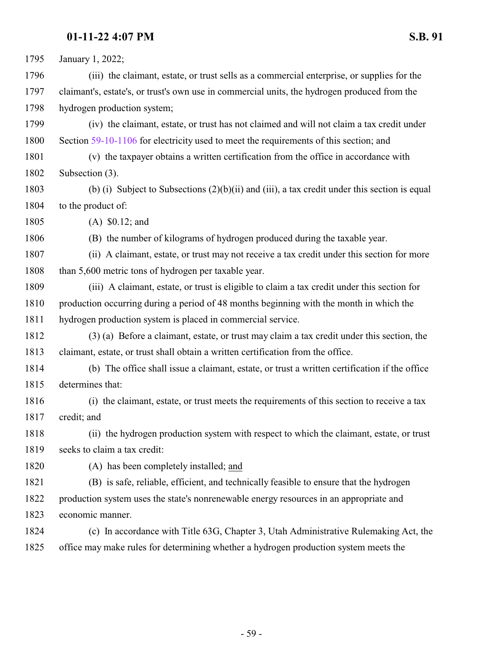January 1, 2022; (iii) the claimant, estate, or trust sells as a commercial enterprise, or supplies for the claimant's, estate's, or trust's own use in commercial units, the hydrogen produced from the hydrogen production system; (iv) the claimant, estate, or trust has not claimed and will not claim a tax credit under Section [59-10-1106](http://le.utah.gov/UtahCode/SectionLookup.jsp?section=59-10-1106&session=2022GS) for electricity used to meet the requirements of this section; and (v) the taxpayer obtains a written certification from the office in accordance with Subsection (3). (b) (i) Subject to Subsections (2)(b)(ii) and (iii), a tax credit under this section is equal to the product of: (A) \$0.12; and (B) the number of kilograms of hydrogen produced during the taxable year. (ii) A claimant, estate, or trust may not receive a tax credit under this section for more 1808 than 5,600 metric tons of hydrogen per taxable year. (iii) A claimant, estate, or trust is eligible to claim a tax credit under this section for production occurring during a period of 48 months beginning with the month in which the hydrogen production system is placed in commercial service. (3) (a) Before a claimant, estate, or trust may claim a tax credit under this section, the claimant, estate, or trust shall obtain a written certification from the office. (b) The office shall issue a claimant, estate, or trust a written certification if the office determines that: (i) the claimant, estate, or trust meets the requirements of this section to receive a tax credit; and (ii) the hydrogen production system with respect to which the claimant, estate, or trust seeks to claim a tax credit: (A) has been completely installed; and (B) is safe, reliable, efficient, and technically feasible to ensure that the hydrogen production system uses the state's nonrenewable energy resources in an appropriate and economic manner. (c) In accordance with Title 63G, Chapter 3, Utah Administrative Rulemaking Act, the office may make rules for determining whether a hydrogen production system meets the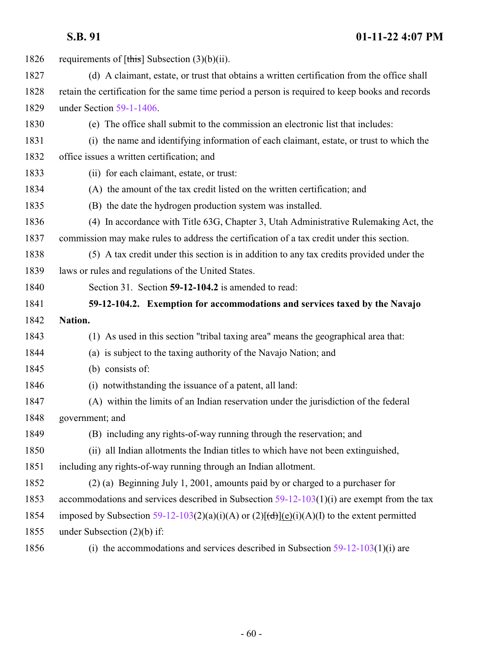| 1826 | requirements of $[\overline{\text{this}}]$ Subsection (3)(b)(ii).                                                    |
|------|----------------------------------------------------------------------------------------------------------------------|
| 1827 | (d) A claimant, estate, or trust that obtains a written certification from the office shall                          |
| 1828 | retain the certification for the same time period a person is required to keep books and records                     |
| 1829 | under Section 59-1-1406.                                                                                             |
| 1830 | (e) The office shall submit to the commission an electronic list that includes:                                      |
| 1831 | (i) the name and identifying information of each claimant, estate, or trust to which the                             |
| 1832 | office issues a written certification; and                                                                           |
| 1833 | (ii) for each claimant, estate, or trust:                                                                            |
| 1834 | (A) the amount of the tax credit listed on the written certification; and                                            |
| 1835 | (B) the date the hydrogen production system was installed.                                                           |
| 1836 | (4) In accordance with Title 63G, Chapter 3, Utah Administrative Rulemaking Act, the                                 |
| 1837 | commission may make rules to address the certification of a tax credit under this section.                           |
| 1838 | (5) A tax credit under this section is in addition to any tax credits provided under the                             |
| 1839 | laws or rules and regulations of the United States.                                                                  |
| 1840 | Section 31. Section 59-12-104.2 is amended to read:                                                                  |
|      |                                                                                                                      |
| 1841 | 59-12-104.2. Exemption for accommodations and services taxed by the Navajo                                           |
| 1842 | Nation.                                                                                                              |
| 1843 | (1) As used in this section "tribal taxing area" means the geographical area that:                                   |
| 1844 | (a) is subject to the taxing authority of the Navajo Nation; and                                                     |
| 1845 | (b) consists of:                                                                                                     |
| 1846 | (i) notwithstanding the issuance of a patent, all land:                                                              |
| 1847 | (A) within the limits of an Indian reservation under the jurisdiction of the federal                                 |
| 1848 | government; and                                                                                                      |
| 1849 | (B) including any rights-of-way running through the reservation; and                                                 |
| 1850 | (ii) all Indian allotments the Indian titles to which have not been extinguished,                                    |
| 1851 | including any rights-of-way running through an Indian allotment.                                                     |
| 1852 | (2) (a) Beginning July 1, 2001, amounts paid by or charged to a purchaser for                                        |
| 1853 | accommodations and services described in Subsection $59-12-103(1)(i)$ are exempt from the tax                        |
| 1854 | imposed by Subsection 59-12-103(2)(a)(i)(A) or (2)[ $\left(\frac{d}{d}\right)$ ](e)(i)(A)(I) to the extent permitted |
| 1855 | under Subsection $(2)(b)$ if:                                                                                        |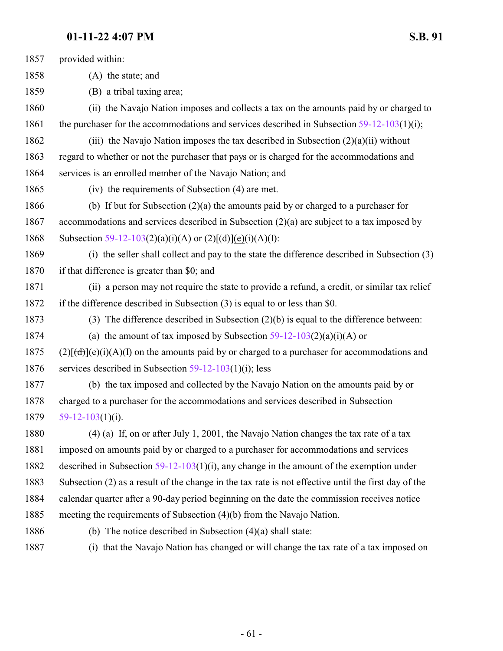| 1857 | provided within:                                                                                     |
|------|------------------------------------------------------------------------------------------------------|
| 1858 | (A) the state; and                                                                                   |
| 1859 | (B) a tribal taxing area;                                                                            |
| 1860 | (ii) the Navajo Nation imposes and collects a tax on the amounts paid by or charged to               |
| 1861 | the purchaser for the accommodations and services described in Subsection $59-12-103(1)(i)$ ;        |
| 1862 | (iii) the Navajo Nation imposes the tax described in Subsection $(2)(a)(ii)$ without                 |
| 1863 | regard to whether or not the purchaser that pays or is charged for the accommodations and            |
| 1864 | services is an enrolled member of the Navajo Nation; and                                             |
| 1865 | (iv) the requirements of Subsection (4) are met.                                                     |
| 1866 | (b) If but for Subsection $(2)(a)$ the amounts paid by or charged to a purchaser for                 |
| 1867 | accommodations and services described in Subsection $(2)(a)$ are subject to a tax imposed by         |
| 1868 | Subsection 59-12-103(2)(a)(i)(A) or (2)[(d)](e)(i)(A)(I):                                            |
| 1869 | (i) the seller shall collect and pay to the state the difference described in Subsection (3)         |
| 1870 | if that difference is greater than \$0; and                                                          |
| 1871 | (ii) a person may not require the state to provide a refund, a credit, or similar tax relief         |
| 1872 | if the difference described in Subsection (3) is equal to or less than \$0.                          |
| 1873 | (3) The difference described in Subsection $(2)(b)$ is equal to the difference between:              |
| 1874 | (a) the amount of tax imposed by Subsection $59-12-103(2)(a)(i)(A)$ or                               |
| 1875 | $(2)[(d)](e)(i)(A)(I)$ on the amounts paid by or charged to a purchaser for accommodations and       |
| 1876 | services described in Subsection $59-12-103(1)(i)$ ; less                                            |
| 1877 | (b) the tax imposed and collected by the Navajo Nation on the amounts paid by or                     |
| 1878 | charged to a purchaser for the accommodations and services described in Subsection                   |
| 1879 | $59-12-103(1)(i)$ .                                                                                  |
| 1880 | $(4)$ (a) If, on or after July 1, 2001, the Navajo Nation changes the tax rate of a tax              |
| 1881 | imposed on amounts paid by or charged to a purchaser for accommodations and services                 |
| 1882 | described in Subsection $59-12-103(1)(i)$ , any change in the amount of the exemption under          |
| 1883 | Subsection (2) as a result of the change in the tax rate is not effective until the first day of the |
| 1884 | calendar quarter after a 90-day period beginning on the date the commission receives notice          |
| 1885 | meeting the requirements of Subsection (4)(b) from the Navajo Nation.                                |
| 1886 | (b) The notice described in Subsection $(4)(a)$ shall state:                                         |
|      |                                                                                                      |

(i) that the Navajo Nation has changed or will change the tax rate of a tax imposed on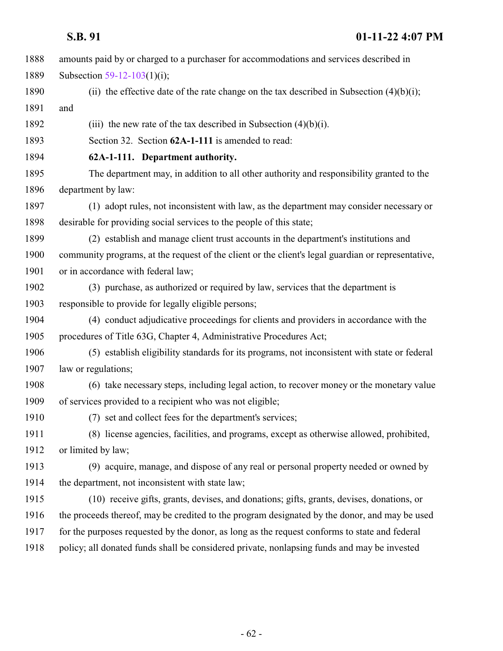| 1888 | amounts paid by or charged to a purchaser for accommodations and services described in             |
|------|----------------------------------------------------------------------------------------------------|
| 1889 | Subsection 59-12-103(1)(i);                                                                        |
| 1890 | (ii) the effective date of the rate change on the tax described in Subsection $(4)(b)(i)$ ;        |
| 1891 | and                                                                                                |
| 1892 | (iii) the new rate of the tax described in Subsection $(4)(b)(i)$ .                                |
| 1893 | Section 32. Section 62A-1-111 is amended to read:                                                  |
| 1894 | 62A-1-111. Department authority.                                                                   |
| 1895 | The department may, in addition to all other authority and responsibility granted to the           |
| 1896 | department by law:                                                                                 |
| 1897 | (1) adopt rules, not inconsistent with law, as the department may consider necessary or            |
| 1898 | desirable for providing social services to the people of this state;                               |
| 1899 | (2) establish and manage client trust accounts in the department's institutions and                |
| 1900 | community programs, at the request of the client or the client's legal guardian or representative, |
| 1901 | or in accordance with federal law;                                                                 |
| 1902 | (3) purchase, as authorized or required by law, services that the department is                    |
| 1903 | responsible to provide for legally eligible persons;                                               |
| 1904 | (4) conduct adjudicative proceedings for clients and providers in accordance with the              |
| 1905 | procedures of Title 63G, Chapter 4, Administrative Procedures Act;                                 |
| 1906 | (5) establish eligibility standards for its programs, not inconsistent with state or federal       |
| 1907 | law or regulations;                                                                                |
| 1908 | (6) take necessary steps, including legal action, to recover money or the monetary value           |
| 1909 | of services provided to a recipient who was not eligible;                                          |
| 1910 | (7) set and collect fees for the department's services;                                            |
| 1911 | (8) license agencies, facilities, and programs, except as otherwise allowed, prohibited,           |
| 1912 | or limited by law;                                                                                 |
| 1913 | (9) acquire, manage, and dispose of any real or personal property needed or owned by               |
| 1914 | the department, not inconsistent with state law;                                                   |
| 1915 | (10) receive gifts, grants, devises, and donations; gifts, grants, devises, donations, or          |
| 1916 | the proceeds thereof, may be credited to the program designated by the donor, and may be used      |
| 1917 | for the purposes requested by the donor, as long as the request conforms to state and federal      |
| 1918 | policy; all donated funds shall be considered private, nonlapsing funds and may be invested        |
|      |                                                                                                    |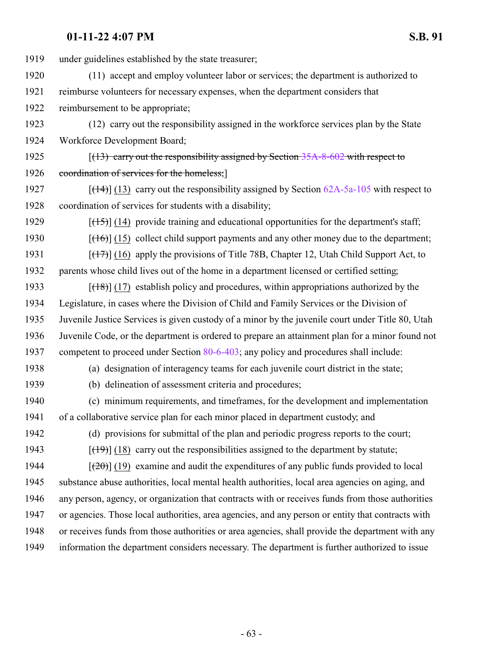under guidelines established by the state treasurer; (11) accept and employ volunteer labor or services; the department is authorized to reimburse volunteers for necessary expenses, when the department considers that reimbursement to be appropriate; (12) carry out the responsibility assigned in the workforce services plan by the State Workforce Development Board; 1925 [(13) carry out the responsibility assigned by Section [35A-8-602](http://le.utah.gov/UtahCode/SectionLookup.jsp?section=35a-8-602&session=2022GS) with respect to 1926 coordination of services for the homeless;  $[(14)]$  (13) carry out the responsibility assigned by Section  $62A-5a-105$  with respect to coordination of services for students with a disability;  $\left[\frac{(15)}{(14)}\right]$  (14) provide training and educational opportunities for the department's staff;  $[(16)]$  (15) collect child support payments and any other money due to the department; 1931 [(17)] (16) apply the provisions of Title 78B, Chapter 12, Utah Child Support Act, to parents whose child lives out of the home in a department licensed or certified setting;  $[(18)]$  (17) establish policy and procedures, within appropriations authorized by the Legislature, in cases where the Division of Child and Family Services or the Division of Juvenile Justice Services is given custody of a minor by the juvenile court under Title 80, Utah Juvenile Code, or the department is ordered to prepare an attainment plan for a minor found not 1937 competent to proceed under Section [80-6-403](http://le.utah.gov/UtahCode/SectionLookup.jsp?section=80-6-403&session=2022GS); any policy and procedures shall include: (a) designation of interagency teams for each juvenile court district in the state; (b) delineation of assessment criteria and procedures; (c) minimum requirements, and timeframes, for the development and implementation of a collaborative service plan for each minor placed in department custody; and (d) provisions for submittal of the plan and periodic progress reports to the court;  $[(19)$  (18) carry out the responsibilities assigned to the department by statute;  $\left[\frac{(20)}{(19)}\right]$  (19) examine and audit the expenditures of any public funds provided to local substance abuse authorities, local mental health authorities, local area agencies on aging, and any person, agency, or organization that contracts with or receives funds from those authorities or agencies. Those local authorities, area agencies, and any person or entity that contracts with or receives funds from those authorities or area agencies, shall provide the department with any information the department considers necessary. The department is further authorized to issue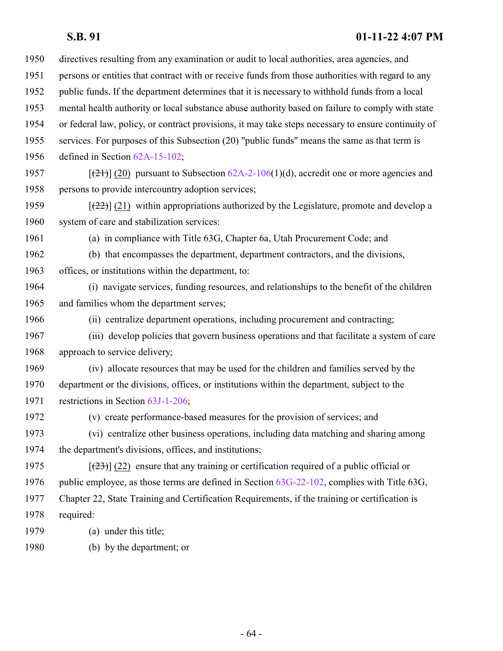| 1950 | directives resulting from any examination or audit to local authorities, area agencies, and                      |
|------|------------------------------------------------------------------------------------------------------------------|
| 1951 | persons or entities that contract with or receive funds from those authorities with regard to any                |
| 1952 | public funds. If the department determines that it is necessary to withhold funds from a local                   |
| 1953 | mental health authority or local substance abuse authority based on failure to comply with state                 |
| 1954 | or federal law, policy, or contract provisions, it may take steps necessary to ensure continuity of              |
| 1955 | services. For purposes of this Subsection (20) "public funds" means the same as that term is                     |
| 1956 | defined in Section 62A-15-102;                                                                                   |
| 1957 | $[\frac{(21)}{(20)}]$ pursuant to Subsection 62A-2-106(1)(d), accredit one or more agencies and                  |
| 1958 | persons to provide intercountry adoption services;                                                               |
| 1959 | $[\frac{22}{2}]$ (21) within appropriations authorized by the Legislature, promote and develop a                 |
| 1960 | system of care and stabilization services:                                                                       |
| 1961 | (a) in compliance with Title 63G, Chapter 6a, Utah Procurement Code; and                                         |
| 1962 | (b) that encompasses the department, department contractors, and the divisions,                                  |
| 1963 | offices, or institutions within the department, to:                                                              |
| 1964 | (i) navigate services, funding resources, and relationships to the benefit of the children                       |
| 1965 | and families whom the department serves;                                                                         |
| 1966 | (ii) centralize department operations, including procurement and contracting;                                    |
| 1967 | (iii) develop policies that govern business operations and that facilitate a system of care                      |
| 1968 | approach to service delivery;                                                                                    |
| 1969 | (iv) allocate resources that may be used for the children and families served by the                             |
| 1970 | department or the divisions, offices, or institutions within the department, subject to the                      |
| 1971 | restrictions in Section 63J-1-206;                                                                               |
| 1972 | (v) create performance-based measures for the provision of services; and                                         |
| 1973 | (vi) centralize other business operations, including data matching and sharing among                             |
| 1974 | the department's divisions, offices, and institutions;                                                           |
| 1975 | $\left[\frac{(23)}{(22)}\right]$ (22) ensure that any training or certification required of a public official or |
| 1976 | public employee, as those terms are defined in Section 63G-22-102, complies with Title 63G,                      |
| 1977 | Chapter 22, State Training and Certification Requirements, if the training or certification is                   |
| 1978 | required:                                                                                                        |
| 1979 | (a) under this title;                                                                                            |
| 1980 | (b) by the department; or                                                                                        |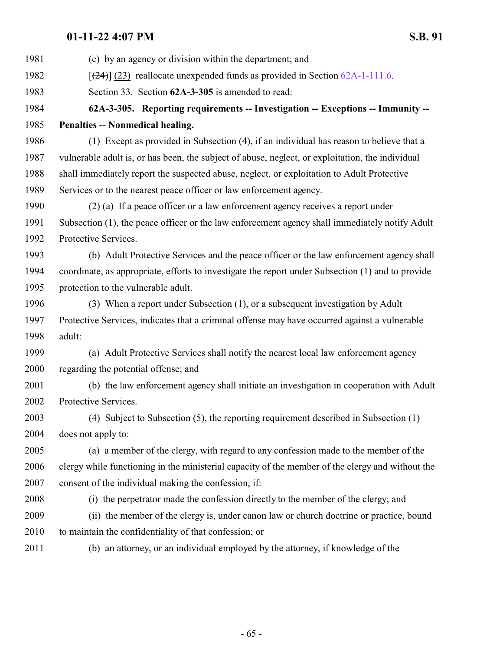| 1981 | (c) by an agency or division within the department; and                                           |
|------|---------------------------------------------------------------------------------------------------|
| 1982 | $[24]$ (23) reallocate unexpended funds as provided in Section 62A-1-111.6.                       |
| 1983 | Section 33. Section 62A-3-305 is amended to read:                                                 |
| 1984 | 62A-3-305. Reporting requirements -- Investigation -- Exceptions -- Immunity --                   |
| 1985 | Penalties -- Nonmedical healing.                                                                  |
| 1986 | (1) Except as provided in Subsection (4), if an individual has reason to believe that a           |
| 1987 | vulnerable adult is, or has been, the subject of abuse, neglect, or exploitation, the individual  |
| 1988 | shall immediately report the suspected abuse, neglect, or exploitation to Adult Protective        |
| 1989 | Services or to the nearest peace officer or law enforcement agency.                               |
| 1990 | (2) (a) If a peace officer or a law enforcement agency receives a report under                    |
| 1991 | Subsection (1), the peace officer or the law enforcement agency shall immediately notify Adult    |
| 1992 | Protective Services.                                                                              |
| 1993 | (b) Adult Protective Services and the peace officer or the law enforcement agency shall           |
| 1994 | coordinate, as appropriate, efforts to investigate the report under Subsection (1) and to provide |
| 1995 | protection to the vulnerable adult.                                                               |
| 1996 | (3) When a report under Subsection (1), or a subsequent investigation by Adult                    |
| 1997 | Protective Services, indicates that a criminal offense may have occurred against a vulnerable     |
| 1998 | adult:                                                                                            |
| 1999 | (a) Adult Protective Services shall notify the nearest local law enforcement agency               |
| 2000 | regarding the potential offense; and                                                              |
| 2001 | (b) the law enforcement agency shall initiate an investigation in cooperation with Adult          |
| 2002 | Protective Services.                                                                              |
| 2003 | (4) Subject to Subsection $(5)$ , the reporting requirement described in Subsection $(1)$         |
| 2004 | does not apply to:                                                                                |
| 2005 | (a) a member of the clergy, with regard to any confession made to the member of the               |
| 2006 | clergy while functioning in the ministerial capacity of the member of the clergy and without the  |
| 2007 | consent of the individual making the confession, if:                                              |
| 2008 | (i) the perpetrator made the confession directly to the member of the clergy; and                 |
| 2009 | (ii) the member of the clergy is, under canon law or church doctrine or practice, bound           |
| 2010 | to maintain the confidentiality of that confession; or                                            |
| 2011 | (b) an attorney, or an individual employed by the attorney, if knowledge of the                   |
|      |                                                                                                   |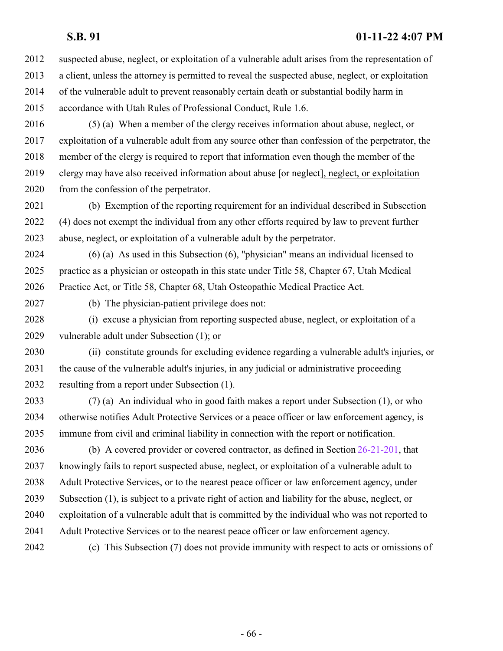suspected abuse, neglect, or exploitation of a vulnerable adult arises from the representation of a client, unless the attorney is permitted to reveal the suspected abuse, neglect, or exploitation of the vulnerable adult to prevent reasonably certain death or substantial bodily harm in accordance with Utah Rules of Professional Conduct, Rule 1.6.

 (5) (a) When a member of the clergy receives information about abuse, neglect, or exploitation of a vulnerable adult from any source other than confession of the perpetrator, the member of the clergy is required to report that information even though the member of the 2019 clergy may have also received information about abuse [or neglect], neglect, or exploitation from the confession of the perpetrator.

 (b) Exemption of the reporting requirement for an individual described in Subsection (4) does not exempt the individual from any other efforts required by law to prevent further abuse, neglect, or exploitation of a vulnerable adult by the perpetrator.

 (6) (a) As used in this Subsection (6), "physician" means an individual licensed to practice as a physician or osteopath in this state under Title 58, Chapter 67, Utah Medical Practice Act, or Title 58, Chapter 68, Utah Osteopathic Medical Practice Act.

(b) The physician-patient privilege does not:

 (i) excuse a physician from reporting suspected abuse, neglect, or exploitation of a vulnerable adult under Subsection (1); or

 (ii) constitute grounds for excluding evidence regarding a vulnerable adult's injuries, or the cause of the vulnerable adult's injuries, in any judicial or administrative proceeding resulting from a report under Subsection (1).

 (7) (a) An individual who in good faith makes a report under Subsection (1), or who otherwise notifies Adult Protective Services or a peace officer or law enforcement agency, is immune from civil and criminal liability in connection with the report or notification.

 (b) A covered provider or covered contractor, as defined in Section [26-21-201](http://le.utah.gov/UtahCode/SectionLookup.jsp?section=26-21-201&session=2022GS), that knowingly fails to report suspected abuse, neglect, or exploitation of a vulnerable adult to Adult Protective Services, or to the nearest peace officer or law enforcement agency, under Subsection (1), is subject to a private right of action and liability for the abuse, neglect, or exploitation of a vulnerable adult that is committed by the individual who was not reported to Adult Protective Services or to the nearest peace officer or law enforcement agency.

(c) This Subsection (7) does not provide immunity with respect to acts or omissions of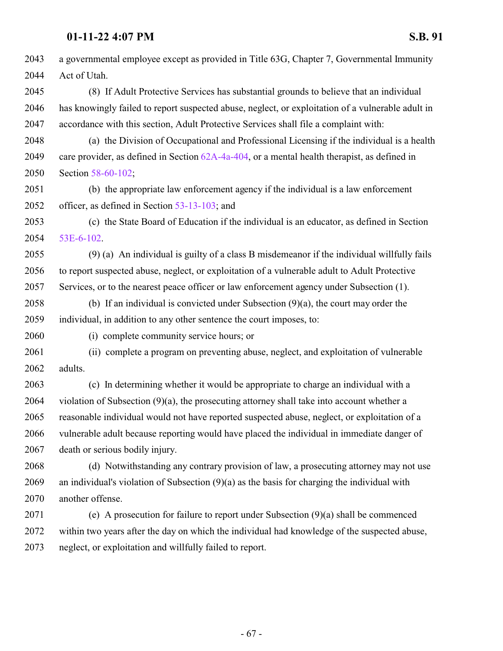a governmental employee except as provided in Title 63G, Chapter 7, Governmental Immunity Act of Utah. (8) If Adult Protective Services has substantial grounds to believe that an individual has knowingly failed to report suspected abuse, neglect, or exploitation of a vulnerable adult in accordance with this section, Adult Protective Services shall file a complaint with: (a) the Division of Occupational and Professional Licensing if the individual is a health care provider, as defined in Section [62A-4a-404](http://le.utah.gov/UtahCode/SectionLookup.jsp?section=62a-4a-404&session=2022GS), or a mental health therapist, as defined in Section [58-60-102](http://le.utah.gov/UtahCode/SectionLookup.jsp?section=58-60-102&session=2022GS); (b) the appropriate law enforcement agency if the individual is a law enforcement officer, as defined in Section [53-13-103](http://le.utah.gov/UtahCode/SectionLookup.jsp?section=53-13-103&session=2022GS); and (c) the State Board of Education if the individual is an educator, as defined in Section [53E-6-102](http://le.utah.gov/UtahCode/SectionLookup.jsp?section=53e-6-102&session=2022GS). (9) (a) An individual is guilty of a class B misdemeanor if the individual willfully fails to report suspected abuse, neglect, or exploitation of a vulnerable adult to Adult Protective Services, or to the nearest peace officer or law enforcement agency under Subsection (1). (b) If an individual is convicted under Subsection (9)(a), the court may order the individual, in addition to any other sentence the court imposes, to: (i) complete community service hours; or (ii) complete a program on preventing abuse, neglect, and exploitation of vulnerable adults. (c) In determining whether it would be appropriate to charge an individual with a violation of Subsection (9)(a), the prosecuting attorney shall take into account whether a reasonable individual would not have reported suspected abuse, neglect, or exploitation of a vulnerable adult because reporting would have placed the individual in immediate danger of death or serious bodily injury. (d) Notwithstanding any contrary provision of law, a prosecuting attorney may not use an individual's violation of Subsection (9)(a) as the basis for charging the individual with another offense. (e) A prosecution for failure to report under Subsection (9)(a) shall be commenced

 within two years after the day on which the individual had knowledge of the suspected abuse, neglect, or exploitation and willfully failed to report.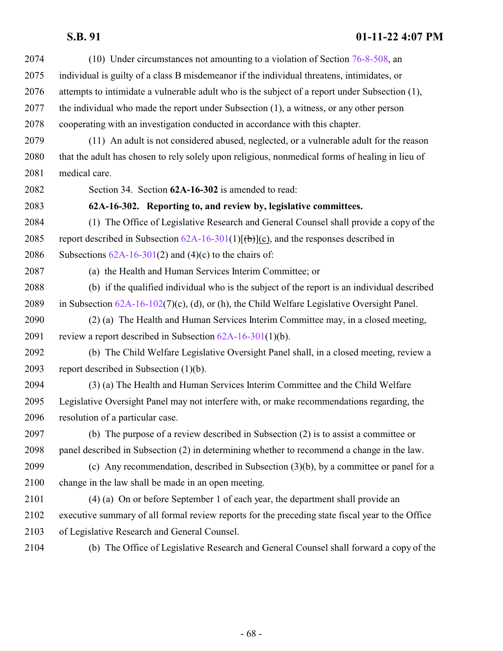| 2074 | (10) Under circumstances not amounting to a violation of Section $76-8-508$ , an                 |
|------|--------------------------------------------------------------------------------------------------|
| 2075 | individual is guilty of a class B misdemeanor if the individual threatens, intimidates, or       |
| 2076 | attempts to intimidate a vulnerable adult who is the subject of a report under Subsection (1),   |
| 2077 | the individual who made the report under Subsection (1), a witness, or any other person          |
| 2078 | cooperating with an investigation conducted in accordance with this chapter.                     |
| 2079 | (11) An adult is not considered abused, neglected, or a vulnerable adult for the reason          |
| 2080 | that the adult has chosen to rely solely upon religious, nonmedical forms of healing in lieu of  |
| 2081 | medical care.                                                                                    |
| 2082 | Section 34. Section 62A-16-302 is amended to read:                                               |
| 2083 | 62A-16-302. Reporting to, and review by, legislative committees.                                 |
| 2084 | (1) The Office of Legislative Research and General Counsel shall provide a copy of the           |
| 2085 | report described in Subsection $62A-16-301(1)[(b)](c)$ , and the responses described in          |
| 2086 | Subsections $62A-16-301(2)$ and $(4)(c)$ to the chairs of:                                       |
| 2087 | (a) the Health and Human Services Interim Committee; or                                          |
| 2088 | (b) if the qualified individual who is the subject of the report is an individual described      |
| 2089 | in Subsection $62A-16-102(7)(c)$ , (d), or (h), the Child Welfare Legislative Oversight Panel.   |
| 2090 | (2) (a) The Health and Human Services Interim Committee may, in a closed meeting,                |
| 2091 | review a report described in Subsection $62A-16-301(1)(b)$ .                                     |
| 2092 | (b) The Child Welfare Legislative Oversight Panel shall, in a closed meeting, review a           |
| 2093 | report described in Subsection $(1)(b)$ .                                                        |
| 2094 | (3) (a) The Health and Human Services Interim Committee and the Child Welfare                    |
| 2095 | Legislative Oversight Panel may not interfere with, or make recommendations regarding, the       |
| 2096 | resolution of a particular case.                                                                 |
| 2097 | (b) The purpose of a review described in Subsection (2) is to assist a committee or              |
| 2098 | panel described in Subsection (2) in determining whether to recommend a change in the law.       |
| 2099 | (c) Any recommendation, described in Subsection $(3)(b)$ , by a committee or panel for a         |
| 2100 | change in the law shall be made in an open meeting.                                              |
| 2101 | (4) (a) On or before September 1 of each year, the department shall provide an                   |
| 2102 | executive summary of all formal review reports for the preceding state fiscal year to the Office |
| 2103 | of Legislative Research and General Counsel.                                                     |
| 2104 | (b) The Office of Legislative Research and General Counsel shall forward a copy of the           |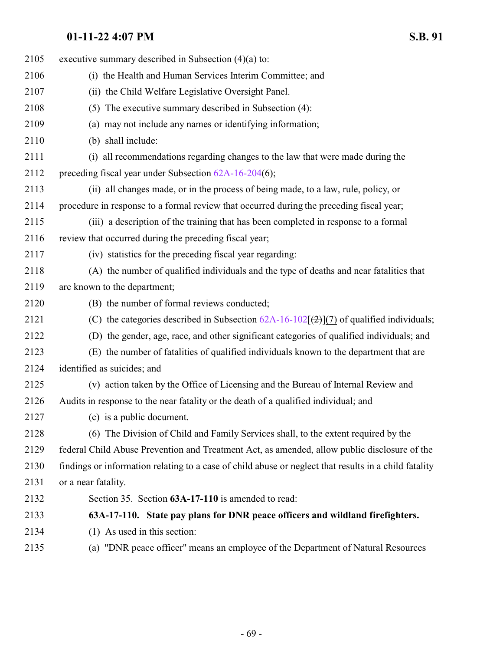| 2105 | executive summary described in Subsection $(4)(a)$ to:                                                |
|------|-------------------------------------------------------------------------------------------------------|
| 2106 | (i) the Health and Human Services Interim Committee; and                                              |
| 2107 | (ii) the Child Welfare Legislative Oversight Panel.                                                   |
| 2108 | (5) The executive summary described in Subsection (4):                                                |
| 2109 | (a) may not include any names or identifying information;                                             |
| 2110 | (b) shall include:                                                                                    |
| 2111 | (i) all recommendations regarding changes to the law that were made during the                        |
| 2112 | preceding fiscal year under Subsection 62A-16-204(6);                                                 |
| 2113 | (ii) all changes made, or in the process of being made, to a law, rule, policy, or                    |
| 2114 | procedure in response to a formal review that occurred during the preceding fiscal year;              |
| 2115 | (iii) a description of the training that has been completed in response to a formal                   |
| 2116 | review that occurred during the preceding fiscal year;                                                |
| 2117 | (iv) statistics for the preceding fiscal year regarding:                                              |
| 2118 | (A) the number of qualified individuals and the type of deaths and near fatalities that               |
| 2119 | are known to the department;                                                                          |
| 2120 | (B) the number of formal reviews conducted;                                                           |
| 2121 | (C) the categories described in Subsection $62A-16-102\sqrt{2}$ (7) of qualified individuals;         |
| 2122 | (D) the gender, age, race, and other significant categories of qualified individuals; and             |
| 2123 | (E) the number of fatalities of qualified individuals known to the department that are                |
| 2124 | identified as suicides; and                                                                           |
| 2125 | (v) action taken by the Office of Licensing and the Bureau of Internal Review and                     |
| 2126 | Audits in response to the near fatality or the death of a qualified individual; and                   |
| 2127 | (c) is a public document.                                                                             |
| 2128 | (6) The Division of Child and Family Services shall, to the extent required by the                    |
| 2129 | federal Child Abuse Prevention and Treatment Act, as amended, allow public disclosure of the          |
| 2130 | findings or information relating to a case of child abuse or neglect that results in a child fatality |
| 2131 | or a near fatality.                                                                                   |
| 2132 | Section 35. Section 63A-17-110 is amended to read:                                                    |
| 2133 | 63A-17-110. State pay plans for DNR peace officers and wildland firefighters.                         |
| 2134 | $(1)$ As used in this section:                                                                        |
| 2135 | (a) "DNR peace officer" means an employee of the Department of Natural Resources                      |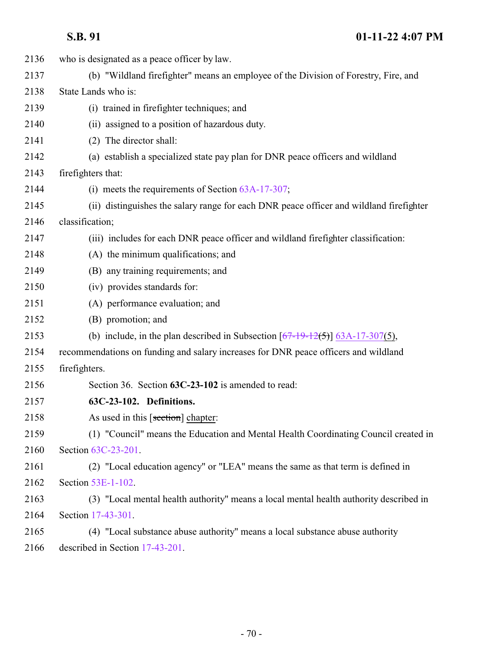| 2136 | who is designated as a peace officer by law.                                            |
|------|-----------------------------------------------------------------------------------------|
| 2137 | (b) "Wildland firefighter" means an employee of the Division of Forestry, Fire, and     |
| 2138 | State Lands who is:                                                                     |
| 2139 | (i) trained in firefighter techniques; and                                              |
| 2140 | (ii) assigned to a position of hazardous duty.                                          |
| 2141 | (2) The director shall:                                                                 |
| 2142 | (a) establish a specialized state pay plan for DNR peace officers and wildland          |
| 2143 | firefighters that:                                                                      |
| 2144 | (i) meets the requirements of Section $63A-17-307$ ;                                    |
| 2145 | (ii) distinguishes the salary range for each DNR peace officer and wildland firefighter |
| 2146 | classification;                                                                         |
| 2147 | (iii) includes for each DNR peace officer and wildland firefighter classification:      |
| 2148 | (A) the minimum qualifications; and                                                     |
| 2149 | (B) any training requirements; and                                                      |
| 2150 | (iv) provides standards for:                                                            |
| 2151 | (A) performance evaluation; and                                                         |
| 2152 | (B) promotion; and                                                                      |
| 2153 | (b) include, in the plan described in Subsection $[67-19-12(5)]$ 63A-17-307(5),         |
| 2154 | recommendations on funding and salary increases for DNR peace officers and wildland     |
| 2155 | firefighters.                                                                           |
| 2156 | Section 36. Section 63C-23-102 is amended to read:                                      |
| 2157 | 63C-23-102. Definitions.                                                                |
| 2158 | As used in this [section] chapter:                                                      |
| 2159 | (1) "Council" means the Education and Mental Health Coordinating Council created in     |
| 2160 | Section 63C-23-201.                                                                     |
| 2161 | (2) "Local education agency" or "LEA" means the same as that term is defined in         |
| 2162 | Section 53E-1-102.                                                                      |
| 2163 | (3) "Local mental health authority" means a local mental health authority described in  |
| 2164 | Section 17-43-301.                                                                      |
| 2165 | (4) "Local substance abuse authority" means a local substance abuse authority           |
| 2166 | described in Section 17-43-201.                                                         |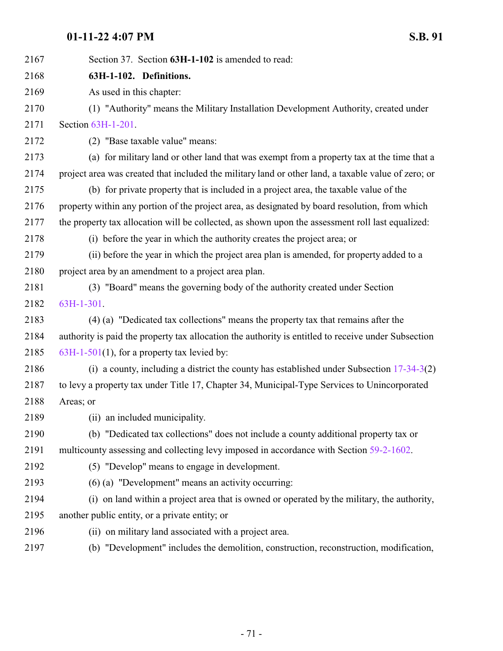| 2167 | Section 37. Section 63H-1-102 is amended to read:                                                   |
|------|-----------------------------------------------------------------------------------------------------|
| 2168 | 63H-1-102. Definitions.                                                                             |
| 2169 | As used in this chapter:                                                                            |
| 2170 | (1) "Authority" means the Military Installation Development Authority, created under                |
| 2171 | Section 63H-1-201.                                                                                  |
| 2172 | (2) "Base taxable value" means:                                                                     |
| 2173 | (a) for military land or other land that was exempt from a property tax at the time that a          |
| 2174 | project area was created that included the military land or other land, a taxable value of zero; or |
| 2175 | (b) for private property that is included in a project area, the taxable value of the               |
| 2176 | property within any portion of the project area, as designated by board resolution, from which      |
| 2177 | the property tax allocation will be collected, as shown upon the assessment roll last equalized:    |
| 2178 | (i) before the year in which the authority creates the project area; or                             |
| 2179 | (ii) before the year in which the project area plan is amended, for property added to a             |
| 2180 | project area by an amendment to a project area plan.                                                |
| 2181 | (3) "Board" means the governing body of the authority created under Section                         |
| 2182 | 63H-1-301.                                                                                          |
| 2183 | (4) (a) "Dedicated tax collections" means the property tax that remains after the                   |
| 2184 | authority is paid the property tax allocation the authority is entitled to receive under Subsection |
| 2185 | $63H-1-501(1)$ , for a property tax levied by:                                                      |
| 2186 | (i) a county, including a district the county has established under Subsection $17-34-3(2)$         |
| 2187 | to levy a property tax under Title 17, Chapter 34, Municipal-Type Services to Unincorporated        |
| 2188 | Areas; or                                                                                           |
| 2189 | (ii) an included municipality.                                                                      |
| 2190 | (b) "Dedicated tax collections" does not include a county additional property tax or                |
| 2191 | multicounty assessing and collecting levy imposed in accordance with Section 59-2-1602.             |
| 2192 | (5) "Develop" means to engage in development.                                                       |
| 2193 | $(6)$ (a) "Development" means an activity occurring:                                                |
| 2194 | (i) on land within a project area that is owned or operated by the military, the authority,         |
| 2195 | another public entity, or a private entity; or                                                      |
| 2196 | (ii) on military land associated with a project area.                                               |
| 2197 | (b) "Development" includes the demolition, construction, reconstruction, modification,              |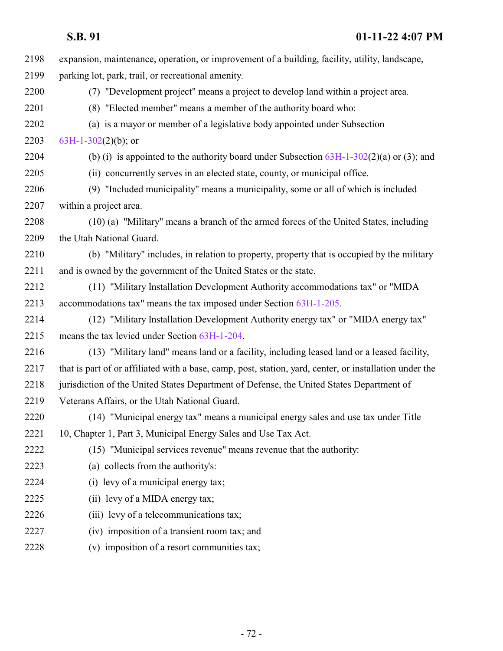| 2198 | expansion, maintenance, operation, or improvement of a building, facility, utility, landscape,          |
|------|---------------------------------------------------------------------------------------------------------|
| 2199 | parking lot, park, trail, or recreational amenity.                                                      |
| 2200 | (7) "Development project" means a project to develop land within a project area.                        |
| 2201 | (8) "Elected member" means a member of the authority board who:                                         |
| 2202 | (a) is a mayor or member of a legislative body appointed under Subsection                               |
| 2203 | $63H-1-302(2)(b)$ ; or                                                                                  |
| 2204 | (b) (i) is appointed to the authority board under Subsection $63H-1-302(2)(a)$ or (3); and              |
| 2205 | (ii) concurrently serves in an elected state, county, or municipal office.                              |
| 2206 | (9) "Included municipality" means a municipality, some or all of which is included                      |
| 2207 | within a project area.                                                                                  |
| 2208 | (10) (a) "Military" means a branch of the armed forces of the United States, including                  |
| 2209 | the Utah National Guard.                                                                                |
| 2210 | (b) "Military" includes, in relation to property, property that is occupied by the military             |
| 2211 | and is owned by the government of the United States or the state.                                       |
| 2212 | (11) "Military Installation Development Authority accommodations tax" or "MIDA                          |
| 2213 | accommodations tax" means the tax imposed under Section 63H-1-205.                                      |
| 2214 | (12) "Military Installation Development Authority energy tax" or "MIDA energy tax"                      |
| 2215 | means the tax levied under Section 63H-1-204.                                                           |
| 2216 | (13) "Military land" means land or a facility, including leased land or a leased facility,              |
| 2217 | that is part of or affiliated with a base, camp, post, station, yard, center, or installation under the |
| 2218 | jurisdiction of the United States Department of Defense, the United States Department of                |
| 2219 | Veterans Affairs, or the Utah National Guard.                                                           |
| 2220 | (14) "Municipal energy tax" means a municipal energy sales and use tax under Title                      |
| 2221 | 10, Chapter 1, Part 3, Municipal Energy Sales and Use Tax Act.                                          |
| 2222 | (15) "Municipal services revenue" means revenue that the authority:                                     |
| 2223 | (a) collects from the authority's:                                                                      |
| 2224 | (i) levy of a municipal energy tax;                                                                     |
| 2225 | (ii) levy of a MIDA energy tax;                                                                         |
| 2226 | (iii) levy of a telecommunications tax;                                                                 |
| 2227 | (iv) imposition of a transient room tax; and                                                            |
| 2228 | (v) imposition of a resort communities tax;                                                             |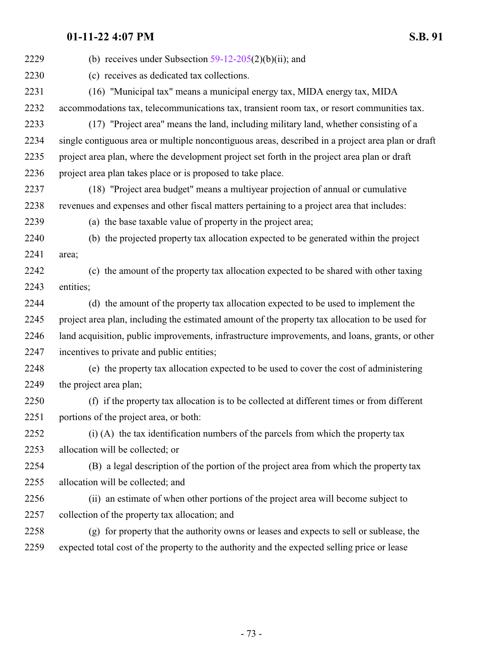| 2229 | (b) receives under Subsection $59-12-205(2)(b)(ii)$ ; and                                         |
|------|---------------------------------------------------------------------------------------------------|
| 2230 | (c) receives as dedicated tax collections.                                                        |
| 2231 | (16) "Municipal tax" means a municipal energy tax, MIDA energy tax, MIDA                          |
| 2232 | accommodations tax, telecommunications tax, transient room tax, or resort communities tax.        |
| 2233 | (17) "Project area" means the land, including military land, whether consisting of a              |
| 2234 | single contiguous area or multiple noncontiguous areas, described in a project area plan or draft |
| 2235 | project area plan, where the development project set forth in the project area plan or draft      |
| 2236 | project area plan takes place or is proposed to take place.                                       |
| 2237 | (18) "Project area budget" means a multiyear projection of annual or cumulative                   |
| 2238 | revenues and expenses and other fiscal matters pertaining to a project area that includes:        |
| 2239 | (a) the base taxable value of property in the project area;                                       |
| 2240 | (b) the projected property tax allocation expected to be generated within the project             |
| 2241 | area;                                                                                             |
| 2242 | (c) the amount of the property tax allocation expected to be shared with other taxing             |
| 2243 | entities;                                                                                         |
| 2244 | (d) the amount of the property tax allocation expected to be used to implement the                |
| 2245 | project area plan, including the estimated amount of the property tax allocation to be used for   |
| 2246 | land acquisition, public improvements, infrastructure improvements, and loans, grants, or other   |
| 2247 | incentives to private and public entities;                                                        |
| 2248 | (e) the property tax allocation expected to be used to cover the cost of administering            |
| 2249 | the project area plan;                                                                            |
| 2250 | (f) if the property tax allocation is to be collected at different times or from different        |
| 2251 | portions of the project area, or both:                                                            |
| 2252 | (i) (A) the tax identification numbers of the parcels from which the property tax                 |
| 2253 | allocation will be collected; or                                                                  |
| 2254 | (B) a legal description of the portion of the project area from which the property tax            |
| 2255 | allocation will be collected; and                                                                 |
| 2256 | (ii) an estimate of when other portions of the project area will become subject to                |
| 2257 | collection of the property tax allocation; and                                                    |
| 2258 | (g) for property that the authority owns or leases and expects to sell or sublease, the           |
| 2259 | expected total cost of the property to the authority and the expected selling price or lease      |
|      |                                                                                                   |

- 73 -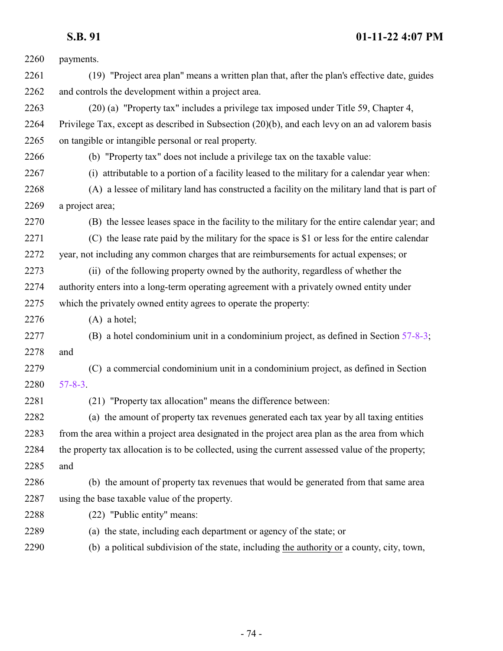| 2260 | payments.                                                                                         |
|------|---------------------------------------------------------------------------------------------------|
| 2261 | (19) "Project area plan" means a written plan that, after the plan's effective date, guides       |
| 2262 | and controls the development within a project area.                                               |
| 2263 | (20) (a) "Property tax" includes a privilege tax imposed under Title 59, Chapter 4,               |
| 2264 | Privilege Tax, except as described in Subsection (20)(b), and each levy on an ad valorem basis    |
| 2265 | on tangible or intangible personal or real property.                                              |
| 2266 | (b) "Property tax" does not include a privilege tax on the taxable value:                         |
| 2267 | (i) attributable to a portion of a facility leased to the military for a calendar year when:      |
| 2268 | (A) a lessee of military land has constructed a facility on the military land that is part of     |
| 2269 | a project area;                                                                                   |
| 2270 | (B) the lessee leases space in the facility to the military for the entire calendar year; and     |
| 2271 | (C) the lease rate paid by the military for the space is \$1 or less for the entire calendar      |
| 2272 | year, not including any common charges that are reimbursements for actual expenses; or            |
| 2273 | (ii) of the following property owned by the authority, regardless of whether the                  |
| 2274 | authority enters into a long-term operating agreement with a privately owned entity under         |
| 2275 | which the privately owned entity agrees to operate the property:                                  |
| 2276 | $(A)$ a hotel;                                                                                    |
| 2277 | (B) a hotel condominium unit in a condominium project, as defined in Section 57-8-3;              |
| 2278 | and                                                                                               |
| 2279 | (C) a commercial condominium unit in a condominium project, as defined in Section                 |
| 2280 | $57 - 8 - 3$ .                                                                                    |
| 2281 | (21) "Property tax allocation" means the difference between:                                      |
| 2282 | (a) the amount of property tax revenues generated each tax year by all taxing entities            |
| 2283 | from the area within a project area designated in the project area plan as the area from which    |
| 2284 | the property tax allocation is to be collected, using the current assessed value of the property; |
| 2285 | and                                                                                               |
| 2286 | (b) the amount of property tax revenues that would be generated from that same area               |
| 2287 | using the base taxable value of the property.                                                     |
| 2288 | (22) "Public entity" means:                                                                       |
| 2289 | (a) the state, including each department or agency of the state; or                               |
| 2290 | (b) a political subdivision of the state, including the authority or a county, city, town,        |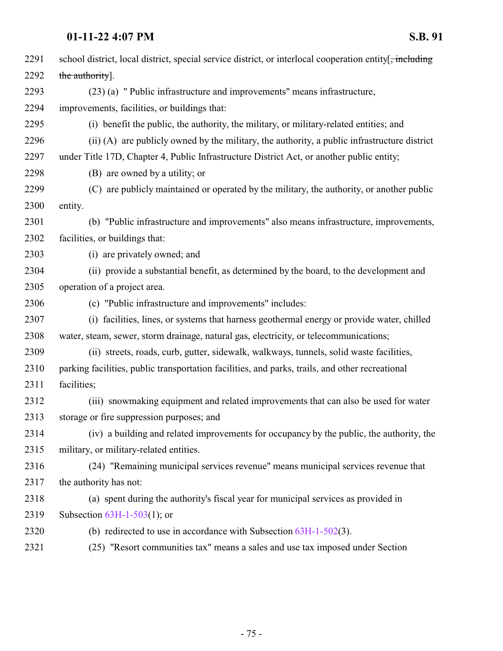| 2291 | school district, local district, special service district, or interlocal cooperation entity.    |
|------|-------------------------------------------------------------------------------------------------|
| 2292 | the authority].                                                                                 |
| 2293 | (23) (a) " Public infrastructure and improvements" means infrastructure,                        |
| 2294 | improvements, facilities, or buildings that:                                                    |
| 2295 | (i) benefit the public, the authority, the military, or military-related entities; and          |
| 2296 | (ii) (A) are publicly owned by the military, the authority, a public infrastructure district    |
| 2297 | under Title 17D, Chapter 4, Public Infrastructure District Act, or another public entity;       |
| 2298 | (B) are owned by a utility; or                                                                  |
| 2299 | (C) are publicly maintained or operated by the military, the authority, or another public       |
| 2300 | entity.                                                                                         |
| 2301 | (b) "Public infrastructure and improvements" also means infrastructure, improvements,           |
| 2302 | facilities, or buildings that:                                                                  |
| 2303 | (i) are privately owned; and                                                                    |
| 2304 | (ii) provide a substantial benefit, as determined by the board, to the development and          |
| 2305 | operation of a project area.                                                                    |
| 2306 | (c) "Public infrastructure and improvements" includes:                                          |
| 2307 | (i) facilities, lines, or systems that harness geothermal energy or provide water, chilled      |
| 2308 | water, steam, sewer, storm drainage, natural gas, electricity, or telecommunications;           |
| 2309 | (ii) streets, roads, curb, gutter, sidewalk, walkways, tunnels, solid waste facilities,         |
| 2310 | parking facilities, public transportation facilities, and parks, trails, and other recreational |
| 2311 | facilities;                                                                                     |
| 2312 | (iii) snowmaking equipment and related improvements that can also be used for water             |
| 2313 | storage or fire suppression purposes; and                                                       |
| 2314 | (iv) a building and related improvements for occupancy by the public, the authority, the        |
| 2315 | military, or military-related entities.                                                         |
| 2316 | (24) "Remaining municipal services revenue" means municipal services revenue that               |
| 2317 | the authority has not:                                                                          |
| 2318 | (a) spent during the authority's fiscal year for municipal services as provided in              |
| 2319 | Subsection $63H-1-503(1)$ ; or                                                                  |
| 2320 | (b) redirected to use in accordance with Subsection $63H-1-502(3)$ .                            |
| 2321 | (25) "Resort communities tax" means a sales and use tax imposed under Section                   |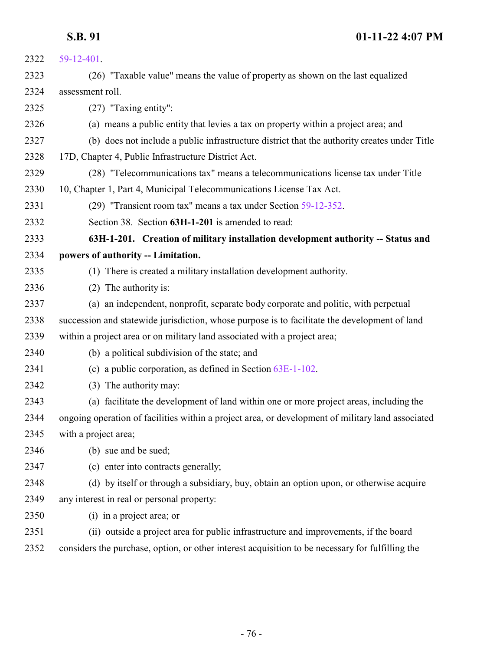<span id="page-75-0"></span>

| 2322 | 59-12-401.                                                                                        |
|------|---------------------------------------------------------------------------------------------------|
| 2323 | (26) "Taxable value" means the value of property as shown on the last equalized                   |
| 2324 | assessment roll.                                                                                  |
| 2325 | $(27)$ "Taxing entity":                                                                           |
| 2326 | (a) means a public entity that levies a tax on property within a project area; and                |
| 2327 | (b) does not include a public infrastructure district that the authority creates under Title      |
| 2328 | 17D, Chapter 4, Public Infrastructure District Act.                                               |
| 2329 | (28) "Telecommunications tax" means a telecommunications license tax under Title                  |
| 2330 | 10, Chapter 1, Part 4, Municipal Telecommunications License Tax Act.                              |
| 2331 | (29) "Transient room tax" means a tax under Section 59-12-352.                                    |
| 2332 | Section 38. Section 63H-1-201 is amended to read:                                                 |
| 2333 | 63H-1-201. Creation of military installation development authority -- Status and                  |
| 2334 | powers of authority -- Limitation.                                                                |
| 2335 | (1) There is created a military installation development authority.                               |
| 2336 | (2) The authority is:                                                                             |
| 2337 | (a) an independent, nonprofit, separate body corporate and politic, with perpetual                |
| 2338 | succession and statewide jurisdiction, whose purpose is to facilitate the development of land     |
| 2339 | within a project area or on military land associated with a project area;                         |
| 2340 | (b) a political subdivision of the state; and                                                     |
| 2341 | (c) a public corporation, as defined in Section $63E-1-102$ .                                     |
| 2342 | (3) The authority may:                                                                            |
| 2343 | (a) facilitate the development of land within one or more project areas, including the            |
| 2344 | ongoing operation of facilities within a project area, or development of military land associated |
| 2345 | with a project area;                                                                              |
| 2346 | (b) sue and be sued;                                                                              |
| 2347 | (c) enter into contracts generally;                                                               |
| 2348 | (d) by itself or through a subsidiary, buy, obtain an option upon, or otherwise acquire           |
| 2349 | any interest in real or personal property:                                                        |
| 2350 | (i) in a project area; or                                                                         |
| 2351 | (ii) outside a project area for public infrastructure and improvements, if the board              |
| 2352 | considers the purchase, option, or other interest acquisition to be necessary for fulfilling the  |
|      |                                                                                                   |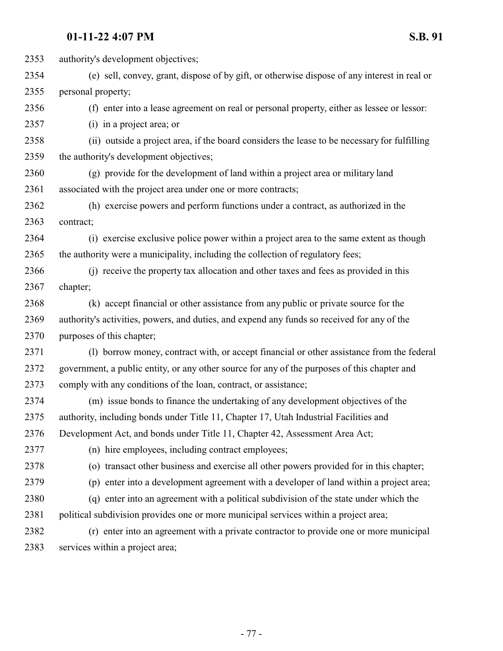| 2353 | authority's development objectives;                                                          |
|------|----------------------------------------------------------------------------------------------|
| 2354 | (e) sell, convey, grant, dispose of by gift, or otherwise dispose of any interest in real or |
| 2355 | personal property;                                                                           |
| 2356 | (f) enter into a lease agreement on real or personal property, either as lessee or lessor:   |
| 2357 | (i) in a project area; or                                                                    |
| 2358 | (ii) outside a project area, if the board considers the lease to be necessary for fulfilling |
| 2359 | the authority's development objectives;                                                      |
| 2360 | (g) provide for the development of land within a project area or military land               |
| 2361 | associated with the project area under one or more contracts;                                |
| 2362 | (h) exercise powers and perform functions under a contract, as authorized in the             |
| 2363 | contract;                                                                                    |
| 2364 | (i) exercise exclusive police power within a project area to the same extent as though       |
| 2365 | the authority were a municipality, including the collection of regulatory fees;              |
| 2366 | (i) receive the property tax allocation and other taxes and fees as provided in this         |
| 2367 | chapter;                                                                                     |
| 2368 | (k) accept financial or other assistance from any public or private source for the           |
| 2369 | authority's activities, powers, and duties, and expend any funds so received for any of the  |
| 2370 | purposes of this chapter;                                                                    |
| 2371 | (1) borrow money, contract with, or accept financial or other assistance from the federal    |
| 2372 | government, a public entity, or any other source for any of the purposes of this chapter and |
| 2373 | comply with any conditions of the loan, contract, or assistance;                             |
| 2374 | (m) issue bonds to finance the undertaking of any development objectives of the              |
| 2375 | authority, including bonds under Title 11, Chapter 17, Utah Industrial Facilities and        |
| 2376 | Development Act, and bonds under Title 11, Chapter 42, Assessment Area Act;                  |
| 2377 | (n) hire employees, including contract employees;                                            |
| 2378 | (o) transact other business and exercise all other powers provided for in this chapter;      |
| 2379 | (p) enter into a development agreement with a developer of land within a project area;       |
| 2380 | (q) enter into an agreement with a political subdivision of the state under which the        |
| 2381 | political subdivision provides one or more municipal services within a project area;         |
| 2382 | (r) enter into an agreement with a private contractor to provide one or more municipal       |
| 2383 | services within a project area;                                                              |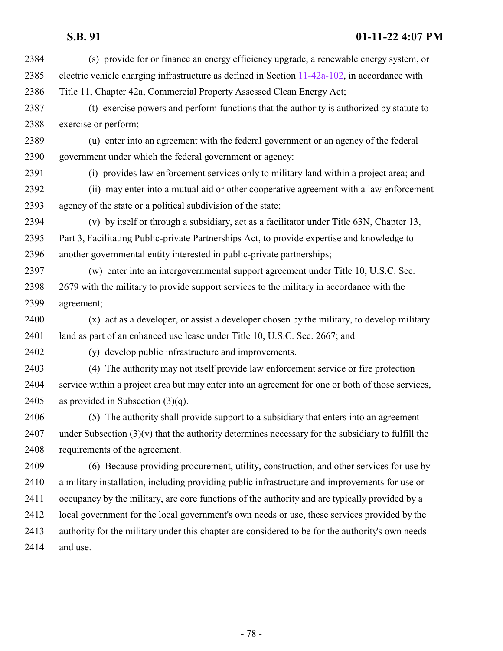| 2384 | (s) provide for or finance an energy efficiency upgrade, a renewable energy system, or              |
|------|-----------------------------------------------------------------------------------------------------|
| 2385 | electric vehicle charging infrastructure as defined in Section $11-42a-102$ , in accordance with    |
| 2386 | Title 11, Chapter 42a, Commercial Property Assessed Clean Energy Act;                               |
| 2387 | (t) exercise powers and perform functions that the authority is authorized by statute to            |
| 2388 | exercise or perform;                                                                                |
| 2389 | (u) enter into an agreement with the federal government or an agency of the federal                 |
| 2390 | government under which the federal government or agency:                                            |
| 2391 | (i) provides law enforcement services only to military land within a project area; and              |
| 2392 | (ii) may enter into a mutual aid or other cooperative agreement with a law enforcement              |
| 2393 | agency of the state or a political subdivision of the state;                                        |
| 2394 | (v) by itself or through a subsidiary, act as a facilitator under Title 63N, Chapter 13,            |
| 2395 | Part 3, Facilitating Public-private Partnerships Act, to provide expertise and knowledge to         |
| 2396 | another governmental entity interested in public-private partnerships;                              |
| 2397 | (w) enter into an intergovernmental support agreement under Title 10, U.S.C. Sec.                   |
| 2398 | 2679 with the military to provide support services to the military in accordance with the           |
| 2399 | agreement;                                                                                          |
| 2400 | (x) act as a developer, or assist a developer chosen by the military, to develop military           |
| 2401 | land as part of an enhanced use lease under Title 10, U.S.C. Sec. 2667; and                         |
| 2402 | (y) develop public infrastructure and improvements.                                                 |
| 2403 | (4) The authority may not itself provide law enforcement service or fire protection                 |
| 2404 | service within a project area but may enter into an agreement for one or both of those services,    |
| 2405 | as provided in Subsection $(3)(q)$ .                                                                |
| 2406 | (5) The authority shall provide support to a subsidiary that enters into an agreement               |
| 2407 | under Subsection $(3)(v)$ that the authority determines necessary for the subsidiary to fulfill the |
| 2408 | requirements of the agreement.                                                                      |
| 2409 | (6) Because providing procurement, utility, construction, and other services for use by             |
| 2410 | a military installation, including providing public infrastructure and improvements for use or      |
| 2411 | occupancy by the military, are core functions of the authority and are typically provided by a      |
| 2412 | local government for the local government's own needs or use, these services provided by the        |
| 2413 | authority for the military under this chapter are considered to be for the authority's own needs    |
| 2414 | and use.                                                                                            |
|      |                                                                                                     |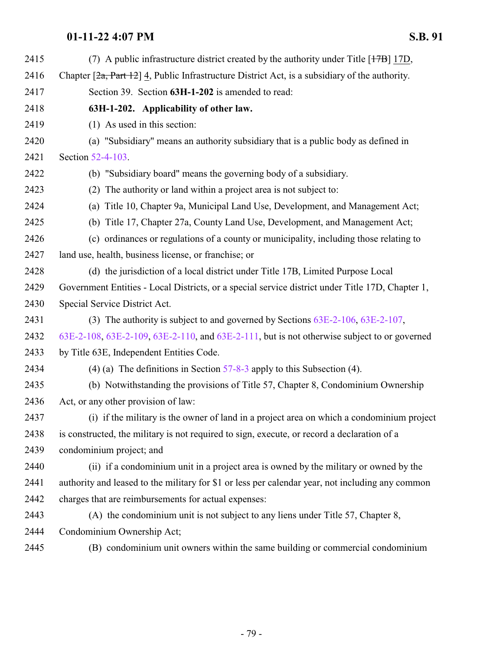| 2415 | (7) A public infrastructure district created by the authority under Title [17B] 17D,                    |
|------|---------------------------------------------------------------------------------------------------------|
| 2416 | Chapter $[2a, Part 12]$ 4, Public Infrastructure District Act, is a subsidiary of the authority.        |
| 2417 | Section 39. Section 63H-1-202 is amended to read:                                                       |
| 2418 | 63H-1-202. Applicability of other law.                                                                  |
| 2419 | $(1)$ As used in this section:                                                                          |
| 2420 | (a) "Subsidiary" means an authority subsidiary that is a public body as defined in                      |
| 2421 | Section 52-4-103.                                                                                       |
| 2422 | (b) "Subsidiary board" means the governing body of a subsidiary.                                        |
| 2423 | (2) The authority or land within a project area is not subject to:                                      |
| 2424 | (a) Title 10, Chapter 9a, Municipal Land Use, Development, and Management Act;                          |
| 2425 | (b) Title 17, Chapter 27a, County Land Use, Development, and Management Act;                            |
| 2426 | (c) ordinances or regulations of a county or municipality, including those relating to                  |
| 2427 | land use, health, business license, or franchise; or                                                    |
| 2428 | (d) the jurisdiction of a local district under Title 17B, Limited Purpose Local                         |
| 2429 | Government Entities - Local Districts, or a special service district under Title 17D, Chapter 1,        |
| 2430 | Special Service District Act.                                                                           |
| 2431 | (3) The authority is subject to and governed by Sections $63E-2-106$ , $63E-2-107$ ,                    |
| 2432 | $63E-2-108$ , $63E-2-109$ , $63E-2-110$ , and $63E-2-111$ , but is not otherwise subject to or governed |
| 2433 | by Title 63E, Independent Entities Code.                                                                |
| 2434 | (4) (a) The definitions in Section $57-8-3$ apply to this Subsection (4).                               |
| 2435 | (b) Notwithstanding the provisions of Title 57, Chapter 8, Condominium Ownership                        |
| 2436 | Act, or any other provision of law:                                                                     |
| 2437 | (i) if the military is the owner of land in a project area on which a condominium project               |
| 2438 | is constructed, the military is not required to sign, execute, or record a declaration of a             |
| 2439 | condominium project; and                                                                                |
| 2440 | (ii) if a condominium unit in a project area is owned by the military or owned by the                   |
| 2441 | authority and leased to the military for \$1 or less per calendar year, not including any common        |
| 2442 | charges that are reimbursements for actual expenses:                                                    |
| 2443 | (A) the condominium unit is not subject to any liens under Title 57, Chapter 8,                         |
| 2444 | Condominium Ownership Act;                                                                              |
| 2445 | (B) condominium unit owners within the same building or commercial condominium                          |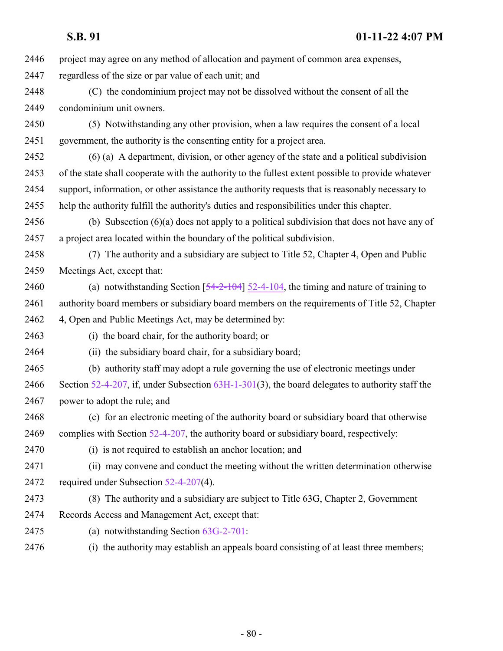| 2446 | project may agree on any method of allocation and payment of common area expenses,                 |
|------|----------------------------------------------------------------------------------------------------|
| 2447 | regardless of the size or par value of each unit; and                                              |
| 2448 | (C) the condominium project may not be dissolved without the consent of all the                    |
| 2449 | condominium unit owners.                                                                           |
| 2450 | (5) Notwithstanding any other provision, when a law requires the consent of a local                |
| 2451 | government, the authority is the consenting entity for a project area.                             |
| 2452 | $(6)$ (a) A department, division, or other agency of the state and a political subdivision         |
| 2453 | of the state shall cooperate with the authority to the fullest extent possible to provide whatever |
| 2454 | support, information, or other assistance the authority requests that is reasonably necessary to   |
| 2455 | help the authority fulfill the authority's duties and responsibilities under this chapter.         |
| 2456 | (b) Subsection $(6)(a)$ does not apply to a political subdivision that does not have any of        |
| 2457 | a project area located within the boundary of the political subdivision.                           |
| 2458 | (7) The authority and a subsidiary are subject to Title 52, Chapter 4, Open and Public             |
| 2459 | Meetings Act, except that:                                                                         |
| 2460 | (a) notwithstanding Section $[54-2-104]$ 52-4-104, the timing and nature of training to            |
| 2461 | authority board members or subsidiary board members on the requirements of Title 52, Chapter       |
| 2462 | 4, Open and Public Meetings Act, may be determined by:                                             |
| 2463 | (i) the board chair, for the authority board; or                                                   |
| 2464 | (ii) the subsidiary board chair, for a subsidiary board;                                           |
| 2465 | (b) authority staff may adopt a rule governing the use of electronic meetings under                |
| 2466 | Section 52-4-207, if, under Subsection $63H-1-301(3)$ , the board delegates to authority staff the |
| 2467 | power to adopt the rule; and                                                                       |
| 2468 | (c) for an electronic meeting of the authority board or subsidiary board that otherwise            |
| 2469 | complies with Section $52-4-207$ , the authority board or subsidiary board, respectively:          |
| 2470 | (i) is not required to establish an anchor location; and                                           |
| 2471 | (ii) may convene and conduct the meeting without the written determination otherwise               |
| 2472 | required under Subsection 52-4-207(4).                                                             |
| 2473 | (8) The authority and a subsidiary are subject to Title 63G, Chapter 2, Government                 |
| 2474 | Records Access and Management Act, except that:                                                    |
| 2475 | (a) notwithstanding Section $63G-2-701$ :                                                          |
| 2476 | (i) the authority may establish an appeals board consisting of at least three members;             |
|      |                                                                                                    |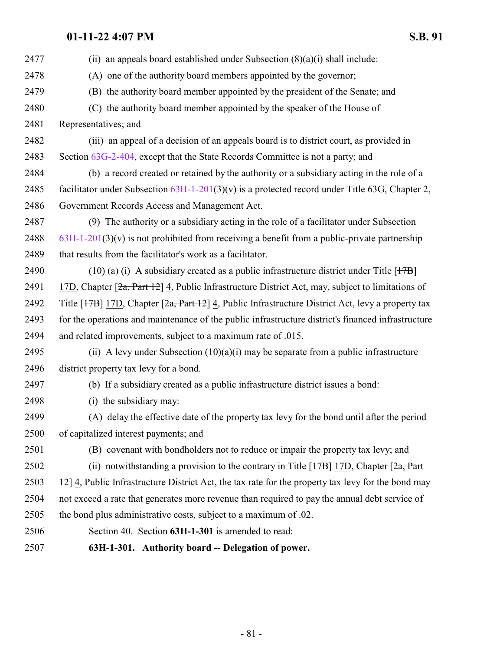<span id="page-80-0"></span>2477 (ii) an appeals board established under Subsection  $(8)(a)(i)$  shall include: (A) one of the authority board members appointed by the governor; (B) the authority board member appointed by the president of the Senate; and (C) the authority board member appointed by the speaker of the House of Representatives; and (iii) an appeal of a decision of an appeals board is to district court, as provided in Section [63G-2-404](http://le.utah.gov/UtahCode/SectionLookup.jsp?section=63g-2-404&session=2022GS), except that the State Records Committee is not a party; and (b) a record created or retained by the authority or a subsidiary acting in the role of a 2485 facilitator under Subsection  $63H-1-201(3)(v)$  is a protected record under Title 63G, Chapter 2, Government Records Access and Management Act. (9) The authority or a subsidiary acting in the role of a facilitator under Subsection [63H-1-201](#page-75-0)(3)(v) is not prohibited from receiving a benefit from a public-private partnership 2489 that results from the facilitator's work as a facilitator. 2490 (10) (a) (i) A subsidiary created as a public infrastructure district under Title  $[17B]$ 2491 17D, Chapter  $[2a, Part 12]$  4, Public Infrastructure District Act, may, subject to limitations of 2492 Title  $[17B]$  17D, Chapter  $[2a, Part 12]$  4, Public Infrastructure District Act, levy a property tax for the operations and maintenance of the public infrastructure district's financed infrastructure and related improvements, subject to a maximum rate of .015. 2495 (ii) A levy under Subsection  $(10)(a)(i)$  may be separate from a public infrastructure district property tax levy for a bond. (b) If a subsidiary created as a public infrastructure district issues a bond: (i) the subsidiary may: (A) delay the effective date of the property tax levy for the bond until after the period of capitalized interest payments; and (B) covenant with bondholders not to reduce or impair the property tax levy; and 2502 (ii) notwithstanding a provision to the contrary in Title  $[17B]$  17D, Chapter  $[2a, Part]$  $\frac{12}{12}$  4, Public Infrastructure District Act, the tax rate for the property tax levy for the bond may not exceed a rate that generates more revenue than required to pay the annual debt service of the bond plus administrative costs, subject to a maximum of .02. Section 40. Section **63H-1-301** is amended to read: **63H-1-301. Authority board -- Delegation of power.**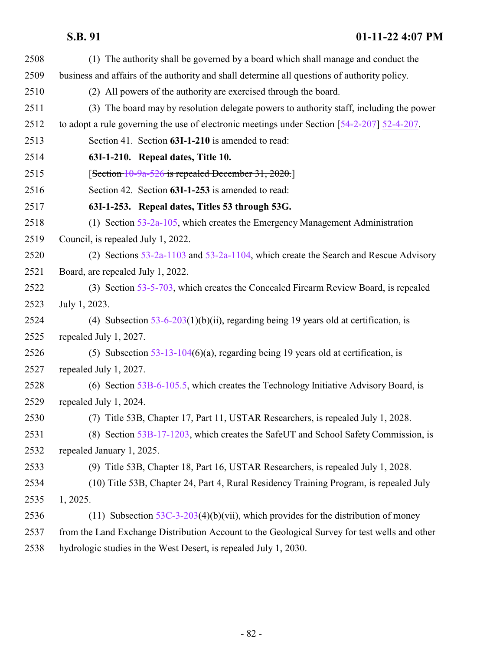| 2508 | (1) The authority shall be governed by a board which shall manage and conduct the             |
|------|-----------------------------------------------------------------------------------------------|
| 2509 | business and affairs of the authority and shall determine all questions of authority policy.  |
| 2510 | (2) All powers of the authority are exercised through the board.                              |
| 2511 | (3) The board may by resolution delegate powers to authority staff, including the power       |
| 2512 | to adopt a rule governing the use of electronic meetings under Section $[54-2-207]$ 52-4-207. |
| 2513 | Section 41. Section 63I-1-210 is amended to read:                                             |
| 2514 | 63I-1-210. Repeal dates, Title 10.                                                            |
| 2515 | [Section 10-9a-526 is repealed December 31, 2020.]                                            |
| 2516 | Section 42. Section 63I-1-253 is amended to read:                                             |
| 2517 | 63I-1-253. Repeal dates, Titles 53 through 53G.                                               |
| 2518 | (1) Section $53-2a-105$ , which creates the Emergency Management Administration               |
| 2519 | Council, is repealed July 1, 2022.                                                            |
| 2520 | (2) Sections $53-2a-1103$ and $53-2a-1104$ , which create the Search and Rescue Advisory      |
| 2521 | Board, are repealed July 1, 2022.                                                             |
| 2522 | (3) Section 53-5-703, which creates the Concealed Firearm Review Board, is repealed           |
| 2523 | July 1, 2023.                                                                                 |
| 2524 | (4) Subsection $53-6-203(1)(b)(ii)$ , regarding being 19 years old at certification, is       |
| 2525 | repealed July 1, 2027.                                                                        |
| 2526 | (5) Subsection $53-13-104(6)(a)$ , regarding being 19 years old at certification, is          |
| 2527 | repealed July 1, 2027.                                                                        |
| 2528 | (6) Section 53B-6-105.5, which creates the Technology Initiative Advisory Board, is           |
| 2529 | repealed July 1, 2024.                                                                        |
| 2530 | (7) Title 53B, Chapter 17, Part 11, USTAR Researchers, is repealed July 1, 2028.              |
| 2531 | (8) Section 53B-17-1203, which creates the SafeUT and School Safety Commission, is            |
| 2532 | repealed January 1, 2025.                                                                     |
| 2533 | (9) Title 53B, Chapter 18, Part 16, USTAR Researchers, is repealed July 1, 2028.              |
| 2534 | (10) Title 53B, Chapter 24, Part 4, Rural Residency Training Program, is repealed July        |
| 2535 | 1, 2025.                                                                                      |
| 2536 | (11) Subsection $53C-3-203(4)(b)(vii)$ , which provides for the distribution of money         |
| 2537 | from the Land Exchange Distribution Account to the Geological Survey for test wells and other |
| 2538 | hydrologic studies in the West Desert, is repealed July 1, 2030.                              |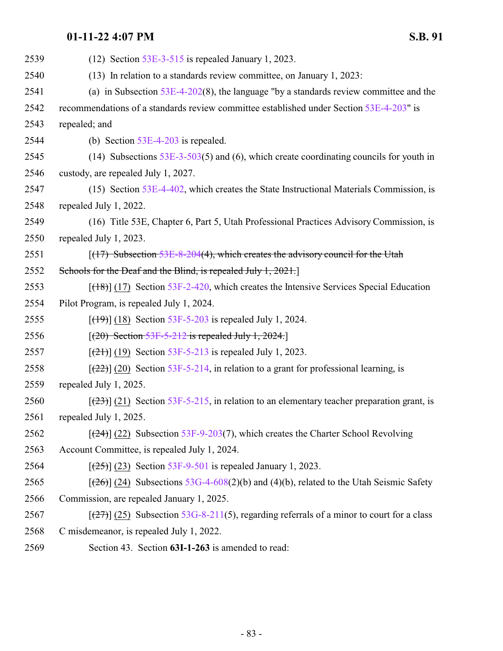| 2539 | $(12)$ Section 53E-3-515 is repealed January 1, 2023.                                         |
|------|-----------------------------------------------------------------------------------------------|
| 2540 | (13) In relation to a standards review committee, on January 1, 2023:                         |
| 2541 | (a) in Subsection $53E-4-202(8)$ , the language "by a standards review committee and the      |
| 2542 | recommendations of a standards review committee established under Section 53E-4-203" is       |
| 2543 | repealed; and                                                                                 |
| 2544 | (b) Section $53E-4-203$ is repealed.                                                          |
| 2545 | (14) Subsections $53E-3-503(5)$ and (6), which create coordinating councils for youth in      |
| 2546 | custody, are repealed July 1, 2027.                                                           |
| 2547 | (15) Section $53E-4-402$ , which creates the State Instructional Materials Commission, is     |
| 2548 | repealed July 1, 2022.                                                                        |
| 2549 | (16) Title 53E, Chapter 6, Part 5, Utah Professional Practices Advisory Commission, is        |
| 2550 | repealed July 1, 2023.                                                                        |
| 2551 | $(17)$ Subsection 53E-8-204(4), which creates the advisory council for the Utah               |
| 2552 | Schools for the Deaf and the Blind, is repealed July 1, 2021.                                 |
| 2553 | $[({18})]$ (17) Section 53F-2-420, which creates the Intensive Services Special Education     |
| 2554 | Pilot Program, is repealed July 1, 2024.                                                      |
| 2555 | $[ (19) ] (18)$ Section 53F-5-203 is repealed July 1, 2024.                                   |
| 2556 | $[(20) \text{Section } 53F - 5 - 212 \text{ is repeated July } 1, 2024.]$                     |
| 2557 | $[ (21) ] (19)$ Section 53F-5-213 is repealed July 1, 2023.                                   |
| 2558 | $[\frac{22}{2}]$ (20) Section 53F-5-214, in relation to a grant for professional learning, is |
| 2559 | repealed July 1, 2025.                                                                        |
| 2560 | $[23]$ (21) Section 53F-5-215, in relation to an elementary teacher preparation grant, is     |
| 2561 | repealed July 1, 2025.                                                                        |
| 2562 | $[\frac{24}{2}]$ (22) Subsection 53F-9-203(7), which creates the Charter School Revolving     |
| 2563 | Account Committee, is repealed July 1, 2024.                                                  |
| 2564 | $[ (25) ]$ (23) Section 53F-9-501 is repealed January 1, 2023.                                |
| 2565 | $[ (26) ]$ (24) Subsections 53G-4-608(2)(b) and (4)(b), related to the Utah Seismic Safety    |
| 2566 | Commission, are repealed January 1, 2025.                                                     |
| 2567 | $[27]$ (25) Subsection 53G-8-211(5), regarding referrals of a minor to court for a class      |
| 2568 | C misdemeanor, is repealed July 1, 2022.                                                      |
| 2569 | Section 43. Section 63I-1-263 is amended to read:                                             |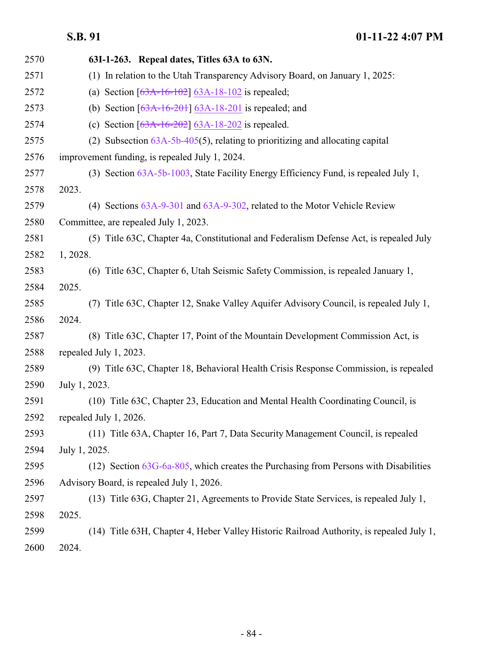| 2570 | 63I-1-263. Repeal dates, Titles 63A to 63N.                                               |
|------|-------------------------------------------------------------------------------------------|
| 2571 | (1) In relation to the Utah Transparency Advisory Board, on January 1, 2025:              |
| 2572 | (a) Section $[63A-16-102]$ 63A-18-102 is repealed;                                        |
| 2573 | (b) Section $[63A-16-201]$ 63A-18-201 is repealed; and                                    |
| 2574 | (c) Section $[63A-16-202]$ 63A-18-202 is repealed.                                        |
| 2575 | (2) Subsection $63A-5b-405(5)$ , relating to prioritizing and allocating capital          |
| 2576 | improvement funding, is repealed July 1, 2024.                                            |
| 2577 | (3) Section 63A-5b-1003, State Facility Energy Efficiency Fund, is repealed July 1,       |
| 2578 | 2023.                                                                                     |
| 2579 | (4) Sections 63A-9-301 and 63A-9-302, related to the Motor Vehicle Review                 |
| 2580 | Committee, are repealed July 1, 2023.                                                     |
| 2581 | (5) Title 63C, Chapter 4a, Constitutional and Federalism Defense Act, is repealed July    |
| 2582 | 1, 2028.                                                                                  |
| 2583 | (6) Title 63C, Chapter 6, Utah Seismic Safety Commission, is repealed January 1,          |
| 2584 | 2025.                                                                                     |
| 2585 | (7) Title 63C, Chapter 12, Snake Valley Aquifer Advisory Council, is repealed July 1,     |
| 2586 | 2024.                                                                                     |
| 2587 | (8) Title 63C, Chapter 17, Point of the Mountain Development Commission Act, is           |
| 2588 | repealed July 1, 2023.                                                                    |
| 2589 | (9) Title 63C, Chapter 18, Behavioral Health Crisis Response Commission, is repealed      |
| 2590 | July 1, 2023.                                                                             |
| 2591 | (10) Title 63C, Chapter 23, Education and Mental Health Coordinating Council, is          |
| 2592 | repealed July 1, 2026.                                                                    |
| 2593 | (11) Title 63A, Chapter 16, Part 7, Data Security Management Council, is repealed         |
| 2594 | July 1, 2025.                                                                             |
| 2595 | $(12)$ Section $63G-6a-805$ , which creates the Purchasing from Persons with Disabilities |
| 2596 | Advisory Board, is repealed July 1, 2026.                                                 |
| 2597 | (13) Title 63G, Chapter 21, Agreements to Provide State Services, is repealed July 1,     |
| 2598 | 2025.                                                                                     |
| 2599 | (14) Title 63H, Chapter 4, Heber Valley Historic Railroad Authority, is repealed July 1,  |
| 2600 | 2024.                                                                                     |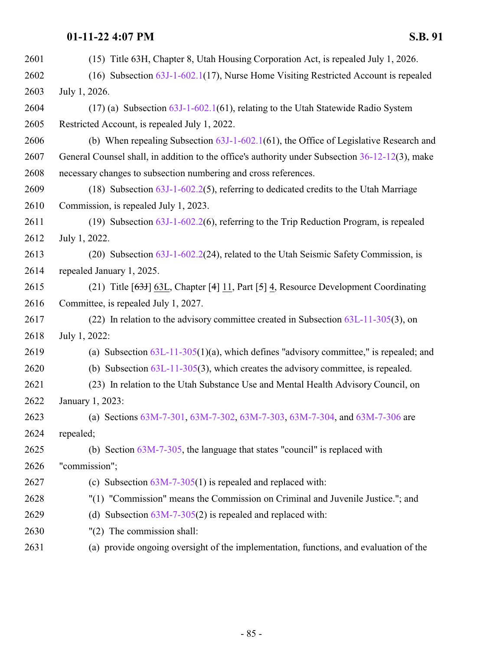| 2601 | (15) Title 63H, Chapter 8, Utah Housing Corporation Act, is repealed July 1, 2026.              |
|------|-------------------------------------------------------------------------------------------------|
| 2602 | $(16)$ Subsection $63J-1-602.1(17)$ , Nurse Home Visiting Restricted Account is repealed        |
| 2603 | July 1, 2026.                                                                                   |
| 2604 | $(17)$ (a) Subsection $63J-1-602.1(61)$ , relating to the Utah Statewide Radio System           |
| 2605 | Restricted Account, is repealed July 1, 2022.                                                   |
| 2606 | (b) When repealing Subsection $63J-1-602.1(61)$ , the Office of Legislative Research and        |
| 2607 | General Counsel shall, in addition to the office's authority under Subsection 36-12-12(3), make |
| 2608 | necessary changes to subsection numbering and cross references.                                 |
| 2609 | (18) Subsection $63J-1-602.2(5)$ , referring to dedicated credits to the Utah Marriage          |
| 2610 | Commission, is repealed July 1, 2023.                                                           |
| 2611 | (19) Subsection $63J-1-602.2(6)$ , referring to the Trip Reduction Program, is repealed         |
| 2612 | July 1, 2022.                                                                                   |
| 2613 | (20) Subsection $63J-1-602.2(24)$ , related to the Utah Seismic Safety Commission, is           |
| 2614 | repealed January 1, 2025.                                                                       |
| 2615 | (21) Title [ $63$ H] 63L, Chapter [4] 11, Part [5] 4, Resource Development Coordinating         |
| 2616 | Committee, is repealed July 1, 2027.                                                            |
| 2617 | (22) In relation to the advisory committee created in Subsection $63L-11-305(3)$ , on           |
| 2618 | July 1, 2022:                                                                                   |
| 2619 | (a) Subsection $63L-11-305(1)(a)$ , which defines "advisory committee," is repealed; and        |
| 2620 | (b) Subsection $63L-11-305(3)$ , which creates the advisory committee, is repealed.             |
| 2621 | (23) In relation to the Utah Substance Use and Mental Health Advisory Council, on               |
| 2622 | January 1, 2023:                                                                                |
| 2623 | (a) Sections 63M-7-301, 63M-7-302, 63M-7-303, 63M-7-304, and 63M-7-306 are                      |
| 2624 | repealed;                                                                                       |
| 2625 | (b) Section $63M-7-305$ , the language that states "council" is replaced with                   |
| 2626 | "commission";                                                                                   |
| 2627 | (c) Subsection $63M-7-305(1)$ is repealed and replaced with:                                    |
| 2628 | "(1) "Commission" means the Commission on Criminal and Juvenile Justice."; and                  |
| 2629 | Subsection $63M-7-305(2)$ is repealed and replaced with:<br>(d)                                 |
| 2630 | "(2) The commission shall:                                                                      |
| 2631 | (a) provide ongoing oversight of the implementation, functions, and evaluation of the           |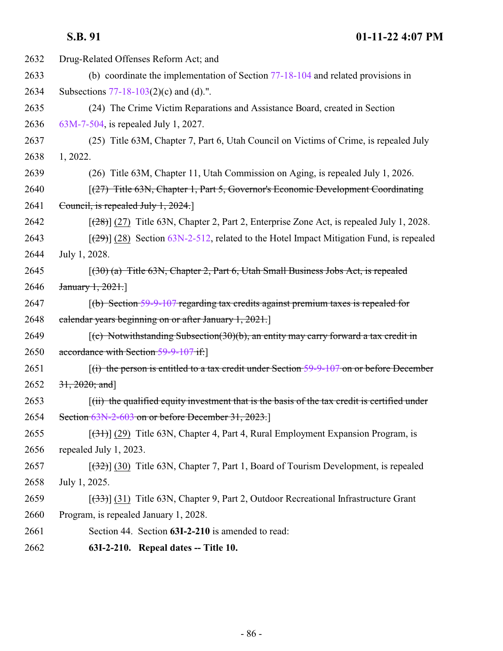| 2632 | Drug-Related Offenses Reform Act; and                                                                             |
|------|-------------------------------------------------------------------------------------------------------------------|
| 2633 | (b) coordinate the implementation of Section $77-18-104$ and related provisions in                                |
| 2634 | Subsections $77-18-103(2)(c)$ and (d).".                                                                          |
| 2635 | (24) The Crime Victim Reparations and Assistance Board, created in Section                                        |
| 2636 | 63M-7-504, is repealed July 1, 2027.                                                                              |
| 2637 | (25) Title 63M, Chapter 7, Part 6, Utah Council on Victims of Crime, is repealed July                             |
| 2638 | 1, 2022.                                                                                                          |
| 2639 | (26) Title 63M, Chapter 11, Utah Commission on Aging, is repealed July 1, 2026.                                   |
| 2640 | [(27) Title 63N, Chapter 1, Part 5, Governor's Economic Development Coordinating                                  |
| 2641 | Council, is repealed July 1, 2024.                                                                                |
| 2642 | $[28]$ (27) Title 63N, Chapter 2, Part 2, Enterprise Zone Act, is repealed July 1, 2028.                          |
| 2643 | $[29]$ (28) Section 63N-2-512, related to the Hotel Impact Mitigation Fund, is repealed                           |
| 2644 | July 1, 2028.                                                                                                     |
| 2645 | $(30)$ (a) Title 63N, Chapter 2, Part 6, Utah Small Business Jobs Act, is repealed                                |
| 2646 | January 1, 2021.                                                                                                  |
| 2647 | $(6)$ Section 59-9-107 regarding tax credits against premium taxes is repealed for                                |
| 2648 | calendar years beginning on or after January 1, 2021.                                                             |
| 2649 | $\left[ (c)$ Notwithstanding Subsection(30)(b), an entity may carry forward a tax credit in                       |
| 2650 | accordance with Section 59-9-107 if:                                                                              |
| 2651 | $f(i)$ the person is entitled to a tax credit under Section 59-9-107 on or before December                        |
| 2652 | $31, 2020;$ and]                                                                                                  |
| 2653 | $\left[\right(\text{iii})$ the qualified equity investment that is the basis of the tax credit is certified under |
| 2654 | Section 63N-2-603 on or before December 31, 2023.                                                                 |
| 2655 | $[31]$ (29) Title 63N, Chapter 4, Part 4, Rural Employment Expansion Program, is                                  |
| 2656 | repealed July 1, 2023.                                                                                            |
| 2657 | $[32]$ (30) Title 63N, Chapter 7, Part 1, Board of Tourism Development, is repealed                               |
| 2658 | July 1, 2025.                                                                                                     |
| 2659 | $[333]$ (31) Title 63N, Chapter 9, Part 2, Outdoor Recreational Infrastructure Grant                              |
| 2660 | Program, is repealed January 1, 2028.                                                                             |
| 2661 | Section 44. Section 63I-2-210 is amended to read:                                                                 |
| 2662 | 63I-2-210. Repeal dates -- Title 10.                                                                              |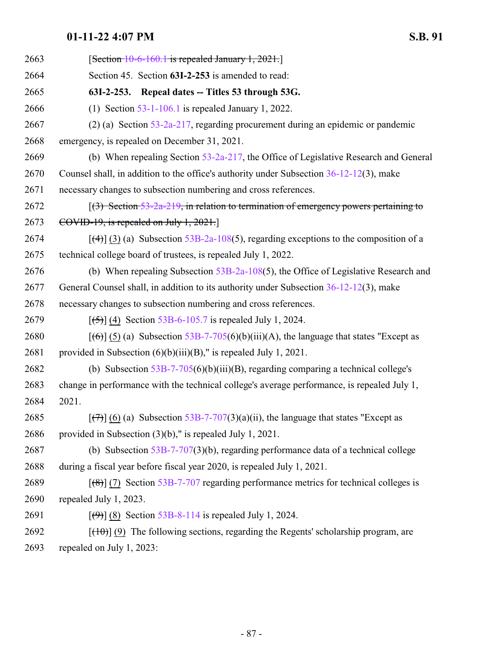| 2663 | $[Section 10-6-160.1$ is repealed January 1, 2021.                                               |
|------|--------------------------------------------------------------------------------------------------|
| 2664 | Section 45. Section 63I-2-253 is amended to read:                                                |
| 2665 | 63I-2-253. Repeal dates -- Titles 53 through 53G.                                                |
| 2666 | (1) Section $53-1-106.1$ is repealed January 1, 2022.                                            |
| 2667 | $(2)$ (a) Section 53-2a-217, regarding procurement during an epidemic or pandemic                |
| 2668 | emergency, is repealed on December 31, 2021.                                                     |
| 2669 | (b) When repealing Section $53-2a-217$ , the Office of Legislative Research and General          |
| 2670 | Counsel shall, in addition to the office's authority under Subsection $36-12-12(3)$ , make       |
| 2671 | necessary changes to subsection numbering and cross references.                                  |
| 2672 | $(3)$ Section 53-2a-219, in relation to termination of emergency powers pertaining to            |
| 2673 | COVID-19, is repealed on July 1, $2021$ .                                                        |
| 2674 | $[$ (4)] (3) (a) Subsection 53B-2a-108(5), regarding exceptions to the composition of a          |
| 2675 | technical college board of trustees, is repealed July 1, 2022.                                   |
| 2676 | (b) When repealing Subsection $53B-2a-108(5)$ , the Office of Legislative Research and           |
| 2677 | General Counsel shall, in addition to its authority under Subsection $36-12-12(3)$ , make        |
| 2678 | necessary changes to subsection numbering and cross references.                                  |
| 2679 | $[ (5) ]$ (4) Section 53B-6-105.7 is repealed July 1, 2024.                                      |
| 2680 | $[(6)]$ (5) (a) Subsection 53B-7-705(6)(b)(iii)(A), the language that states "Except as          |
| 2681 | provided in Subsection $(6)(b)(iii)(B)$ ," is repealed July 1, 2021.                             |
| 2682 | (b) Subsection $53B-7-705(6)(b)(iii)(B)$ , regarding comparing a technical college's             |
| 2683 | change in performance with the technical college's average performance, is repealed July 1,      |
| 2684 | 2021.                                                                                            |
| 2685 | $[\overline{(+)}]$ (6) (a) Subsection 53B-7-707(3)(a)(ii), the language that states "Except as   |
| 2686 | provided in Subsection $(3)(b)$ ," is repealed July 1, 2021.                                     |
| 2687 | (b) Subsection $53B-7-707(3)(b)$ , regarding performance data of a technical college             |
| 2688 | during a fiscal year before fiscal year 2020, is repealed July 1, 2021.                          |
| 2689 | $[$ (8)] (7) Section 53B-7-707 regarding performance metrics for technical colleges is           |
| 2690 | repealed July 1, 2023.                                                                           |
| 2691 | $[96]$ (8) Section 53B-8-114 is repealed July 1, 2024.                                           |
| 2692 | $[\frac{(10)}{(9)}]$ (9) The following sections, regarding the Regents' scholarship program, are |
|      |                                                                                                  |

repealed on July 1, 2023: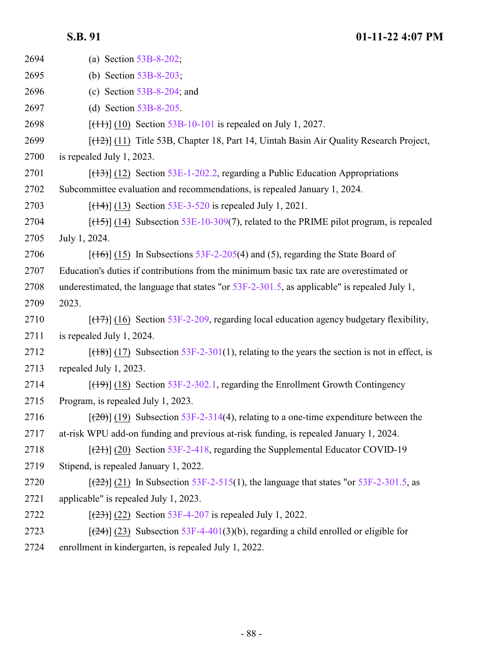| 2694 | (a) Section $53B-8-202$ ;                                                                          |
|------|----------------------------------------------------------------------------------------------------|
| 2695 | (b) Section $53B-8-203$ ;                                                                          |
| 2696 | (c) Section $53B-8-204$ ; and                                                                      |
| 2697 | (d) Section $53B-8-205$ .                                                                          |
| 2698 | $[ (11) ] (10)$ Section 53B-10-101 is repealed on July 1, 2027.                                    |
| 2699 | $[$ ( $\{+2\}$ ) $(11)$ Title 53B, Chapter 18, Part 14, Uintah Basin Air Quality Research Project, |
| 2700 | is repealed July 1, 2023.                                                                          |
| 2701 | $[\frac{(13)}{(12)}$ Section 53E-1-202.2, regarding a Public Education Appropriations              |
| 2702 | Subcommittee evaluation and recommendations, is repealed January 1, 2024.                          |
| 2703 | $[ (14) ] (13)$ Section 53E-3-520 is repealed July 1, 2021.                                        |
| 2704 | $[ (15) ]$ (14) Subsection 53E-10-309(7), related to the PRIME pilot program, is repealed          |
| 2705 | July 1, 2024.                                                                                      |
| 2706 | $[ (16) ]$ (15) In Subsections 53F-2-205(4) and (5), regarding the State Board of                  |
| 2707 | Education's duties if contributions from the minimum basic tax rate are overestimated or           |
| 2708 | underestimated, the language that states "or $53F-2-301.5$ , as applicable" is repealed July 1,    |
| 2709 | 2023.                                                                                              |
| 2710 | $[ (17) ]$ (16) Section 53F-2-209, regarding local education agency budgetary flexibility,         |
| 2711 | is repealed July 1, 2024.                                                                          |
| 2712 | $[ (18) ]$ (17) Subsection 53F-2-301(1), relating to the years the section is not in effect, is    |
| 2713 | repealed July 1, 2023.                                                                             |
| 2714 | $[$ (19) $]$ (18) Section 53F-2-302.1, regarding the Enrollment Growth Contingency                 |
| 2715 | Program, is repealed July 1, 2023.                                                                 |
| 2716 | $[\frac{(20)}{(19)}]$ Subsection 53F-2-314(4), relating to a one-time expenditure between the      |
| 2717 | at-risk WPU add-on funding and previous at-risk funding, is repealed January 1, 2024.              |
| 2718 | $[\frac{(21)}{(21)}]$ (20) Section 53F-2-418, regarding the Supplemental Educator COVID-19         |
| 2719 | Stipend, is repealed January 1, 2022.                                                              |
| 2720 | $[22]$ (21) In Subsection 53F-2-515(1), the language that states "or 53F-2-301.5, as               |
| 2721 | applicable" is repealed July 1, 2023.                                                              |
| 2722 | $[ (23) ]$ (22) Section 53F-4-207 is repealed July 1, 2022.                                        |
| 2723 | $[24]$ (23) Subsection 53F-4-401(3)(b), regarding a child enrolled or eligible for                 |
| 2724 | enrollment in kindergarten, is repealed July 1, 2022.                                              |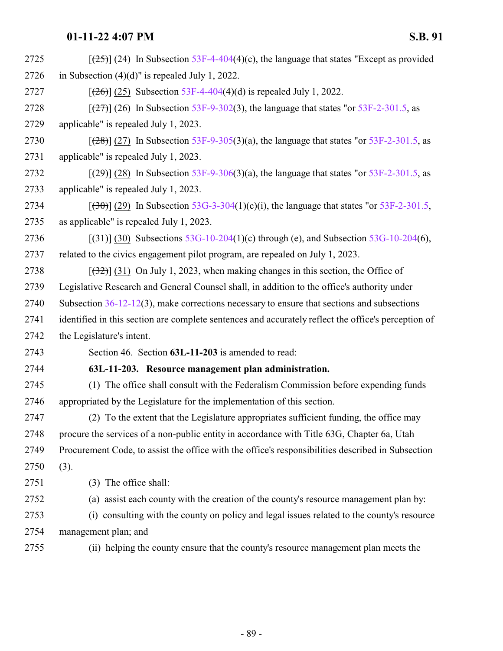| 2725 | $[25]$ (24) In Subsection 53F-4-404(4)(c), the language that states "Except as provided             |
|------|-----------------------------------------------------------------------------------------------------|
| 2726 | in Subsection $(4)(d)$ " is repealed July 1, 2022.                                                  |
| 2727 | $[ (26) ] (25)$ Subsection 53F-4-404(4)(d) is repealed July 1, 2022.                                |
| 2728 | $[ (27) ] (26)$ In Subsection 53F-9-302(3), the language that states "or 53F-2-301.5, as            |
| 2729 | applicable" is repealed July 1, 2023.                                                               |
| 2730 | $[ (28) ]$ (27) In Subsection 53F-9-305(3)(a), the language that states "or 53F-2-301.5, as         |
| 2731 | applicable" is repealed July 1, 2023.                                                               |
| 2732 | $[29]$ (28) In Subsection 53F-9-306(3)(a), the language that states "or 53F-2-301.5, as             |
| 2733 | applicable" is repealed July 1, 2023.                                                               |
| 2734 | $[300]$ (29) In Subsection 53G-3-304(1)(c)(i), the language that states "or 53F-2-301.5,            |
| 2735 | as applicable" is repealed July 1, 2023.                                                            |
| 2736 | $[ (31) ] (30)$ Subsections 53G-10-204(1)(c) through (e), and Subsection 53G-10-204(6),             |
| 2737 | related to the civics engagement pilot program, are repealed on July 1, 2023.                       |
| 2738 | $[32]$ (31) On July 1, 2023, when making changes in this section, the Office of                     |
| 2739 | Legislative Research and General Counsel shall, in addition to the office's authority under         |
| 2740 | Subsection $36-12-12(3)$ , make corrections necessary to ensure that sections and subsections       |
| 2741 | identified in this section are complete sentences and accurately reflect the office's perception of |
| 2742 | the Legislature's intent.                                                                           |
| 2743 | Section 46. Section 63L-11-203 is amended to read:                                                  |
| 2744 | 63L-11-203. Resource management plan administration.                                                |
| 2745 | (1) The office shall consult with the Federalism Commission before expending funds                  |
| 2746 | appropriated by the Legislature for the implementation of this section.                             |
| 2747 | (2) To the extent that the Legislature appropriates sufficient funding, the office may              |
| 2748 | procure the services of a non-public entity in accordance with Title 63G, Chapter 6a, Utah          |
| 2749 | Procurement Code, to assist the office with the office's responsibilities described in Subsection   |
| 2750 | (3).                                                                                                |
| 2751 | (3) The office shall:                                                                               |
| 2752 | (a) assist each county with the creation of the county's resource management plan by:               |
| 2753 | (i) consulting with the county on policy and legal issues related to the county's resource          |
| 2754 | management plan; and                                                                                |
| 2755 | (ii) helping the county ensure that the county's resource management plan meets the                 |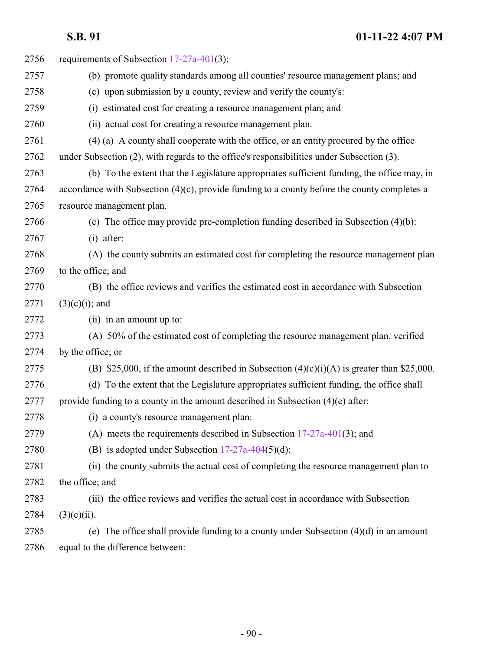| 2756 | requirements of Subsection $17-27a-401(3)$ ;                                                    |
|------|-------------------------------------------------------------------------------------------------|
| 2757 | (b) promote quality standards among all counties' resource management plans; and                |
| 2758 | (c) upon submission by a county, review and verify the county's:                                |
| 2759 | (i) estimated cost for creating a resource management plan; and                                 |
| 2760 | (ii) actual cost for creating a resource management plan.                                       |
| 2761 | (4) (a) A county shall cooperate with the office, or an entity procured by the office           |
| 2762 | under Subsection (2), with regards to the office's responsibilities under Subsection (3).       |
| 2763 | (b) To the extent that the Legislature appropriates sufficient funding, the office may, in      |
| 2764 | accordance with Subsection $(4)(c)$ , provide funding to a county before the county completes a |
| 2765 | resource management plan.                                                                       |
| 2766 | (c) The office may provide pre-completion funding described in Subsection $(4)(b)$ :            |
| 2767 | $(i)$ after:                                                                                    |
| 2768 | (A) the county submits an estimated cost for completing the resource management plan            |
| 2769 | to the office; and                                                                              |
| 2770 | (B) the office reviews and verifies the estimated cost in accordance with Subsection            |
| 2771 | $(3)(c)(i)$ ; and                                                                               |
| 2772 | (ii) in an amount up to:                                                                        |
| 2773 | (A) 50% of the estimated cost of completing the resource management plan, verified              |
| 2774 | by the office; or                                                                               |
| 2775 | (B) \$25,000, if the amount described in Subsection $(4)(c)(i)(A)$ is greater than \$25,000.    |
| 2776 | (d) To the extent that the Legislature appropriates sufficient funding, the office shall        |
| 2777 | provide funding to a county in the amount described in Subsection $(4)(e)$ after:               |
| 2778 | (i) a county's resource management plan:                                                        |
| 2779 | (A) meets the requirements described in Subsection $17-27a-401(3)$ ; and                        |
| 2780 | (B) is adopted under Subsection $17-27a-404(5)(d)$ ;                                            |
| 2781 | (ii) the county submits the actual cost of completing the resource management plan to           |
| 2782 | the office; and                                                                                 |
| 2783 | (iii) the office reviews and verifies the actual cost in accordance with Subsection             |
| 2784 | $(3)(c)(ii)$ .                                                                                  |
| 2785 | (e) The office shall provide funding to a county under Subsection $(4)(d)$ in an amount         |
| 2786 | equal to the difference between:                                                                |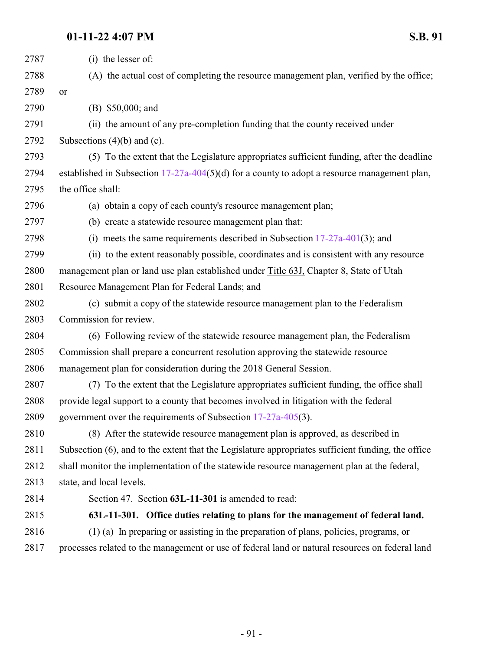| 2787 | (i) the lesser of:                                                                                 |
|------|----------------------------------------------------------------------------------------------------|
| 2788 | (A) the actual cost of completing the resource management plan, verified by the office;            |
| 2789 | or                                                                                                 |
| 2790 | (B) \$50,000; and                                                                                  |
| 2791 | (ii) the amount of any pre-completion funding that the county received under                       |
| 2792 | Subsections $(4)(b)$ and $(c)$ .                                                                   |
| 2793 | (5) To the extent that the Legislature appropriates sufficient funding, after the deadline         |
| 2794 | established in Subsection $17-27a-404(5)(d)$ for a county to adopt a resource management plan,     |
| 2795 | the office shall:                                                                                  |
| 2796 | (a) obtain a copy of each county's resource management plan;                                       |
| 2797 | (b) create a statewide resource management plan that:                                              |
| 2798 | (i) meets the same requirements described in Subsection $17-27a-401(3)$ ; and                      |
| 2799 | (ii) to the extent reasonably possible, coordinates and is consistent with any resource            |
| 2800 | management plan or land use plan established under Title 63J, Chapter 8, State of Utah             |
| 2801 | Resource Management Plan for Federal Lands; and                                                    |
| 2802 | (c) submit a copy of the statewide resource management plan to the Federalism                      |
| 2803 | Commission for review.                                                                             |
| 2804 | (6) Following review of the statewide resource management plan, the Federalism                     |
| 2805 | Commission shall prepare a concurrent resolution approving the statewide resource                  |
| 2806 | management plan for consideration during the 2018 General Session.                                 |
| 2807 | (7) To the extent that the Legislature appropriates sufficient funding, the office shall           |
| 2808 | provide legal support to a county that becomes involved in litigation with the federal             |
| 2809 | government over the requirements of Subsection 17-27a-405(3).                                      |
| 2810 | (8) After the statewide resource management plan is approved, as described in                      |
| 2811 | Subsection (6), and to the extent that the Legislature appropriates sufficient funding, the office |
| 2812 | shall monitor the implementation of the statewide resource management plan at the federal,         |
| 2813 | state, and local levels.                                                                           |
| 2814 | Section 47. Section 63L-11-301 is amended to read:                                                 |
| 2815 | 63L-11-301. Office duties relating to plans for the management of federal land.                    |
| 2816 | (1) (a) In preparing or assisting in the preparation of plans, policies, programs, or              |
| 2817 | processes related to the management or use of federal land or natural resources on federal land    |
|      |                                                                                                    |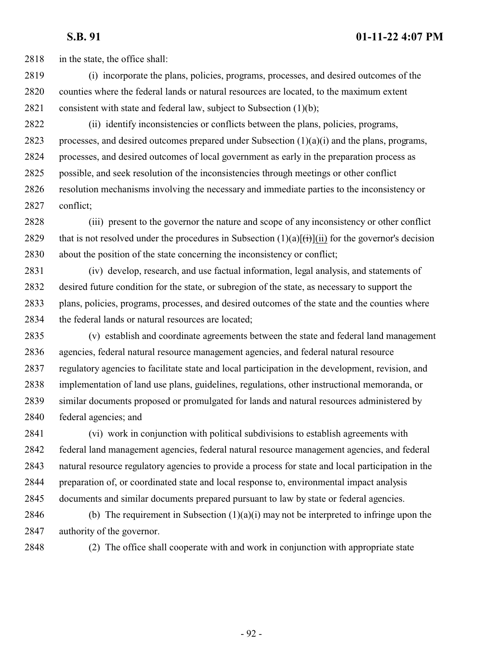2818 in the state, the office shall:

- (i) incorporate the plans, policies, programs, processes, and desired outcomes of the counties where the federal lands or natural resources are located, to the maximum extent 2821 consistent with state and federal law, subject to Subsection  $(1)(b)$ ;
- (ii) identify inconsistencies or conflicts between the plans, policies, programs, 2823 processes, and desired outcomes prepared under Subsection  $(1)(a)(i)$  and the plans, programs, processes, and desired outcomes of local government as early in the preparation process as possible, and seek resolution of the inconsistencies through meetings or other conflict resolution mechanisms involving the necessary and immediate parties to the inconsistency or conflict;
- (iii) present to the governor the nature and scope of any inconsistency or other conflict 2829 that is not resolved under the procedures in Subsection  $(1)(a)[(ii)]$  for the governor's decision about the position of the state concerning the inconsistency or conflict;
- (iv) develop, research, and use factual information, legal analysis, and statements of desired future condition for the state, or subregion of the state, as necessary to support the plans, policies, programs, processes, and desired outcomes of the state and the counties where 2834 the federal lands or natural resources are located;
- (v) establish and coordinate agreements between the state and federal land management agencies, federal natural resource management agencies, and federal natural resource regulatory agencies to facilitate state and local participation in the development, revision, and implementation of land use plans, guidelines, regulations, other instructional memoranda, or similar documents proposed or promulgated for lands and natural resources administered by federal agencies; and

 (vi) work in conjunction with political subdivisions to establish agreements with federal land management agencies, federal natural resource management agencies, and federal natural resource regulatory agencies to provide a process for state and local participation in the preparation of, or coordinated state and local response to, environmental impact analysis documents and similar documents prepared pursuant to law by state or federal agencies.

2846 (b) The requirement in Subsection  $(1)(a)(i)$  may not be interpreted to infringe upon the authority of the governor.

(2) The office shall cooperate with and work in conjunction with appropriate state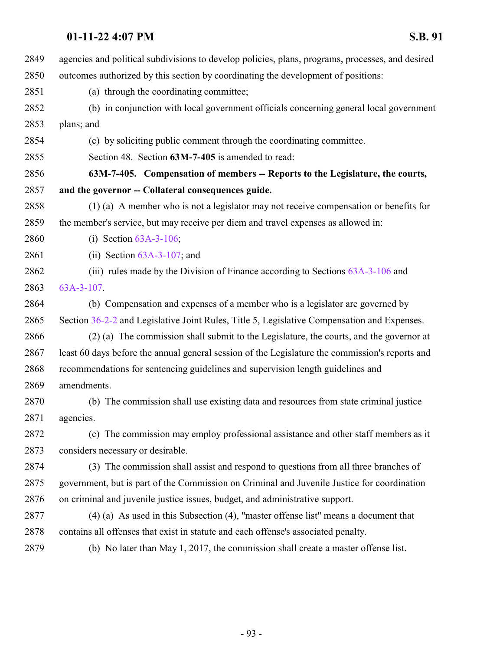| 2849 | agencies and political subdivisions to develop policies, plans, programs, processes, and desired |
|------|--------------------------------------------------------------------------------------------------|
| 2850 | outcomes authorized by this section by coordinating the development of positions:                |
| 2851 | (a) through the coordinating committee;                                                          |
| 2852 | (b) in conjunction with local government officials concerning general local government           |
| 2853 | plans; and                                                                                       |
| 2854 | (c) by soliciting public comment through the coordinating committee.                             |
| 2855 | Section 48. Section 63M-7-405 is amended to read:                                                |
| 2856 | 63M-7-405. Compensation of members -- Reports to the Legislature, the courts,                    |
| 2857 | and the governor -- Collateral consequences guide.                                               |
| 2858 | $(1)$ (a) A member who is not a legislator may not receive compensation or benefits for          |
| 2859 | the member's service, but may receive per diem and travel expenses as allowed in:                |
| 2860 | (i) Section $63A-3-106$ ;                                                                        |
| 2861 | (ii) Section $63A-3-107$ ; and                                                                   |
| 2862 | (iii) rules made by the Division of Finance according to Sections $63A-3-106$ and                |
| 2863 | $63A-3-107$ .                                                                                    |
| 2864 | (b) Compensation and expenses of a member who is a legislator are governed by                    |
| 2865 | Section 36-2-2 and Legislative Joint Rules, Title 5, Legislative Compensation and Expenses.      |
| 2866 | (2) (a) The commission shall submit to the Legislature, the courts, and the governor at          |
| 2867 | least 60 days before the annual general session of the Legislature the commission's reports and  |
| 2868 | recommendations for sentencing guidelines and supervision length guidelines and                  |
| 2869 | amendments.                                                                                      |
| 2870 | (b) The commission shall use existing data and resources from state criminal justice             |
| 2871 | agencies.                                                                                        |
| 2872 | (c) The commission may employ professional assistance and other staff members as it              |
| 2873 | considers necessary or desirable.                                                                |
| 2874 | (3) The commission shall assist and respond to questions from all three branches of              |
| 2875 | government, but is part of the Commission on Criminal and Juvenile Justice for coordination      |
| 2876 | on criminal and juvenile justice issues, budget, and administrative support.                     |
| 2877 | $(4)$ (a) As used in this Subsection (4), "master offense list" means a document that            |
| 2878 | contains all offenses that exist in statute and each offense's associated penalty.               |
| 2879 | (b) No later than May 1, 2017, the commission shall create a master offense list.                |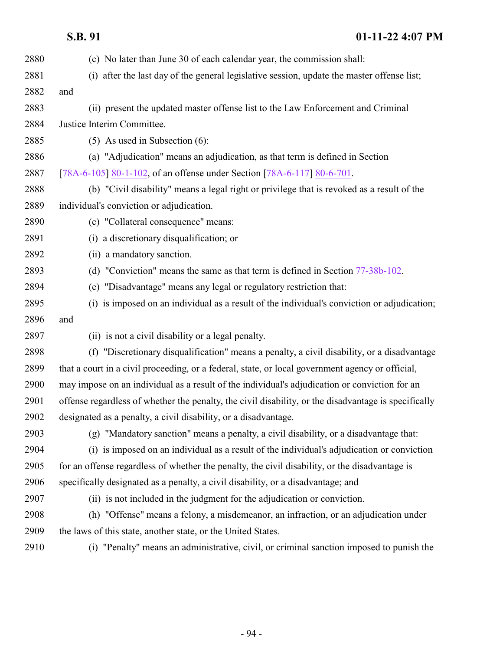| 2880 | (c) No later than June 30 of each calendar year, the commission shall:                               |
|------|------------------------------------------------------------------------------------------------------|
| 2881 | (i) after the last day of the general legislative session, update the master offense list;           |
| 2882 | and                                                                                                  |
| 2883 | (ii) present the updated master offense list to the Law Enforcement and Criminal                     |
| 2884 | Justice Interim Committee.                                                                           |
| 2885 | $(5)$ As used in Subsection $(6)$ :                                                                  |
| 2886 | (a) "Adjudication" means an adjudication, as that term is defined in Section                         |
| 2887 | [78A-6-105] 80-1-102, of an offense under Section [78A-6-117] 80-6-701.                              |
| 2888 | (b) "Civil disability" means a legal right or privilege that is revoked as a result of the           |
| 2889 | individual's conviction or adjudication.                                                             |
| 2890 | (c) "Collateral consequence" means:                                                                  |
| 2891 | (i) a discretionary disqualification; or                                                             |
| 2892 | (ii) a mandatory sanction.                                                                           |
| 2893 | (d) "Conviction" means the same as that term is defined in Section 77-38b-102.                       |
| 2894 | (e) "Disadvantage" means any legal or regulatory restriction that:                                   |
| 2895 | (i) is imposed on an individual as a result of the individual's conviction or adjudication;          |
| 2896 | and                                                                                                  |
| 2897 | (ii) is not a civil disability or a legal penalty.                                                   |
| 2898 | (f) "Discretionary disqualification" means a penalty, a civil disability, or a disadvantage          |
| 2899 | that a court in a civil proceeding, or a federal, state, or local government agency or official,     |
| 2900 | may impose on an individual as a result of the individual's adjudication or conviction for an        |
| 2901 | offense regardless of whether the penalty, the civil disability, or the disadvantage is specifically |
| 2902 | designated as a penalty, a civil disability, or a disadvantage.                                      |
| 2903 | (g) "Mandatory sanction" means a penalty, a civil disability, or a disadvantage that:                |
| 2904 | (i) is imposed on an individual as a result of the individual's adjudication or conviction           |
| 2905 | for an offense regardless of whether the penalty, the civil disability, or the disadvantage is       |
| 2906 | specifically designated as a penalty, a civil disability, or a disadvantage; and                     |
| 2907 | (ii) is not included in the judgment for the adjudication or conviction.                             |
| 2908 | (h) "Offense" means a felony, a misdemeanor, an infraction, or an adjudication under                 |
| 2909 | the laws of this state, another state, or the United States.                                         |
| 2910 | (i) "Penalty" means an administrative, civil, or criminal sanction imposed to punish the             |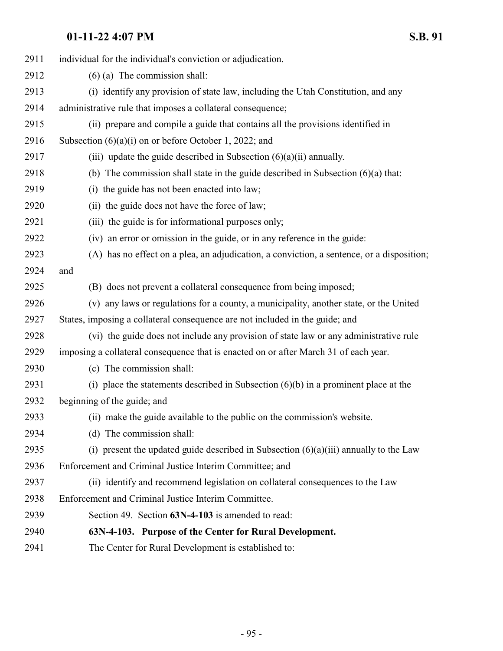| 2911 | individual for the individual's conviction or adjudication.                               |
|------|-------------------------------------------------------------------------------------------|
| 2912 | $(6)$ (a) The commission shall:                                                           |
| 2913 | (i) identify any provision of state law, including the Utah Constitution, and any         |
| 2914 | administrative rule that imposes a collateral consequence;                                |
| 2915 | (ii) prepare and compile a guide that contains all the provisions identified in           |
| 2916 | Subsection $(6)(a)(i)$ on or before October 1, 2022; and                                  |
| 2917 | (iii) update the guide described in Subsection $(6)(a)(ii)$ annually.                     |
| 2918 | (b) The commission shall state in the guide described in Subsection $(6)(a)$ that:        |
| 2919 | (i) the guide has not been enacted into law;                                              |
| 2920 | (ii) the guide does not have the force of law;                                            |
| 2921 | (iii) the guide is for informational purposes only;                                       |
| 2922 | (iv) an error or omission in the guide, or in any reference in the guide:                 |
| 2923 | (A) has no effect on a plea, an adjudication, a conviction, a sentence, or a disposition; |
| 2924 | and                                                                                       |
| 2925 | (B) does not prevent a collateral consequence from being imposed;                         |
| 2926 | (v) any laws or regulations for a county, a municipality, another state, or the United    |
| 2927 | States, imposing a collateral consequence are not included in the guide; and              |
| 2928 | (vi) the guide does not include any provision of state law or any administrative rule     |
| 2929 | imposing a collateral consequence that is enacted on or after March 31 of each year.      |
| 2930 | (c) The commission shall:                                                                 |
| 2931 | (i) place the statements described in Subsection $(6)(b)$ in a prominent place at the     |
| 2932 | beginning of the guide; and                                                               |
| 2933 | (ii) make the guide available to the public on the commission's website.                  |
| 2934 | (d) The commission shall:                                                                 |
| 2935 | (i) present the updated guide described in Subsection $(6)(a)(iii)$ annually to the Law   |
| 2936 | Enforcement and Criminal Justice Interim Committee; and                                   |
| 2937 | (ii) identify and recommend legislation on collateral consequences to the Law             |
| 2938 | Enforcement and Criminal Justice Interim Committee.                                       |
| 2939 | Section 49. Section 63N-4-103 is amended to read:                                         |
| 2940 | 63N-4-103. Purpose of the Center for Rural Development.                                   |
| 2941 | The Center for Rural Development is established to:                                       |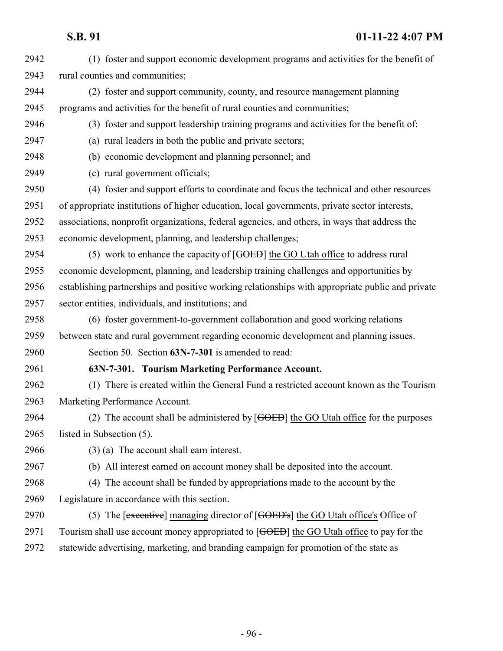(1) foster and support economic development programs and activities for the benefit of rural counties and communities; (2) foster and support community, county, and resource management planning programs and activities for the benefit of rural counties and communities; (3) foster and support leadership training programs and activities for the benefit of: (a) rural leaders in both the public and private sectors; (b) economic development and planning personnel; and (c) rural government officials; (4) foster and support efforts to coordinate and focus the technical and other resources of appropriate institutions of higher education, local governments, private sector interests, associations, nonprofit organizations, federal agencies, and others, in ways that address the economic development, planning, and leadership challenges; (5) work to enhance the capacity of [GOED] the GO Utah office to address rural economic development, planning, and leadership training challenges and opportunities by establishing partnerships and positive working relationships with appropriate public and private sector entities, individuals, and institutions; and (6) foster government-to-government collaboration and good working relations between state and rural government regarding economic development and planning issues. Section 50. Section **63N-7-301** is amended to read: **63N-7-301. Tourism Marketing Performance Account.** (1) There is created within the General Fund a restricted account known as the Tourism Marketing Performance Account. 2964 (2) The account shall be administered by [GOED] the GO Utah office for the purposes listed in Subsection (5). (3) (a) The account shall earn interest. (b) All interest earned on account money shall be deposited into the account. (4) The account shall be funded by appropriations made to the account by the Legislature in accordance with this section. 2970 (5) The [executive] managing director of [GOED's] the GO Utah office's Office of 2971 Tourism shall use account money appropriated to [GOED] the GO Utah office to pay for the statewide advertising, marketing, and branding campaign for promotion of the state as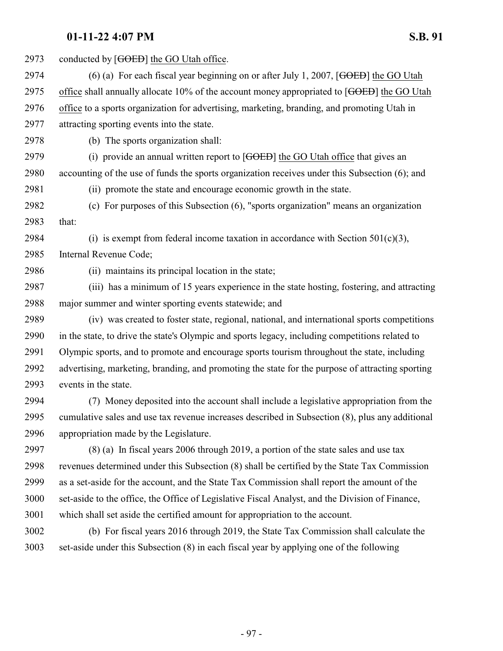| 2973 | conducted by [GOED] the GO Utah office.                                                          |
|------|--------------------------------------------------------------------------------------------------|
| 2974 | (6) (a) For each fiscal year beginning on or after July 1, 2007, [GOED] the GO Utah              |
| 2975 | office shall annually allocate 10% of the account money appropriated to [GOED] the GO Utah       |
| 2976 | office to a sports organization for advertising, marketing, branding, and promoting Utah in      |
| 2977 | attracting sporting events into the state.                                                       |
| 2978 | (b) The sports organization shall:                                                               |
| 2979 | (i) provide an annual written report to $[GOEB]$ the GO Utah office that gives an                |
| 2980 | accounting of the use of funds the sports organization receives under this Subsection (6); and   |
| 2981 | (ii) promote the state and encourage economic growth in the state.                               |
| 2982 | (c) For purposes of this Subsection (6), "sports organization" means an organization             |
| 2983 | that:                                                                                            |
| 2984 | (i) is exempt from federal income taxation in accordance with Section $501(c)(3)$ ,              |
| 2985 | Internal Revenue Code;                                                                           |
| 2986 | (ii) maintains its principal location in the state;                                              |
| 2987 | (iii) has a minimum of 15 years experience in the state hosting, fostering, and attracting       |
| 2988 | major summer and winter sporting events statewide; and                                           |
| 2989 | (iv) was created to foster state, regional, national, and international sports competitions      |
| 2990 | in the state, to drive the state's Olympic and sports legacy, including competitions related to  |
| 2991 | Olympic sports, and to promote and encourage sports tourism throughout the state, including      |
| 2992 | advertising, marketing, branding, and promoting the state for the purpose of attracting sporting |
| 2993 | events in the state.                                                                             |
| 2994 | (7) Money deposited into the account shall include a legislative appropriation from the          |
| 2995 | cumulative sales and use tax revenue increases described in Subsection (8), plus any additional  |
| 2996 | appropriation made by the Legislature.                                                           |
| 2997 | $(8)$ (a) In fiscal years 2006 through 2019, a portion of the state sales and use tax            |
| 2998 | revenues determined under this Subsection (8) shall be certified by the State Tax Commission     |
| 2999 | as a set-aside for the account, and the State Tax Commission shall report the amount of the      |
| 3000 | set-aside to the office, the Office of Legislative Fiscal Analyst, and the Division of Finance,  |
| 3001 | which shall set aside the certified amount for appropriation to the account.                     |
|      |                                                                                                  |

 (b) For fiscal years 2016 through 2019, the State Tax Commission shall calculate the set-aside under this Subsection (8) in each fiscal year by applying one of the following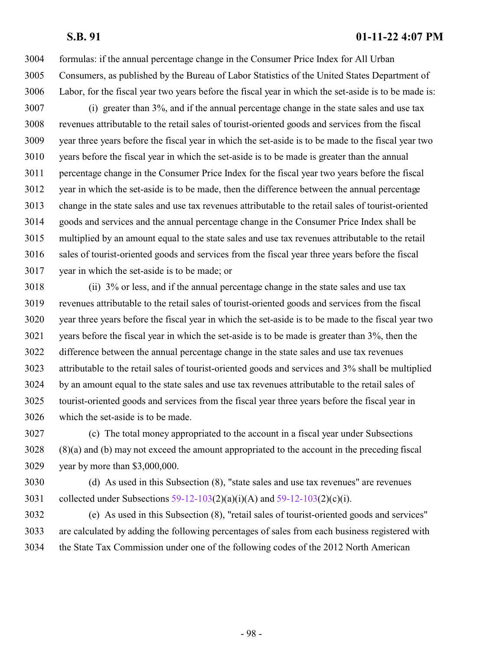formulas: if the annual percentage change in the Consumer Price Index for All Urban Consumers, as published by the Bureau of Labor Statistics of the United States Department of Labor, for the fiscal year two years before the fiscal year in which the set-aside is to be made is:

 (i) greater than 3%, and if the annual percentage change in the state sales and use tax revenues attributable to the retail sales of tourist-oriented goods and services from the fiscal year three years before the fiscal year in which the set-aside is to be made to the fiscal year two years before the fiscal year in which the set-aside is to be made is greater than the annual percentage change in the Consumer Price Index for the fiscal year two years before the fiscal year in which the set-aside is to be made, then the difference between the annual percentage change in the state sales and use tax revenues attributable to the retail sales of tourist-oriented goods and services and the annual percentage change in the Consumer Price Index shall be multiplied by an amount equal to the state sales and use tax revenues attributable to the retail sales of tourist-oriented goods and services from the fiscal year three years before the fiscal year in which the set-aside is to be made; or

 (ii) 3% or less, and if the annual percentage change in the state sales and use tax revenues attributable to the retail sales of tourist-oriented goods and services from the fiscal year three years before the fiscal year in which the set-aside is to be made to the fiscal year two years before the fiscal year in which the set-aside is to be made is greater than 3%, then the difference between the annual percentage change in the state sales and use tax revenues attributable to the retail sales of tourist-oriented goods and services and 3% shall be multiplied by an amount equal to the state sales and use tax revenues attributable to the retail sales of tourist-oriented goods and services from the fiscal year three years before the fiscal year in which the set-aside is to be made.

 (c) The total money appropriated to the account in a fiscal year under Subsections (8)(a) and (b) may not exceed the amount appropriated to the account in the preceding fiscal year by more than \$3,000,000.

 (d) As used in this Subsection (8), "state sales and use tax revenues" are revenues 3031 collected under Subsections [59-12-103](http://le.utah.gov/UtahCode/SectionLookup.jsp?section=59-12-103&session=2022GS)(2)(a)(i)(A) and 59-12-103(2)(c)(i).

 (e) As used in this Subsection (8), "retail sales of tourist-oriented goods and services" are calculated by adding the following percentages of sales from each business registered with the State Tax Commission under one of the following codes of the 2012 North American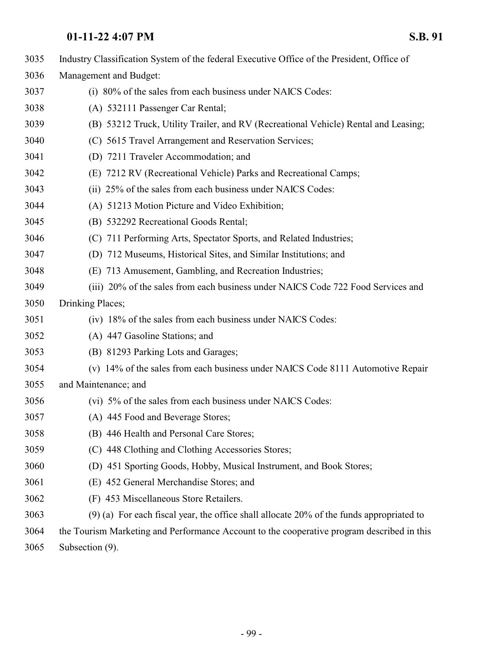| 3035 | Industry Classification System of the federal Executive Office of the President, Office of |
|------|--------------------------------------------------------------------------------------------|
| 3036 | Management and Budget:                                                                     |
| 3037 | (i) 80% of the sales from each business under NAICS Codes:                                 |
| 3038 | (A) 532111 Passenger Car Rental;                                                           |
| 3039 | (B) 53212 Truck, Utility Trailer, and RV (Recreational Vehicle) Rental and Leasing;        |
| 3040 | (C) 5615 Travel Arrangement and Reservation Services;                                      |
| 3041 | (D) 7211 Traveler Accommodation; and                                                       |
| 3042 | (E) 7212 RV (Recreational Vehicle) Parks and Recreational Camps;                           |
| 3043 | (ii) 25% of the sales from each business under NAICS Codes:                                |
| 3044 | (A) 51213 Motion Picture and Video Exhibition;                                             |
| 3045 | (B) 532292 Recreational Goods Rental;                                                      |
| 3046 | (C) 711 Performing Arts, Spectator Sports, and Related Industries;                         |
| 3047 | (D) 712 Museums, Historical Sites, and Similar Institutions; and                           |
| 3048 | (E) 713 Amusement, Gambling, and Recreation Industries;                                    |
| 3049 | (iii) 20% of the sales from each business under NAICS Code 722 Food Services and           |
| 3050 | Drinking Places;                                                                           |
| 3051 | (iv) 18% of the sales from each business under NAICS Codes:                                |
| 3052 | (A) 447 Gasoline Stations; and                                                             |
| 3053 | (B) 81293 Parking Lots and Garages;                                                        |
| 3054 | (v) 14% of the sales from each business under NAICS Code 8111 Automotive Repair            |
| 3055 | and Maintenance; and                                                                       |
| 3056 | (vi) 5% of the sales from each business under NAICS Codes:                                 |
| 3057 | (A) 445 Food and Beverage Stores;                                                          |
| 3058 | (B) 446 Health and Personal Care Stores;                                                   |
| 3059 | (C) 448 Clothing and Clothing Accessories Stores;                                          |
| 3060 | (D) 451 Sporting Goods, Hobby, Musical Instrument, and Book Stores;                        |
| 3061 | (E) 452 General Merchandise Stores; and                                                    |
| 3062 | (F) 453 Miscellaneous Store Retailers.                                                     |
| 3063 | $(9)$ (a) For each fiscal year, the office shall allocate 20% of the funds appropriated to |
| 3064 | the Tourism Marketing and Performance Account to the cooperative program described in this |

Subsection (9).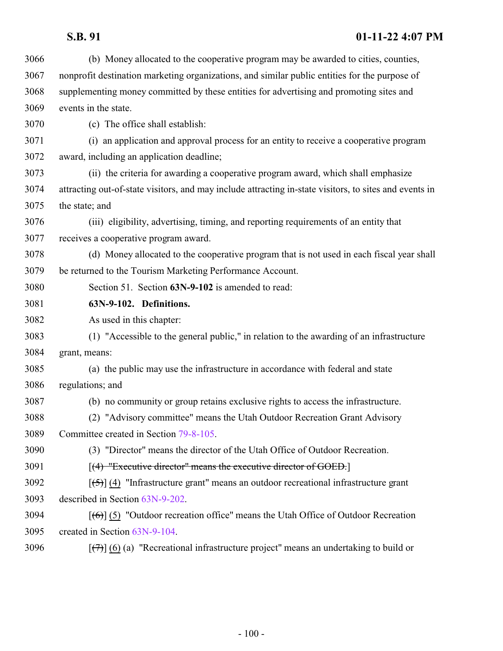| 3066 | (b) Money allocated to the cooperative program may be awarded to cities, counties,                                   |
|------|----------------------------------------------------------------------------------------------------------------------|
| 3067 | nonprofit destination marketing organizations, and similar public entities for the purpose of                        |
| 3068 | supplementing money committed by these entities for advertising and promoting sites and                              |
| 3069 | events in the state.                                                                                                 |
| 3070 | (c) The office shall establish:                                                                                      |
| 3071 | (i) an application and approval process for an entity to receive a cooperative program                               |
| 3072 | award, including an application deadline;                                                                            |
| 3073 | (ii) the criteria for awarding a cooperative program award, which shall emphasize                                    |
| 3074 | attracting out-of-state visitors, and may include attracting in-state visitors, to sites and events in               |
| 3075 | the state; and                                                                                                       |
| 3076 | (iii) eligibility, advertising, timing, and reporting requirements of an entity that                                 |
| 3077 | receives a cooperative program award.                                                                                |
| 3078 | (d) Money allocated to the cooperative program that is not used in each fiscal year shall                            |
| 3079 | be returned to the Tourism Marketing Performance Account.                                                            |
| 3080 | Section 51. Section 63N-9-102 is amended to read:                                                                    |
| 3081 | 63N-9-102. Definitions.                                                                                              |
| 3082 | As used in this chapter:                                                                                             |
| 3083 | (1) "Accessible to the general public," in relation to the awarding of an infrastructure                             |
| 3084 | grant, means:                                                                                                        |
| 3085 | (a) the public may use the infrastructure in accordance with federal and state                                       |
| 3086 | regulations; and                                                                                                     |
| 3087 | (b) no community or group retains exclusive rights to access the infrastructure.                                     |
| 3088 | (2) "Advisory committee" means the Utah Outdoor Recreation Grant Advisory                                            |
| 3089 | Committee created in Section 79-8-105.                                                                               |
| 3090 | (3) "Director" means the director of the Utah Office of Outdoor Recreation.                                          |
| 3091 | $[(4)$ "Executive director" means the executive director of GOED.                                                    |
| 3092 | $\left[\frac{5}{5}\right]$ (4) "Infrastructure grant" means an outdoor recreational infrastructure grant             |
| 3093 | described in Section 63N-9-202.                                                                                      |
| 3094 | $\left[\left(\frac{1}{10}\right)\right]$ (5) "Outdoor recreation office" means the Utah Office of Outdoor Recreation |
| 3095 | created in Section 63N-9-104.                                                                                        |
| 3096 | $[\overline{(+)}]$ (6) (a) "Recreational infrastructure project" means an undertaking to build or                    |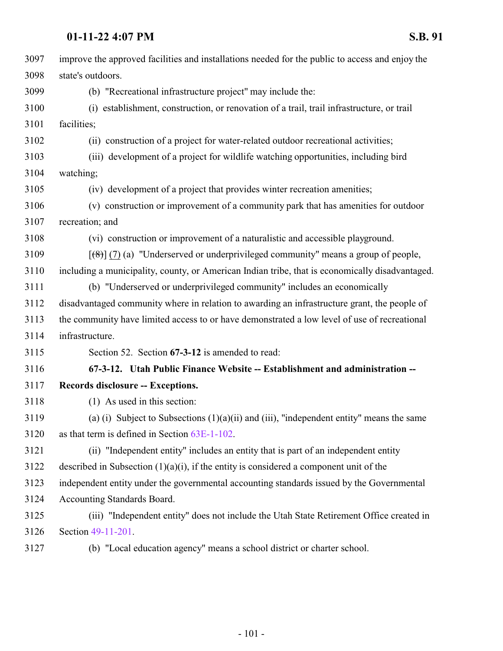| 3097 | improve the approved facilities and installations needed for the public to access and enjoy the          |
|------|----------------------------------------------------------------------------------------------------------|
| 3098 | state's outdoors.                                                                                        |
| 3099 | (b) "Recreational infrastructure project" may include the:                                               |
| 3100 | (i) establishment, construction, or renovation of a trail, trail infrastructure, or trail                |
| 3101 | facilities;                                                                                              |
| 3102 | (ii) construction of a project for water-related outdoor recreational activities;                        |
| 3103 | (iii) development of a project for wildlife watching opportunities, including bird                       |
| 3104 | watching;                                                                                                |
| 3105 | (iv) development of a project that provides winter recreation amenities;                                 |
| 3106 | (v) construction or improvement of a community park that has amenities for outdoor                       |
| 3107 | recreation; and                                                                                          |
| 3108 | (vi) construction or improvement of a naturalistic and accessible playground.                            |
| 3109 | $[\mathcal{A}(\mathcal{B})]$ (7) (a) "Underserved or underprivileged community" means a group of people, |
| 3110 | including a municipality, county, or American Indian tribe, that is economically disadvantaged.          |
| 3111 | (b) "Underserved or underprivileged community" includes an economically                                  |
| 3112 | disadvantaged community where in relation to awarding an infrastructure grant, the people of             |
| 3113 | the community have limited access to or have demonstrated a low level of use of recreational             |
| 3114 | infrastructure.                                                                                          |
| 3115 | Section 52. Section 67-3-12 is amended to read:                                                          |
| 3116 | 67-3-12. Utah Public Finance Website -- Establishment and administration --                              |
| 3117 | Records disclosure -- Exceptions.                                                                        |
| 3118 | (1) As used in this section:                                                                             |
| 3119 | (a) (i) Subject to Subsections $(1)(a)(ii)$ and (iii), "independent entity" means the same               |
| 3120 | as that term is defined in Section 63E-1-102.                                                            |
| 3121 | (ii) "Independent entity" includes an entity that is part of an independent entity                       |
| 3122 | described in Subsection $(1)(a)(i)$ , if the entity is considered a component unit of the                |
| 3123 | independent entity under the governmental accounting standards issued by the Governmental                |
| 3124 | Accounting Standards Board.                                                                              |
| 3125 | (iii) "Independent entity" does not include the Utah State Retirement Office created in                  |
| 3126 | Section 49-11-201.                                                                                       |
| 3127 | (b) "Local education agency" means a school district or charter school.                                  |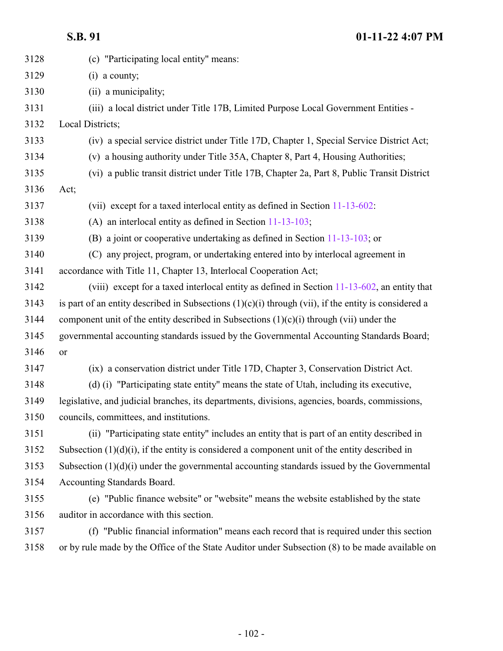| 3128 | (c) "Participating local entity" means:                                                                |
|------|--------------------------------------------------------------------------------------------------------|
| 3129 | $(i)$ a county;                                                                                        |
| 3130 | (ii) a municipality;                                                                                   |
| 3131 | (iii) a local district under Title 17B, Limited Purpose Local Government Entities -                    |
| 3132 | Local Districts;                                                                                       |
| 3133 | (iv) a special service district under Title 17D, Chapter 1, Special Service District Act;              |
| 3134 | (v) a housing authority under Title 35A, Chapter 8, Part 4, Housing Authorities;                       |
| 3135 | (vi) a public transit district under Title 17B, Chapter 2a, Part 8, Public Transit District            |
| 3136 | Act;                                                                                                   |
| 3137 | (vii) except for a taxed interlocal entity as defined in Section 11-13-602:                            |
| 3138 | (A) an interlocal entity as defined in Section $11-13-103$ ;                                           |
| 3139 | (B) a joint or cooperative undertaking as defined in Section $11-13-103$ ; or                          |
| 3140 | (C) any project, program, or undertaking entered into by interlocal agreement in                       |
| 3141 | accordance with Title 11, Chapter 13, Interlocal Cooperation Act;                                      |
| 3142 | (viii) except for a taxed interlocal entity as defined in Section $11-13-602$ , an entity that         |
| 3143 | is part of an entity described in Subsections $(1)(c)(i)$ through (vii), if the entity is considered a |
| 3144 | component unit of the entity described in Subsections $(1)(c)(i)$ through (vii) under the              |
| 3145 | governmental accounting standards issued by the Governmental Accounting Standards Board;               |
| 3146 | or                                                                                                     |
| 3147 | (ix) a conservation district under Title 17D, Chapter 3, Conservation District Act.                    |
| 3148 | (d) (i) "Participating state entity" means the state of Utah, including its executive,                 |
| 3149 | legislative, and judicial branches, its departments, divisions, agencies, boards, commissions,         |
| 3150 | councils, committees, and institutions                                                                 |
| 3151 | (ii) "Participating state entity" includes an entity that is part of an entity described in            |
| 3152 | Subsection $(1)(d)(i)$ , if the entity is considered a component unit of the entity described in       |
| 3153 | Subsection $(1)(d)(i)$ under the governmental accounting standards issued by the Governmental          |
| 3154 | Accounting Standards Board.                                                                            |
| 3155 | (e) "Public finance website" or "website" means the website established by the state                   |
| 3156 | auditor in accordance with this section.                                                               |
| 3157 | (f) "Public financial information" means each record that is required under this section               |
| 3158 | or by rule made by the Office of the State Auditor under Subsection (8) to be made available on        |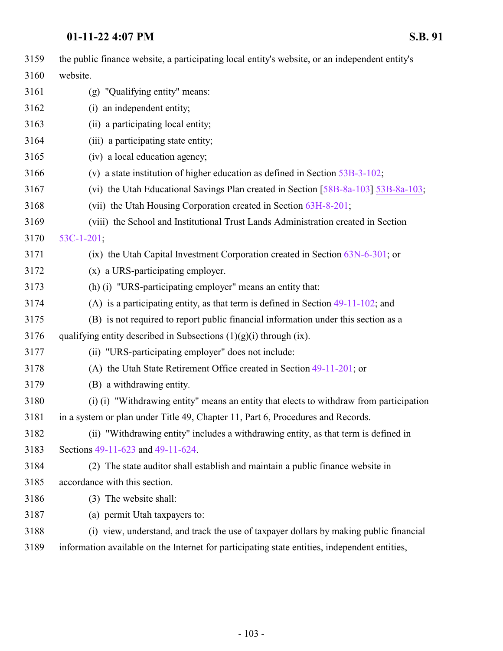| 3159 | the public finance website, a participating local entity's website, or an independent entity's |
|------|------------------------------------------------------------------------------------------------|
| 3160 | website.                                                                                       |
| 3161 | (g) "Qualifying entity" means:                                                                 |
| 3162 | (i) an independent entity;                                                                     |
| 3163 | (ii) a participating local entity;                                                             |
| 3164 | (iii) a participating state entity;                                                            |
| 3165 | (iv) a local education agency;                                                                 |
| 3166 | (v) a state institution of higher education as defined in Section $53B-3-102$ ;                |
| 3167 | (vi) the Utah Educational Savings Plan created in Section $[58B-8a-103]$ 53B-8a-103;           |
| 3168 | (vii) the Utah Housing Corporation created in Section 63H-8-201;                               |
| 3169 | (viii) the School and Institutional Trust Lands Administration created in Section              |
| 3170 | $53C-1-201$ ;                                                                                  |
| 3171 | (ix) the Utah Capital Investment Corporation created in Section $63N-6-301$ ; or               |
| 3172 | (x) a URS-participating employer.                                                              |
| 3173 | (h) (i) "URS-participating employer" means an entity that:                                     |
| 3174 | (A) is a participating entity, as that term is defined in Section $49-11-102$ ; and            |
| 3175 | (B) is not required to report public financial information under this section as a             |
| 3176 | qualifying entity described in Subsections $(1)(g)(i)$ through $(ix)$ .                        |
| 3177 | (ii) "URS-participating employer" does not include:                                            |
| 3178 | (A) the Utah State Retirement Office created in Section 49-11-201; or                          |
| 3179 | (B) a withdrawing entity.                                                                      |
| 3180 | (i) (i) "Withdrawing entity" means an entity that elects to withdraw from participation        |
| 3181 | in a system or plan under Title 49, Chapter 11, Part 6, Procedures and Records.                |
| 3182 | (ii) "Withdrawing entity" includes a withdrawing entity, as that term is defined in            |
| 3183 | Sections 49-11-623 and 49-11-624.                                                              |
| 3184 | (2) The state auditor shall establish and maintain a public finance website in                 |
| 3185 | accordance with this section.                                                                  |
| 3186 | (3) The website shall:                                                                         |
| 3187 | (a) permit Utah taxpayers to:                                                                  |
| 3188 | (i) view, understand, and track the use of taxpayer dollars by making public financial         |
| 3189 | information available on the Internet for participating state entities, independent entities,  |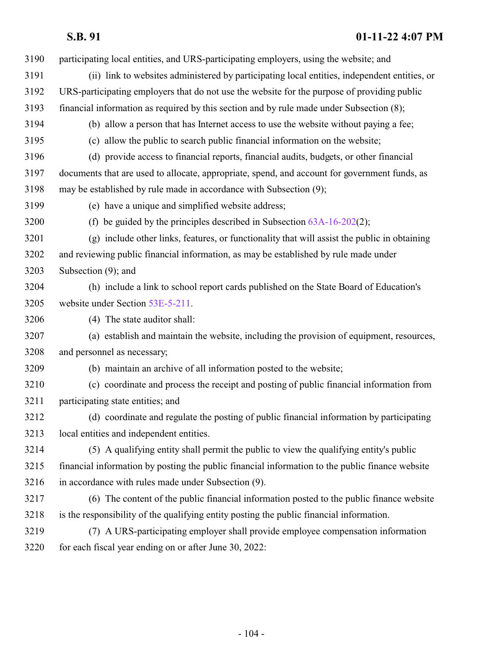| 3190 | participating local entities, and URS-participating employers, using the website; and           |
|------|-------------------------------------------------------------------------------------------------|
| 3191 | (ii) link to websites administered by participating local entities, independent entities, or    |
| 3192 | URS-participating employers that do not use the website for the purpose of providing public     |
| 3193 | financial information as required by this section and by rule made under Subsection (8);        |
| 3194 | (b) allow a person that has Internet access to use the website without paying a fee;            |
| 3195 | (c) allow the public to search public financial information on the website;                     |
| 3196 | (d) provide access to financial reports, financial audits, budgets, or other financial          |
| 3197 | documents that are used to allocate, appropriate, spend, and account for government funds, as   |
| 3198 | may be established by rule made in accordance with Subsection (9);                              |
| 3199 | (e) have a unique and simplified website address;                                               |
| 3200 | (f) be guided by the principles described in Subsection $63A-16-202(2)$ ;                       |
| 3201 | (g) include other links, features, or functionality that will assist the public in obtaining    |
| 3202 | and reviewing public financial information, as may be established by rule made under            |
| 3203 | Subsection $(9)$ ; and                                                                          |
| 3204 | (h) include a link to school report cards published on the State Board of Education's           |
| 3205 | website under Section 53E-5-211.                                                                |
| 3206 | (4) The state auditor shall:                                                                    |
| 3207 | (a) establish and maintain the website, including the provision of equipment, resources,        |
| 3208 | and personnel as necessary;                                                                     |
| 3209 | (b) maintain an archive of all information posted to the website;                               |
| 3210 | (c) coordinate and process the receipt and posting of public financial information from         |
| 3211 | participating state entities; and                                                               |
| 3212 | (d) coordinate and regulate the posting of public financial information by participating        |
| 3213 | local entities and independent entities.                                                        |
| 3214 | (5) A qualifying entity shall permit the public to view the qualifying entity's public          |
| 3215 | financial information by posting the public financial information to the public finance website |
| 3216 | in accordance with rules made under Subsection (9).                                             |
| 3217 | (6) The content of the public financial information posted to the public finance website        |
| 3218 | is the responsibility of the qualifying entity posting the public financial information.        |
| 3219 | (7) A URS-participating employer shall provide employee compensation information                |
| 3220 | for each fiscal year ending on or after June 30, 2022:                                          |
|      |                                                                                                 |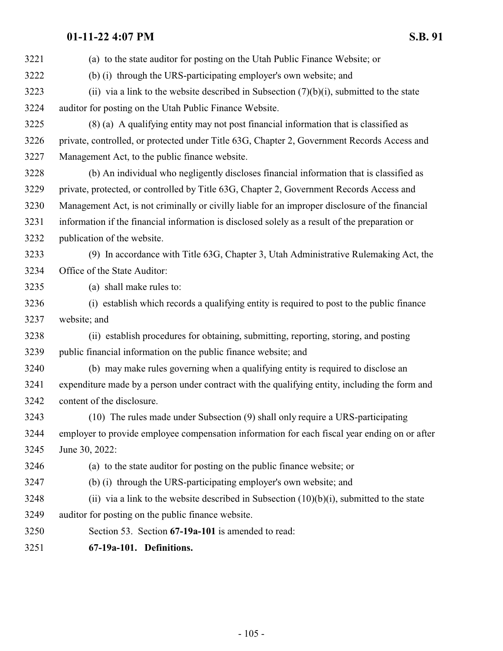| 3221 | (a) to the state auditor for posting on the Utah Public Finance Website; or                     |
|------|-------------------------------------------------------------------------------------------------|
| 3222 | (b) (i) through the URS-participating employer's own website; and                               |
| 3223 | (ii) via a link to the website described in Subsection $(7)(b)(i)$ , submitted to the state     |
| 3224 | auditor for posting on the Utah Public Finance Website.                                         |
| 3225 | (8) (a) A qualifying entity may not post financial information that is classified as            |
| 3226 | private, controlled, or protected under Title 63G, Chapter 2, Government Records Access and     |
| 3227 | Management Act, to the public finance website.                                                  |
| 3228 | (b) An individual who negligently discloses financial information that is classified as         |
| 3229 | private, protected, or controlled by Title 63G, Chapter 2, Government Records Access and        |
| 3230 | Management Act, is not criminally or civilly liable for an improper disclosure of the financial |
| 3231 | information if the financial information is disclosed solely as a result of the preparation or  |
| 3232 | publication of the website.                                                                     |
| 3233 | (9) In accordance with Title 63G, Chapter 3, Utah Administrative Rulemaking Act, the            |
| 3234 | Office of the State Auditor:                                                                    |
| 3235 | (a) shall make rules to:                                                                        |
| 3236 | (i) establish which records a qualifying entity is required to post to the public finance       |
| 3237 | website; and                                                                                    |
| 3238 | (ii) establish procedures for obtaining, submitting, reporting, storing, and posting            |
| 3239 | public financial information on the public finance website; and                                 |
| 3240 | (b) may make rules governing when a qualifying entity is required to disclose an                |
| 3241 | expenditure made by a person under contract with the qualifying entity, including the form and  |
| 3242 | content of the disclosure.                                                                      |
| 3243 | (10) The rules made under Subsection (9) shall only require a URS-participating                 |
| 3244 | employer to provide employee compensation information for each fiscal year ending on or after   |
| 3245 | June 30, 2022:                                                                                  |
| 3246 | (a) to the state auditor for posting on the public finance website; or                          |
| 3247 | (b) (i) through the URS-participating employer's own website; and                               |
| 3248 | (ii) via a link to the website described in Subsection $(10)(b)(i)$ , submitted to the state    |
| 3249 | auditor for posting on the public finance website.                                              |
| 3250 | Section 53. Section 67-19a-101 is amended to read:                                              |
| 3251 | 67-19a-101. Definitions.                                                                        |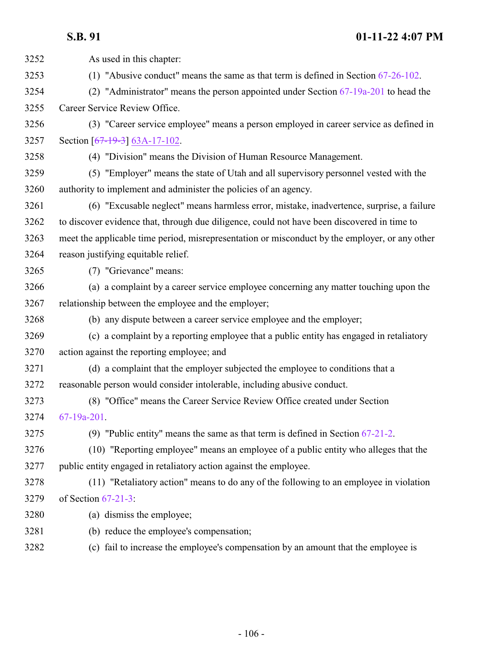| 3252 | As used in this chapter:                                                                       |
|------|------------------------------------------------------------------------------------------------|
| 3253 | (1) "Abusive conduct" means the same as that term is defined in Section $67-26-102$ .          |
| 3254 | (2) "Administrator" means the person appointed under Section $67-19a-201$ to head the          |
| 3255 | Career Service Review Office.                                                                  |
| 3256 | (3) "Career service employee" means a person employed in career service as defined in          |
| 3257 | Section $[67-19-3]$ 63A-17-102.                                                                |
| 3258 | (4) "Division" means the Division of Human Resource Management.                                |
| 3259 | (5) "Employer" means the state of Utah and all supervisory personnel vested with the           |
| 3260 | authority to implement and administer the policies of an agency.                               |
| 3261 | (6) "Excusable neglect" means harmless error, mistake, inadvertence, surprise, a failure       |
| 3262 | to discover evidence that, through due diligence, could not have been discovered in time to    |
| 3263 | meet the applicable time period, misrepresentation or misconduct by the employer, or any other |
| 3264 | reason justifying equitable relief.                                                            |
| 3265 | (7) "Grievance" means:                                                                         |
| 3266 | (a) a complaint by a career service employee concerning any matter touching upon the           |
| 3267 | relationship between the employee and the employer;                                            |
| 3268 | (b) any dispute between a career service employee and the employer;                            |
| 3269 | (c) a complaint by a reporting employee that a public entity has engaged in retaliatory        |
| 3270 | action against the reporting employee; and                                                     |
| 3271 | (d) a complaint that the employer subjected the employee to conditions that a                  |
| 3272 | reasonable person would consider intolerable, including abusive conduct.                       |
| 3273 | (8) "Office" means the Career Service Review Office created under Section                      |
| 3274 | 67-19a-201.                                                                                    |
| 3275 | (9) "Public entity" means the same as that term is defined in Section $67-21-2$ .              |
| 3276 | (10) "Reporting employee" means an employee of a public entity who alleges that the            |
| 3277 | public entity engaged in retaliatory action against the employee.                              |
| 3278 | (11) "Retaliatory action" means to do any of the following to an employee in violation         |
| 3279 | of Section $67-21-3$ :                                                                         |
| 3280 | (a) dismiss the employee;                                                                      |
| 3281 | (b) reduce the employee's compensation;                                                        |
| 3282 | (c) fail to increase the employee's compensation by an amount that the employee is             |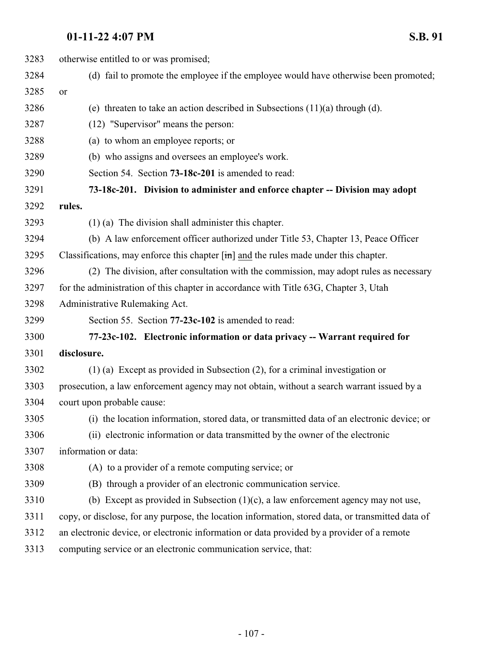otherwise entitled to or was promised; (d) fail to promote the employee if the employee would have otherwise been promoted; or 3286 (e) threaten to take an action described in Subsections  $(11)(a)$  through (d). (12) "Supervisor" means the person: (a) to whom an employee reports; or (b) who assigns and oversees an employee's work. Section 54. Section **73-18c-201** is amended to read: **73-18c-201. Division to administer and enforce chapter -- Division may adopt rules.** (1) (a) The division shall administer this chapter. (b) A law enforcement officer authorized under Title 53, Chapter 13, Peace Officer 3295 Classifications, may enforce this chapter  $[\hat{m}]$  and the rules made under this chapter. (2) The division, after consultation with the commission, may adopt rules as necessary for the administration of this chapter in accordance with Title 63G, Chapter 3, Utah Administrative Rulemaking Act. Section 55. Section **77-23c-102** is amended to read: **77-23c-102. Electronic information or data privacy -- Warrant required for disclosure.** (1) (a) Except as provided in Subsection (2), for a criminal investigation or prosecution, a law enforcement agency may not obtain, without a search warrant issued by a court upon probable cause: (i) the location information, stored data, or transmitted data of an electronic device; or (ii) electronic information or data transmitted by the owner of the electronic information or data: (A) to a provider of a remote computing service; or (B) through a provider of an electronic communication service.

- (b) Except as provided in Subsection (1)(c), a law enforcement agency may not use,
- copy, or disclose, for any purpose, the location information, stored data, or transmitted data of
- an electronic device, or electronic information or data provided by a provider of a remote
- computing service or an electronic communication service, that: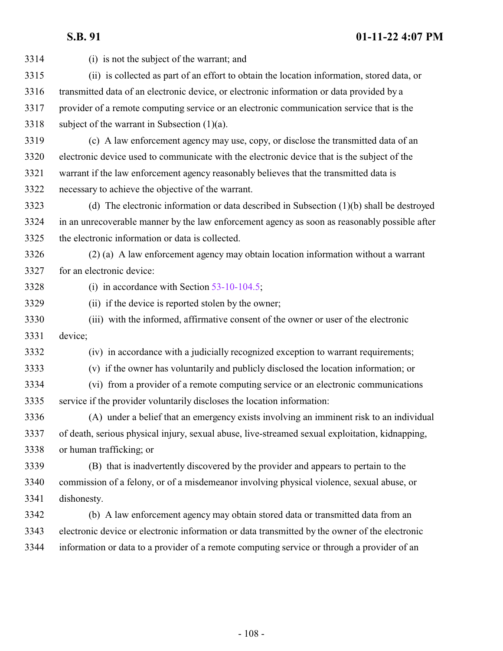| 3314 | (i) is not the subject of the warrant; and                                                      |
|------|-------------------------------------------------------------------------------------------------|
| 3315 | (ii) is collected as part of an effort to obtain the location information, stored data, or      |
| 3316 | transmitted data of an electronic device, or electronic information or data provided by a       |
| 3317 | provider of a remote computing service or an electronic communication service that is the       |
| 3318 | subject of the warrant in Subsection $(1)(a)$ .                                                 |
| 3319 | (c) A law enforcement agency may use, copy, or disclose the transmitted data of an              |
| 3320 | electronic device used to communicate with the electronic device that is the subject of the     |
| 3321 | warrant if the law enforcement agency reasonably believes that the transmitted data is          |
| 3322 | necessary to achieve the objective of the warrant.                                              |
| 3323 | (d) The electronic information or data described in Subsection $(1)(b)$ shall be destroyed      |
| 3324 | in an unrecoverable manner by the law enforcement agency as soon as reasonably possible after   |
| 3325 | the electronic information or data is collected.                                                |
| 3326 | (2) (a) A law enforcement agency may obtain location information without a warrant              |
| 3327 | for an electronic device:                                                                       |
| 3328 | (i) in accordance with Section $53-10-104.5$ ;                                                  |
| 3329 | (ii) if the device is reported stolen by the owner;                                             |
| 3330 | (iii) with the informed, affirmative consent of the owner or user of the electronic             |
| 3331 | device;                                                                                         |
| 3332 | (iv) in accordance with a judicially recognized exception to warrant requirements;              |
| 3333 | (v) if the owner has voluntarily and publicly disclosed the location information; or            |
| 3334 | (vi) from a provider of a remote computing service or an electronic communications              |
| 3335 | service if the provider voluntarily discloses the location information:                         |
| 3336 | (A) under a belief that an emergency exists involving an imminent risk to an individual         |
| 3337 | of death, serious physical injury, sexual abuse, live-streamed sexual exploitation, kidnapping, |
| 3338 | or human trafficking; or                                                                        |
| 3339 | (B) that is inadvertently discovered by the provider and appears to pertain to the              |
| 3340 | commission of a felony, or of a misdemeanor involving physical violence, sexual abuse, or       |
| 3341 | dishonesty.                                                                                     |
| 3342 | (b) A law enforcement agency may obtain stored data or transmitted data from an                 |
| 3343 | electronic device or electronic information or data transmitted by the owner of the electronic  |
| 3344 | information or data to a provider of a remote computing service or through a provider of an     |
|      |                                                                                                 |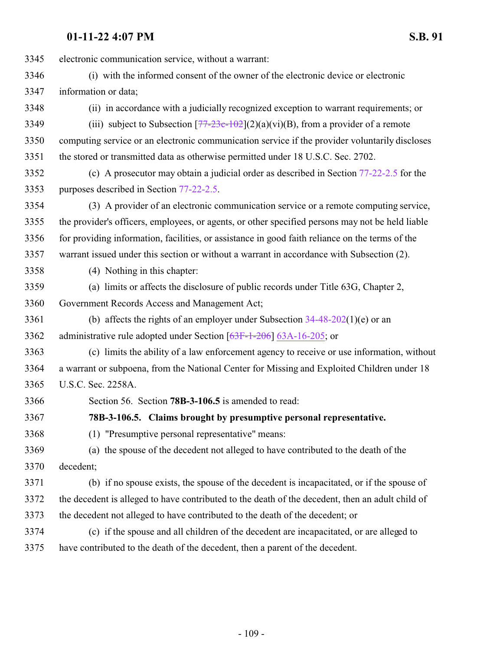electronic communication service, without a warrant: (i) with the informed consent of the owner of the electronic device or electronic information or data; (ii) in accordance with a judicially recognized exception to warrant requirements; or 3349 (iii) subject to Subsection  $[77-23c-102](2)(a)(vi)(B)$  $[77-23c-102](2)(a)(vi)(B)$  $[77-23c-102](2)(a)(vi)(B)$ , from a provider of a remote computing service or an electronic communication service if the provider voluntarily discloses the stored or transmitted data as otherwise permitted under 18 U.S.C. Sec. 2702. (c) A prosecutor may obtain a judicial order as described in Section [77-22-2.5](http://le.utah.gov/UtahCode/SectionLookup.jsp?section=77-22-2.5&session=2022GS) for the purposes described in Section [77-22-2.5](http://le.utah.gov/UtahCode/SectionLookup.jsp?section=77-22-2.5&session=2022GS). (3) A provider of an electronic communication service or a remote computing service, the provider's officers, employees, or agents, or other specified persons may not be held liable for providing information, facilities, or assistance in good faith reliance on the terms of the warrant issued under this section or without a warrant in accordance with Subsection (2). (4) Nothing in this chapter: (a) limits or affects the disclosure of public records under Title 63G, Chapter 2, Government Records Access and Management Act; 3361 (b) affects the rights of an employer under Subsection  $34-48-202(1)$ (e) or an administrative rule adopted under Section [\[63F-1-206](http://le.utah.gov/UtahCode/SectionLookup.jsp?section=63f-1-206&session=2022GS)] [63A-16-205](http://le.utah.gov/UtahCode/SectionLookup.jsp?section=63a-16-205&session=2022GS); or (c) limits the ability of a law enforcement agency to receive or use information, without a warrant or subpoena, from the National Center for Missing and Exploited Children under 18 U.S.C. Sec. 2258A. Section 56. Section **78B-3-106.5** is amended to read: **78B-3-106.5. Claims brought by presumptive personal representative.** (1) "Presumptive personal representative" means: (a) the spouse of the decedent not alleged to have contributed to the death of the decedent; (b) if no spouse exists, the spouse of the decedent is incapacitated, or if the spouse of the decedent is alleged to have contributed to the death of the decedent, then an adult child of the decedent not alleged to have contributed to the death of the decedent; or (c) if the spouse and all children of the decedent are incapacitated, or are alleged to have contributed to the death of the decedent, then a parent of the decedent.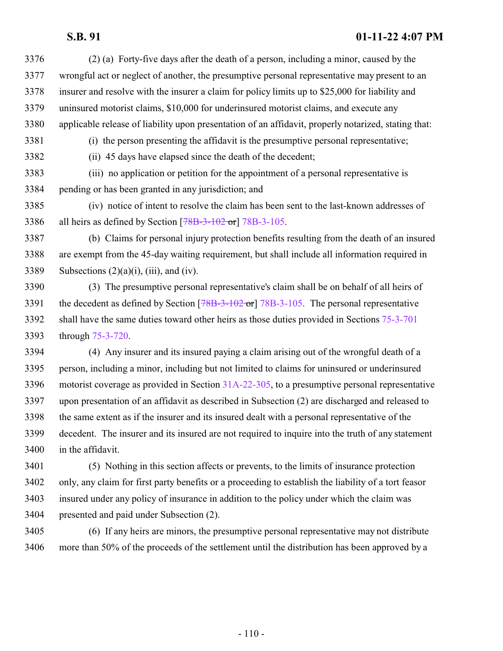## **S.B. 91 01-11-22 4:07 PM**

- (2) (a) Forty-five days after the death of a person, including a minor, caused by the wrongful act or neglect of another, the presumptive personal representative may present to an insurer and resolve with the insurer a claim for policy limits up to \$25,000 for liability and uninsured motorist claims, \$10,000 for underinsured motorist claims, and execute any applicable release of liability upon presentation of an affidavit, properly notarized, stating that: (i) the person presenting the affidavit is the presumptive personal representative; (ii) 45 days have elapsed since the death of the decedent;
- (iii) no application or petition for the appointment of a personal representative is pending or has been granted in any jurisdiction; and
- (iv) notice of intent to resolve the claim has been sent to the last-known addresses of all heirs as defined by Section [\[78B-3-102](http://le.utah.gov/UtahCode/SectionLookup.jsp?section=78b-3-102&session=2022GS) or] [78B-3-105](http://le.utah.gov/UtahCode/SectionLookup.jsp?section=78b-3-105&session=2022GS).
- (b) Claims for personal injury protection benefits resulting from the death of an insured are exempt from the 45-day waiting requirement, but shall include all information required in 3389 Subsections  $(2)(a)(i)$ ,  $(iii)$ , and  $(iv)$ .
- (3) The presumptive personal representative's claim shall be on behalf of all heirs of 3391 the decedent as defined by Section [\[78B-3-102](http://le.utah.gov/UtahCode/SectionLookup.jsp?section=78b-3-102&session=2022GS) or] [78B-3-105](http://le.utah.gov/UtahCode/SectionLookup.jsp?section=78b-3-105&session=2022GS). The personal representative shall have the same duties toward other heirs as those duties provided in Sections [75-3-701](http://le.utah.gov/UtahCode/SectionLookup.jsp?section=75-3-701&session=2022GS) through [75-3-720](http://le.utah.gov/UtahCode/SectionLookup.jsp?section=75-3-720&session=2022GS).
- (4) Any insurer and its insured paying a claim arising out of the wrongful death of a person, including a minor, including but not limited to claims for uninsured or underinsured motorist coverage as provided in Section [31A-22-305](http://le.utah.gov/UtahCode/SectionLookup.jsp?section=31a-22-305&session=2022GS), to a presumptive personal representative upon presentation of an affidavit as described in Subsection (2) are discharged and released to the same extent as if the insurer and its insured dealt with a personal representative of the decedent. The insurer and its insured are not required to inquire into the truth of any statement in the affidavit.
- (5) Nothing in this section affects or prevents, to the limits of insurance protection only, any claim for first party benefits or a proceeding to establish the liability of a tort feasor insured under any policy of insurance in addition to the policy under which the claim was presented and paid under Subsection (2).
- (6) If any heirs are minors, the presumptive personal representative may not distribute more than 50% of the proceeds of the settlement until the distribution has been approved by a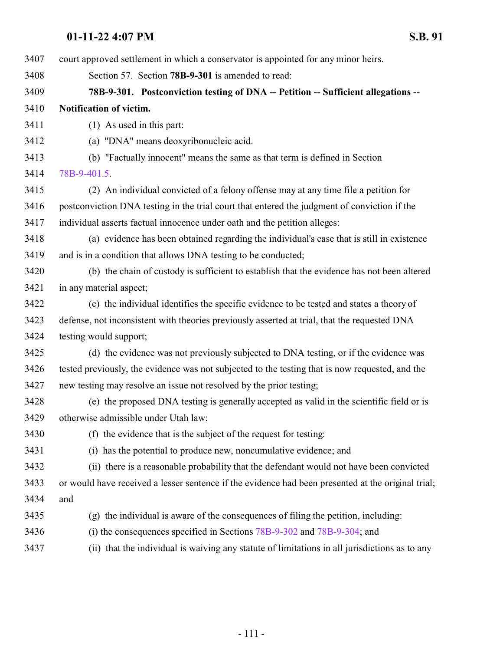court approved settlement in which a conservator is appointed for any minor heirs. Section 57. Section **78B-9-301** is amended to read: **78B-9-301. Postconviction testing of DNA -- Petition -- Sufficient allegations -- Notification of victim.** (1) As used in this part: (a) "DNA" means deoxyribonucleic acid. (b) "Factually innocent" means the same as that term is defined in Section [78B-9-401.5](http://le.utah.gov/UtahCode/SectionLookup.jsp?section=78b-9-401.5&session=2022GS). (2) An individual convicted of a felony offense may at any time file a petition for postconviction DNA testing in the trial court that entered the judgment of conviction if the individual asserts factual innocence under oath and the petition alleges: (a) evidence has been obtained regarding the individual's case that is still in existence and is in a condition that allows DNA testing to be conducted; (b) the chain of custody is sufficient to establish that the evidence has not been altered in any material aspect; (c) the individual identifies the specific evidence to be tested and states a theory of defense, not inconsistent with theories previously asserted at trial, that the requested DNA testing would support; (d) the evidence was not previously subjected to DNA testing, or if the evidence was tested previously, the evidence was not subjected to the testing that is now requested, and the new testing may resolve an issue not resolved by the prior testing; (e) the proposed DNA testing is generally accepted as valid in the scientific field or is otherwise admissible under Utah law; (f) the evidence that is the subject of the request for testing: (i) has the potential to produce new, noncumulative evidence; and (ii) there is a reasonable probability that the defendant would not have been convicted or would have received a lesser sentence if the evidence had been presented at the original trial; and (g) the individual is aware of the consequences of filing the petition, including: (i) the consequences specified in Sections [78B-9-302](http://le.utah.gov/UtahCode/SectionLookup.jsp?section=78b-9-302&session=2022GS) and [78B-9-304](http://le.utah.gov/UtahCode/SectionLookup.jsp?section=78b-9-304&session=2022GS); and (ii) that the individual is waiving any statute of limitations in all jurisdictions as to any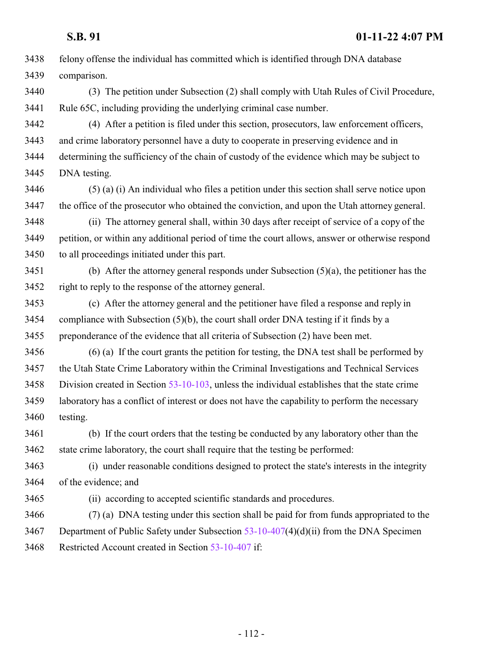| 3438 | felony offense the individual has committed which is identified through DNA database             |
|------|--------------------------------------------------------------------------------------------------|
| 3439 | comparison.                                                                                      |
| 3440 | (3) The petition under Subsection (2) shall comply with Utah Rules of Civil Procedure,           |
| 3441 | Rule 65C, including providing the underlying criminal case number.                               |
| 3442 | (4) After a petition is filed under this section, prosecutors, law enforcement officers,         |
| 3443 | and crime laboratory personnel have a duty to cooperate in preserving evidence and in            |
| 3444 | determining the sufficiency of the chain of custody of the evidence which may be subject to      |
| 3445 | DNA testing.                                                                                     |
| 3446 | (5) (a) (i) An individual who files a petition under this section shall serve notice upon        |
| 3447 | the office of the prosecutor who obtained the conviction, and upon the Utah attorney general.    |
| 3448 | (ii) The attorney general shall, within 30 days after receipt of service of a copy of the        |
| 3449 | petition, or within any additional period of time the court allows, answer or otherwise respond  |
| 3450 | to all proceedings initiated under this part.                                                    |
| 3451 | (b) After the attorney general responds under Subsection $(5)(a)$ , the petitioner has the       |
| 3452 | right to reply to the response of the attorney general.                                          |
| 3453 | (c) After the attorney general and the petitioner have filed a response and reply in             |
| 3454 | compliance with Subsection $(5)(b)$ , the court shall order DNA testing if it finds by a         |
| 3455 | preponderance of the evidence that all criteria of Subsection (2) have been met.                 |
| 3456 | $(6)$ (a) If the court grants the petition for testing, the DNA test shall be performed by       |
| 3457 | the Utah State Crime Laboratory within the Criminal Investigations and Technical Services        |
| 3458 | Division created in Section $53-10-103$ , unless the individual establishes that the state crime |
| 3459 | laboratory has a conflict of interest or does not have the capability to perform the necessary   |
| 3460 | testing.                                                                                         |
| 3461 | (b) If the court orders that the testing be conducted by any laboratory other than the           |
| 3462 | state crime laboratory, the court shall require that the testing be performed:                   |
| 3463 | (i) under reasonable conditions designed to protect the state's interests in the integrity       |
| 3464 | of the evidence; and                                                                             |
| 3465 | (ii) according to accepted scientific standards and procedures.                                  |
| 3466 | (7) (a) DNA testing under this section shall be paid for from funds appropriated to the          |
| 3467 | Department of Public Safety under Subsection $53-10-407(4)(d)(ii)$ from the DNA Specimen         |
| 3468 | Restricted Account created in Section 53-10-407 if:                                              |
|      |                                                                                                  |

- 112 -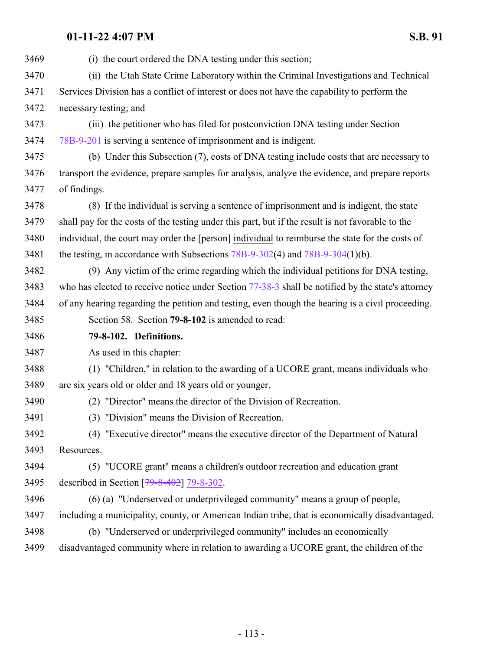| 3469 | (i) the court ordered the DNA testing under this section;                                         |
|------|---------------------------------------------------------------------------------------------------|
| 3470 | (ii) the Utah State Crime Laboratory within the Criminal Investigations and Technical             |
| 3471 | Services Division has a conflict of interest or does not have the capability to perform the       |
| 3472 | necessary testing; and                                                                            |
| 3473 | (iii) the petitioner who has filed for postconviction DNA testing under Section                   |
| 3474 | 78B-9-201 is serving a sentence of imprisonment and is indigent.                                  |
| 3475 | (b) Under this Subsection (7), costs of DNA testing include costs that are necessary to           |
| 3476 | transport the evidence, prepare samples for analysis, analyze the evidence, and prepare reports   |
| 3477 | of findings.                                                                                      |
| 3478 | (8) If the individual is serving a sentence of imprisonment and is indigent, the state            |
| 3479 | shall pay for the costs of the testing under this part, but if the result is not favorable to the |
| 3480 | individual, the court may order the [person] individual to reimburse the state for the costs of   |
| 3481 | the testing, in accordance with Subsections $78B-9-302(4)$ and $78B-9-304(1)(b)$ .                |
| 3482 | (9) Any victim of the crime regarding which the individual petitions for DNA testing,             |
| 3483 | who has elected to receive notice under Section 77-38-3 shall be notified by the state's attorney |
| 3484 | of any hearing regarding the petition and testing, even though the hearing is a civil proceeding. |
| 3485 | Section 58. Section 79-8-102 is amended to read:                                                  |
| 3486 | 79-8-102. Definitions.                                                                            |
| 3487 | As used in this chapter:                                                                          |
| 3488 | (1) "Children," in relation to the awarding of a UCORE grant, means individuals who               |
| 3489 | are six years old or older and 18 years old or younger.                                           |
| 3490 |                                                                                                   |
|      | (2) "Director" means the director of the Division of Recreation.                                  |
| 3491 | (3) "Division" means the Division of Recreation.                                                  |
| 3492 | (4) "Executive director" means the executive director of the Department of Natural                |
| 3493 | Resources.                                                                                        |
| 3494 | (5) "UCORE grant" means a children's outdoor recreation and education grant                       |
| 3495 | described in Section $[79 - 8 - 402]$ 79-8-302.                                                   |
| 3496 | (6) (a) "Underserved or underprivileged community" means a group of people,                       |
| 3497 | including a municipality, county, or American Indian tribe, that is economically disadvantaged.   |
| 3498 | (b) "Underserved or underprivileged community" includes an economically                           |
| 3499 | disadvantaged community where in relation to awarding a UCORE grant, the children of the          |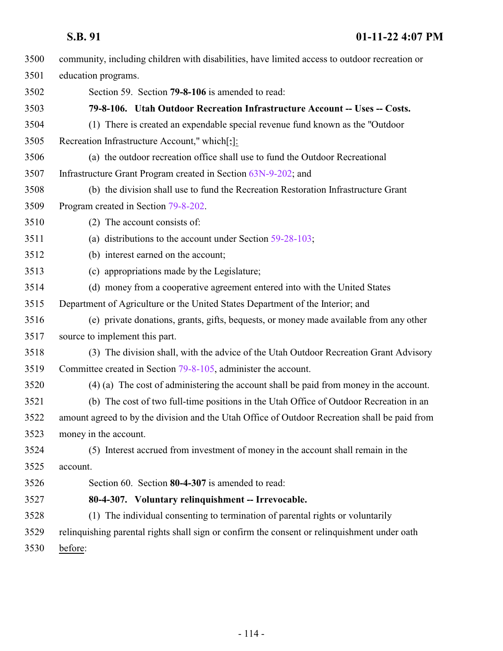| 3500 | community, including children with disabilities, have limited access to outdoor recreation or |
|------|-----------------------------------------------------------------------------------------------|
| 3501 | education programs.                                                                           |
| 3502 | Section 59. Section 79-8-106 is amended to read:                                              |
| 3503 | 79-8-106. Utah Outdoor Recreation Infrastructure Account -- Uses -- Costs.                    |
| 3504 | (1) There is created an expendable special revenue fund known as the "Outdoor"                |
| 3505 | Recreation Infrastructure Account," which[;]:                                                 |
| 3506 | (a) the outdoor recreation office shall use to fund the Outdoor Recreational                  |
| 3507 | Infrastructure Grant Program created in Section 63N-9-202; and                                |
| 3508 | (b) the division shall use to fund the Recreation Restoration Infrastructure Grant            |
| 3509 | Program created in Section 79-8-202.                                                          |
| 3510 | (2) The account consists of:                                                                  |
| 3511 | (a) distributions to the account under Section $59-28-103$ ;                                  |
| 3512 | (b) interest earned on the account;                                                           |
| 3513 | (c) appropriations made by the Legislature;                                                   |
| 3514 | (d) money from a cooperative agreement entered into with the United States                    |
| 3515 | Department of Agriculture or the United States Department of the Interior; and                |
| 3516 | (e) private donations, grants, gifts, bequests, or money made available from any other        |
| 3517 | source to implement this part.                                                                |
| 3518 | (3) The division shall, with the advice of the Utah Outdoor Recreation Grant Advisory         |
| 3519 | Committee created in Section 79-8-105, administer the account.                                |
| 3520 | $(4)$ (a) The cost of administering the account shall be paid from money in the account.      |
| 3521 | (b) The cost of two full-time positions in the Utah Office of Outdoor Recreation in an        |
| 3522 | amount agreed to by the division and the Utah Office of Outdoor Recreation shall be paid from |
| 3523 | money in the account.                                                                         |
| 3524 | (5) Interest accrued from investment of money in the account shall remain in the              |
| 3525 | account.                                                                                      |
| 3526 | Section 60. Section 80-4-307 is amended to read:                                              |
| 3527 | 80-4-307. Voluntary relinquishment -- Irrevocable.                                            |
| 3528 | (1) The individual consenting to termination of parental rights or voluntarily                |
| 3529 | relinquishing parental rights shall sign or confirm the consent or relinquishment under oath  |
| 3530 | before:                                                                                       |